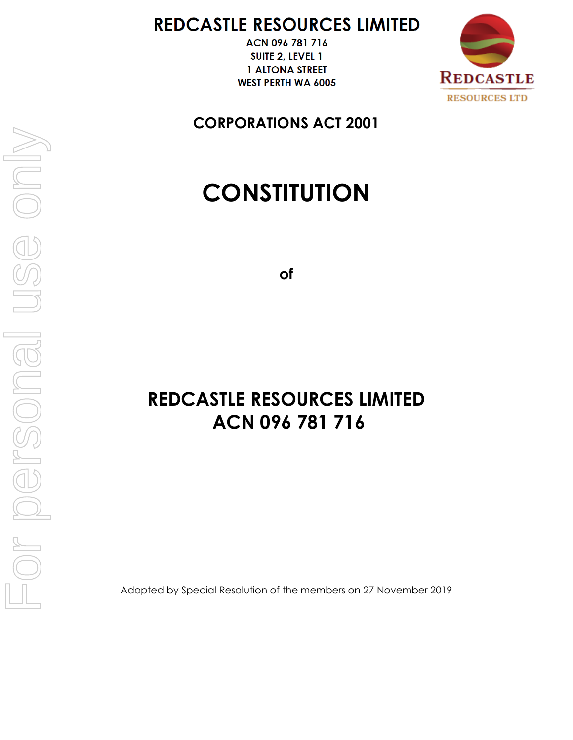# REDCASTLE RESOURCES LIMITED

ACN 096 781 716 SUITE 2, LEVEL 1 **1 ALTONA STREET WEST PERTH WA 6005** 



**CORPORATIONS ACT 2001**

# **CONSTITUTION**

**of**

# **REDCASTLE RESOURCES LIMITED ACN 096 781 716**

Adopted by Special Resolution of the members on 27 November 2019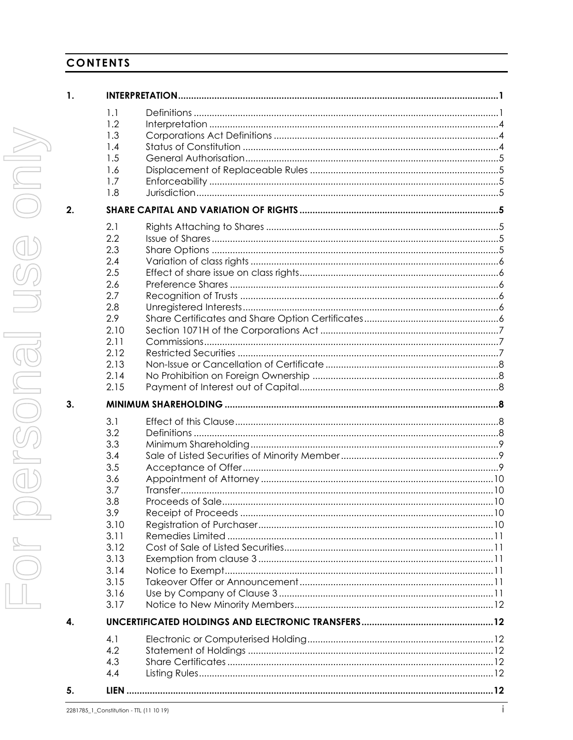# **CONTENTS**

| 1. | <b>INTERPRETA</b>                                                                                           |                                                                                                                      |
|----|-------------------------------------------------------------------------------------------------------------|----------------------------------------------------------------------------------------------------------------------|
|    | 1.1<br>1.2<br>1.3<br>1.4<br>1.5<br>1.6<br>1.7<br>1.8                                                        | D<br>$\ln$<br>$\subset$<br><b>St</b><br>G<br>Di<br>Er<br>Jı                                                          |
| 2. | <b>SHARE CAI</b>                                                                                            |                                                                                                                      |
|    | 2.1<br>2.2<br>2.3<br>2.4<br>2.5<br>2.6<br>2.7<br>2.8<br>2.9<br>2.10<br>2.11<br>2.12<br>2.13<br>2.14<br>2.15 | Ri<br>lss<br>Sł<br>V<br>Ef<br>Pr<br>R6<br>Uı<br>Sł<br>$S\epsilon$<br>$\mathsf{C}$<br>R <sub>6</sub><br>N,<br>N,<br>P |
| 3. | MINIMUM:                                                                                                    |                                                                                                                      |
|    | 3.1<br>3.2<br>3.3<br>3.4<br>3.5<br>3.6<br>3.7<br>3.8<br>3.9<br>3.10                                         | Ef<br>D<br>M<br>$\mathsf{Sc}$<br>A <sub>0</sub><br>$\overline{A}$<br>Tr<br>Pr<br>R<br>R                              |
|    | 3.11<br>3.12<br>3.13<br>3.14<br>3.15<br>3.16<br>3.17                                                        | R<br>С<br>E<br>N,<br>Тc<br>U.<br>N,                                                                                  |
| 4. | <b>UNCERTIFIC</b>                                                                                           |                                                                                                                      |

| 1. |                                                                                                                             |  |
|----|-----------------------------------------------------------------------------------------------------------------------------|--|
|    | 1.1<br>1.2<br>1.3<br>1.4<br>1.5<br>1.6<br>1.7<br>1.8                                                                        |  |
| 2. |                                                                                                                             |  |
|    | 2.1<br>2.2<br>2.3<br>2.4<br>2.5<br>2.6<br>2.7<br>2.8<br>2.9<br>2.10<br>2.11<br>2.12<br>2.13<br>2.14<br>2.15                 |  |
| 3. |                                                                                                                             |  |
|    | 3.1<br>3.2<br>3.3<br>3.4<br>3.5<br>3.6<br>3.7<br>3.8<br>3.9<br>3.10<br>3.11<br>3.12<br>3.13<br>3.14<br>3.15<br>3.16<br>3.17 |  |
| 4. |                                                                                                                             |  |
|    | 4.1<br>4.2<br>4.3                                                                                                           |  |
| 5. | 4.4                                                                                                                         |  |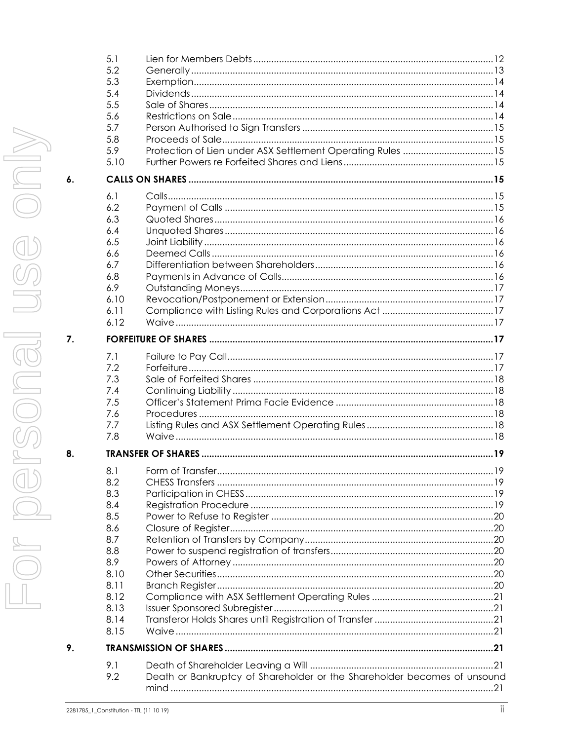|                    | 5.3  |                                                                          |  |
|--------------------|------|--------------------------------------------------------------------------|--|
|                    | 5.4  |                                                                          |  |
|                    | 5.5  |                                                                          |  |
|                    | 5.6  |                                                                          |  |
|                    | 5.7  |                                                                          |  |
|                    | 5.8  |                                                                          |  |
|                    | 5.9  |                                                                          |  |
|                    |      | Protection of Lien under ASX Settlement Operating Rules 15               |  |
|                    | 5.10 |                                                                          |  |
| $\boldsymbol{6}$ . |      |                                                                          |  |
|                    |      |                                                                          |  |
|                    | 6.1  |                                                                          |  |
|                    | 6.2  |                                                                          |  |
|                    | 6.3  |                                                                          |  |
|                    | 6.4  |                                                                          |  |
|                    | 6.5  |                                                                          |  |
|                    | 6.6  |                                                                          |  |
|                    | 6.7  |                                                                          |  |
|                    | 6.8  |                                                                          |  |
|                    | 6.9  |                                                                          |  |
|                    |      |                                                                          |  |
|                    | 6.10 |                                                                          |  |
|                    | 6.11 |                                                                          |  |
|                    | 6.12 |                                                                          |  |
| 7.                 |      |                                                                          |  |
|                    | 7.1  |                                                                          |  |
|                    | 7.2  |                                                                          |  |
|                    | 7.3  |                                                                          |  |
|                    | 7.4  |                                                                          |  |
|                    |      |                                                                          |  |
|                    | 7.5  |                                                                          |  |
|                    | 7.6  |                                                                          |  |
|                    | 7.7  |                                                                          |  |
|                    | 7.8  |                                                                          |  |
| 8.                 |      |                                                                          |  |
|                    | 8.1  |                                                                          |  |
|                    | 8.2  |                                                                          |  |
|                    | 8.3  |                                                                          |  |
|                    | 8.4  |                                                                          |  |
|                    | 8.5  |                                                                          |  |
|                    | 8.6  |                                                                          |  |
|                    |      |                                                                          |  |
|                    | 8.7  |                                                                          |  |
|                    | 8.8  |                                                                          |  |
|                    | 8.9  |                                                                          |  |
|                    | 8.10 |                                                                          |  |
|                    | 8.11 |                                                                          |  |
|                    | 8.12 |                                                                          |  |
|                    | 8.13 |                                                                          |  |
|                    | 8.14 |                                                                          |  |
|                    | 8.15 |                                                                          |  |
| 9.                 |      |                                                                          |  |
|                    | 9.1  |                                                                          |  |
|                    | 9.2  | Death or Bankruptcy of Shareholder or the Shareholder becomes of unsound |  |
|                    |      |                                                                          |  |
|                    |      |                                                                          |  |
|                    |      |                                                                          |  |

 $5.1$ 

5.2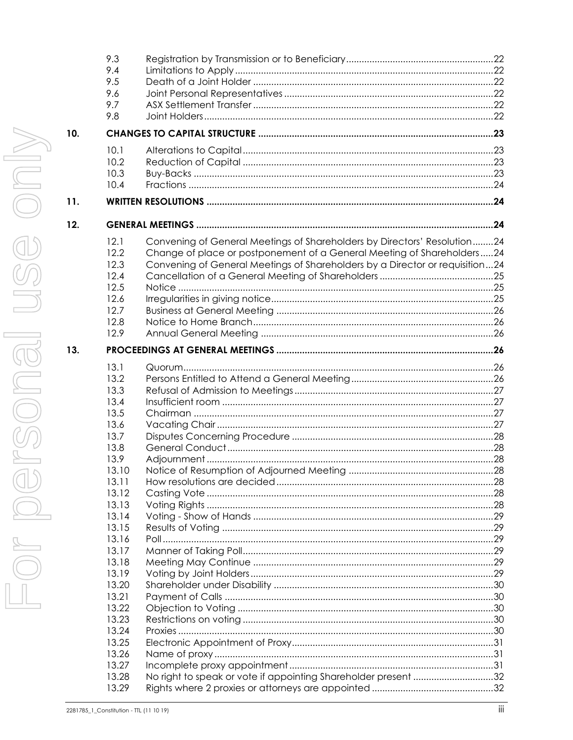|     | 9.3   |                                                                              |  |
|-----|-------|------------------------------------------------------------------------------|--|
|     | 9.4   |                                                                              |  |
|     | 9.5   |                                                                              |  |
|     | 9.6   |                                                                              |  |
|     | 9.7   |                                                                              |  |
|     | 9.8   |                                                                              |  |
| 10. |       |                                                                              |  |
|     | 10.1  |                                                                              |  |
|     | 10.2  |                                                                              |  |
|     | 10.3  |                                                                              |  |
|     | 10.4  |                                                                              |  |
| 11. |       |                                                                              |  |
| 12. |       |                                                                              |  |
|     | 12.1  | Convening of General Meetings of Shareholders by Directors' Resolution24     |  |
|     | 12.2  | Change of place or postponement of a General Meeting of Shareholders24       |  |
|     | 12.3  | Convening of General Meetings of Shareholders by a Director or requisition24 |  |
|     | 12.4  |                                                                              |  |
|     | 12.5  |                                                                              |  |
|     | 12.6  |                                                                              |  |
|     | 12.7  |                                                                              |  |
|     | 12.8  |                                                                              |  |
|     | 12.9  |                                                                              |  |
| 13. |       |                                                                              |  |
|     | 13.1  |                                                                              |  |
|     | 13.2  |                                                                              |  |
|     | 13.3  |                                                                              |  |
|     | 13.4  |                                                                              |  |
|     | 13.5  |                                                                              |  |
|     | 13.6  |                                                                              |  |
|     | 13.7  |                                                                              |  |
|     | 13.8  |                                                                              |  |
|     | 13.9  |                                                                              |  |
|     | 13.10 |                                                                              |  |
|     | 13.11 |                                                                              |  |
|     | 13.12 |                                                                              |  |
|     | 13.13 |                                                                              |  |
|     | 13.14 |                                                                              |  |
|     | 13.15 |                                                                              |  |
|     | 13.16 |                                                                              |  |
|     | 13.17 |                                                                              |  |
|     | 13.18 |                                                                              |  |
|     | 13.19 |                                                                              |  |
|     | 13.20 |                                                                              |  |
|     | 13.21 |                                                                              |  |
|     | 13.22 |                                                                              |  |
|     | 13.23 |                                                                              |  |
|     | 13.24 |                                                                              |  |
|     | 13.25 |                                                                              |  |
|     | 13.26 |                                                                              |  |
|     | 13.27 |                                                                              |  |
|     | 13.28 | No right to speak or vote if appointing Shareholder present 32               |  |
|     | 13.29 |                                                                              |  |
|     |       |                                                                              |  |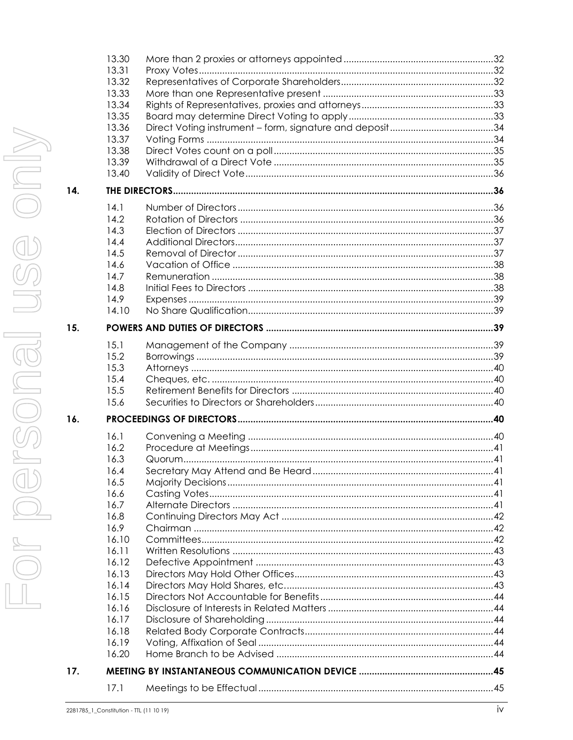|     | 13.32                                   |    |
|-----|-----------------------------------------|----|
|     | 13.33                                   |    |
|     | 13.34                                   |    |
|     | 13.35                                   |    |
|     | 13.36                                   |    |
|     | 13.37                                   |    |
|     | 13.38                                   |    |
|     | 13.39                                   |    |
|     | 13.40                                   |    |
| 14. |                                         |    |
|     | 14.1                                    |    |
|     | 14.2                                    |    |
|     | 14.3                                    |    |
|     | 14.4                                    |    |
|     | 14.5                                    |    |
|     | 14.6                                    |    |
|     | 14.7                                    |    |
|     | 14.8                                    |    |
|     | 14.9                                    |    |
|     | 14.10                                   |    |
| 15. |                                         |    |
|     |                                         |    |
|     | 15.1                                    |    |
|     | 15.2                                    |    |
|     | 15.3                                    |    |
|     | 15.4                                    |    |
|     | 15.5                                    |    |
|     | 15.6                                    |    |
| 16. |                                         |    |
|     | 16.1                                    |    |
|     | 16.2                                    |    |
|     | 16.3                                    |    |
|     | 16.4                                    |    |
|     | 16.5                                    |    |
|     | 16.6                                    |    |
|     | 16.7                                    |    |
|     | 16.8                                    |    |
|     | 16.9                                    |    |
|     | 16.10                                   |    |
|     | 16.11                                   |    |
|     | 16.12                                   |    |
|     | 16.13                                   |    |
|     | 16.14                                   |    |
|     | 16.15                                   |    |
|     | 16.16                                   |    |
|     | 16.17                                   |    |
|     | 16.18                                   |    |
|     | 16.19                                   |    |
|     | 16.20                                   |    |
| 17. |                                         |    |
|     | 17.1                                    |    |
|     | 2281785 1 Constitution - TIL (11 10 19) | iv |

13.30

13.31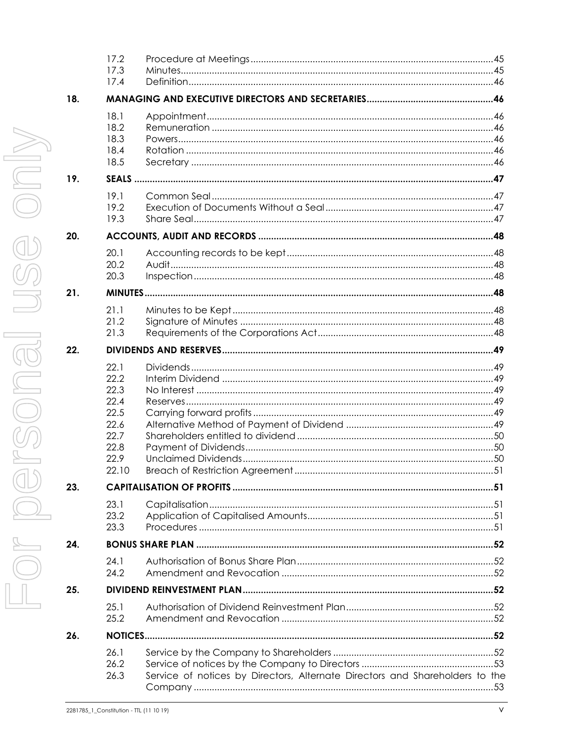|     | 17.2<br>17.3<br>17.4                                                          |                                                                              |  |
|-----|-------------------------------------------------------------------------------|------------------------------------------------------------------------------|--|
| 18. |                                                                               |                                                                              |  |
|     | 18.1<br>18.2<br>18.3<br>18.4<br>18.5                                          |                                                                              |  |
| 19. |                                                                               |                                                                              |  |
|     | 19.1<br>19.2<br>19.3                                                          |                                                                              |  |
| 20. |                                                                               |                                                                              |  |
|     | 20.1<br>20.2<br>20.3                                                          |                                                                              |  |
| 21. |                                                                               |                                                                              |  |
|     | 21.1<br>21.2<br>21.3                                                          |                                                                              |  |
| 22. |                                                                               |                                                                              |  |
|     | 22.1<br>22.2<br>22.3<br>22.4<br>22.5<br>22.6<br>22.7<br>22.8<br>22.9<br>22 IO |                                                                              |  |
| 23. |                                                                               |                                                                              |  |
|     | 23.1<br>23.2<br>23.3                                                          |                                                                              |  |
| 24. |                                                                               |                                                                              |  |
|     | 24.1<br>24.2                                                                  |                                                                              |  |
| 25. |                                                                               |                                                                              |  |
|     | 25.1<br>25.2                                                                  |                                                                              |  |
| 26. |                                                                               |                                                                              |  |
|     | 26.1<br>26.2<br>26.3                                                          | Service of notices by Directors, Alternate Directors and Shareholders to the |  |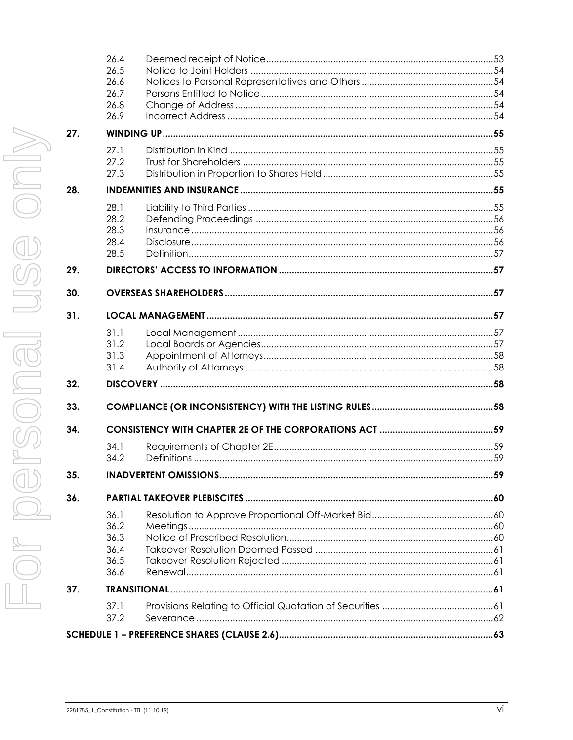| 32.<br>33. | 31.4         |  |
|------------|--------------|--|
|            |              |  |
|            |              |  |
|            |              |  |
|            | 31.2<br>31.3 |  |
| 31.        | 31.1         |  |
| 30.        |              |  |
| 29.        |              |  |
|            | 28.5         |  |
|            | 28.4         |  |
|            | 28.2<br>28.3 |  |
|            | 28.1         |  |
| 28.        |              |  |
|            | 27.2<br>27.3 |  |
| 27.        | 27.1         |  |
|            | 26.9         |  |
|            | 26.8         |  |
|            | 26.6<br>26.7 |  |
|            |              |  |
|            | 26.4<br>26.5 |  |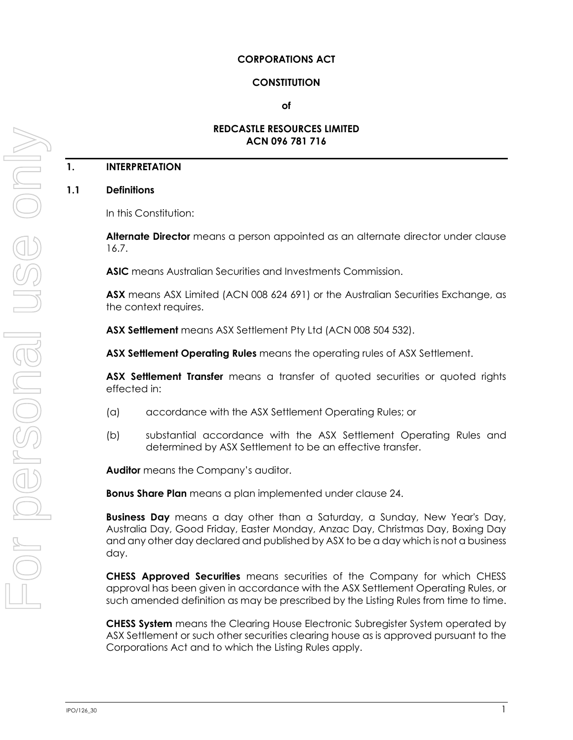#### **CORPORATIONS ACT**

#### **CONSTITUTION**

#### **of**

#### **REDCASTLE RESOURCES LIMITED ACN 096 781 716**

# **1. INTERPRETATION**

#### <span id="page-7-0"></span>**1.1 Definitions**

In this Constitution:

**Alternate Director** means a person appointed as an alternate director under clause [16.7.](#page-47-0)

**ASIC** means Australian Securities and Investments Commission.

**ASX** means ASX Limited (ACN 008 624 691) or the Australian Securities Exchange, as the context requires.

**ASX Settlement** means ASX Settlement Pty Ltd (ACN 008 504 532).

**ASX Settlement Operating Rules** means the operating rules of ASX Settlement.

**ASX Settlement Transfer** means a transfer of quoted securities or quoted rights effected in:

- (a) accordance with the ASX Settlement Operating Rules; or
- (b) substantial accordance with the ASX Settlement Operating Rules and determined by ASX Settlement to be an effective transfer.

**Auditor** means the Company's auditor.

**Bonus Share Plan** means a plan implemented under clause [24.](#page-58-0)

**Business Day** means a day other than a Saturday, a Sunday, New Year's Day, Australia Day, Good Friday, Easter Monday, Anzac Day, Christmas Day, Boxing Day and any other day declared and published by ASX to be a day which is not a business day.

**CHESS Approved Securities** means securities of the Company for which CHESS approval has been given in accordance with the ASX Settlement Operating Rules, or such amended definition as may be prescribed by the Listing Rules from time to time.

**CHESS System** means the Clearing House Electronic Subregister System operated by ASX Settlement or such other securities clearing house as is approved pursuant to the Corporations Act and to which the Listing Rules apply.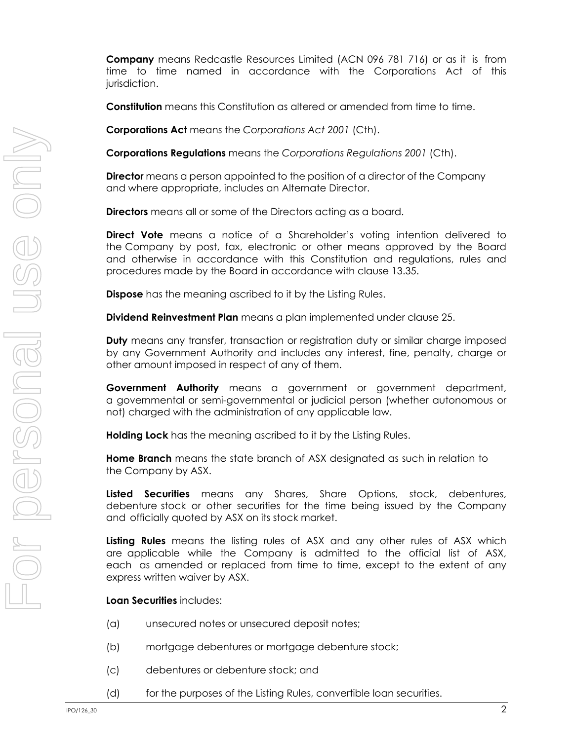**Company** means Redcastle Resources Limited (ACN 096 781 716) or as it is from time to time named in accordance with the Corporations Act of this jurisdiction.

**Constitution** means this Constitution as altered or amended from time to time.

**Corporations Act** means the *Corporations Act 2001* (Cth).

**Corporations Regulations** means the *Corporations Regulations 2001* (Cth).

**Director** means a person appointed to the position of a director of the Company and where appropriate, includes an Alternate Director.

**Directors** means all or some of the Directors acting as a board.

**Direct Vote** means a notice of a Shareholder's voting intention delivered to the Company by post, fax, electronic or other means approved by the Board and otherwise in accordance with this Constitution and regulations, rules and procedures made by the Board in accordanc[e with c](#page-39-0)lause 13.35.

**Dispose** has the meaning ascribed to it by the Listing Rules.

**Dividend Reinvestment Plan** means a plan implemented under claus[e 25.](#page-58-1)

**Duty** means any transfer, transaction or registration duty or similar charge imposed by any Government Authority and includes any interest, fine, penalty, charge or other amount imposed in respect of any of them.

**Government Authority** means a government or government department, a governmental or semi-governmental or judicial person (whether autonomous or not) charged with the administration of any applicable law.

**Holding Lock** has the meaning ascribed to it by the Listing Rules.

**Home Branch** means the state branch of ASX designated as such in relation to the Company by ASX.

**Listed Securities** means any Shares, Share Options, stock, debentures, debenture stock or other securities for the time being issued by the Company and officially quoted by ASX on its stock market.

**Listing Rules** means the listing rules of ASX and any other rules of ASX which are applicable while the Company is admitted to the official list of ASX, each as amended or replaced from time to time, except to the extent of any express written waiver by ASX.

**Loan Securities** includes:

- (a) unsecured notes or unsecured deposit notes;
- (b) mortgage debentures or mortgage debenture stock;
- (c) debentures or debenture stock; and
- (d) for the purposes of the Listing Rules, convertible loan securities.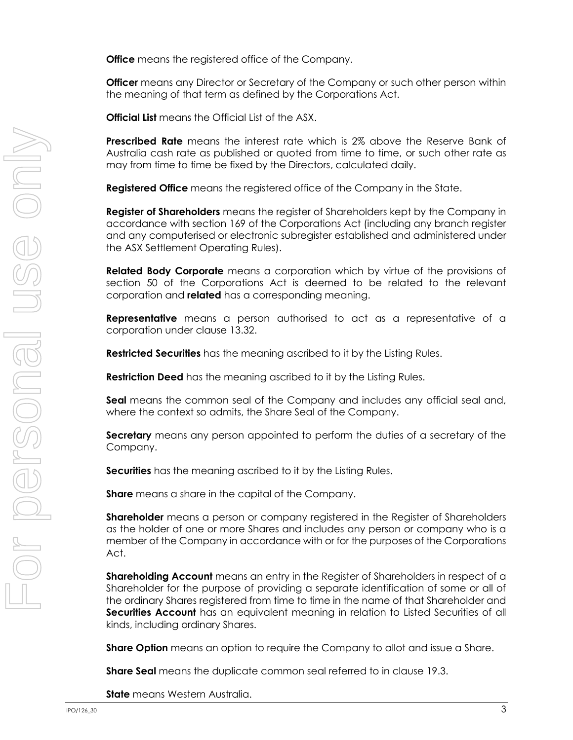**Office** means the registered office of the Company.

**Officer** means any Director or Secretary of the Company or such other person within the meaning of that term as defined by the Corporations Act.

**Official List** means the Official List of the ASX.

**Prescribed Rate** means the interest rate which is 2% above the Reserve Bank of Australia cash rate as published or quoted from time to time, or such other rate as may from time to time be fixed by the Directors, calculated daily.

**Registered Office** means the registered office of the Company in the State.

**Register of Shareholders** means the register of Shareholders kept by the Company in accordance with section 169 of the Corporations Act (including any branch register and any computerised or electronic subregister established and administered under the ASX Settlement Operating Rules).

**Related Body Corporate** means a corporation which by virtue of the provisions of section 50 of the Corporations Act is deemed to be related to the relevant corporation and **related** has a corresponding meaning.

**Representative** means a person authorised to act as a representative of a corporation under clause [13.32.](#page-38-0)

**Restricted Securities** has the meaning ascribed to it by the Listing Rules.

**Restriction Deed** has the meaning ascribed to it by the Listing Rules.

**Seal** means the common seal of the Company and includes any official seal and, where the context so admits, the Share Seal of the Company.

**Secretary** means any person appointed to perform the duties of a secretary of the Company.

**Securities** has the meaning ascribed to it by the Listing Rules.

**Share** means a share in the capital of the Company.

**Shareholder** means a person or company registered in the Register of Shareholders as the holder of one or more Shares and includes any person or company who is a member of the Company in accordance with or for the purposes of the Corporations Act.

**Shareholding Account** means an entry in the Register of Shareholders in respect of a Shareholder for the purpose of providing a separate identification of some or all of the ordinary Shares registered from time to time in the name of that Shareholder and **Securities Account** has an equivalent meaning in relation to Listed Securities of all kinds, including ordinary Shares.

**Share Option** means an option to require the Company to allot and issue a Share.

**Share Seal** means the duplicate common seal referred to in clause [19.3.](#page-53-0)

**State** means Western Australia.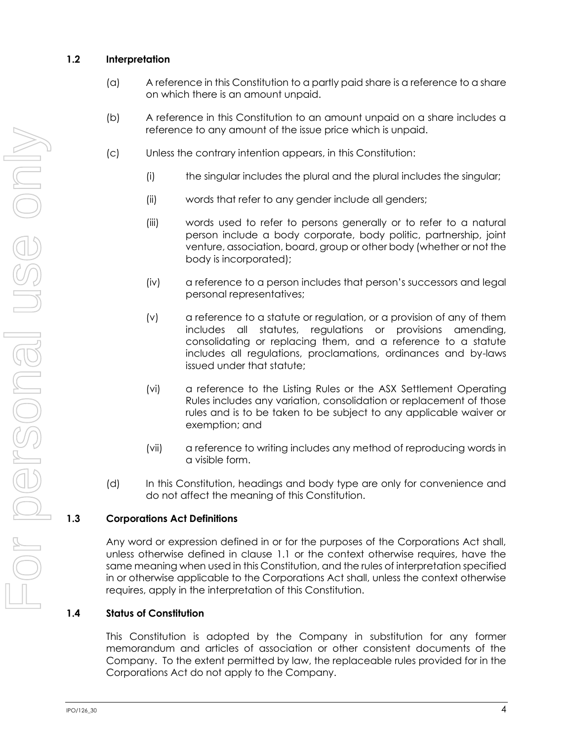# **1.2 Interpretation**

- (a) A reference in this Constitution to a partly paid share is a reference to a share on which there is an amount unpaid.
- (b) A reference in this Constitution to an amount unpaid on a share includes a reference to any amount of the issue price which is unpaid.
- (c) Unless the contrary intention appears, in this Constitution:
	- (i) the singular includes the plural and the plural includes the singular;
	- (ii) words that refer to any gender include all genders;
	- (iii) words used to refer to persons generally or to refer to a natural person include a body corporate, body politic, partnership, joint venture, association, board, group or other body (whether or not the body is incorporated);
	- (iv) a reference to a person includes that person's successors and legal personal representatives;
	- (v) a reference to a statute or regulation, or a provision of any of them includes all statutes, regulations or provisions amending, consolidating or replacing them, and a reference to a statute includes all regulations, proclamations, ordinances and by-laws issued under that statute;
	- (vi) a reference to the Listing Rules or the ASX Settlement Operating Rules includes any variation, consolidation or replacement of those rules and is to be taken to be subject to any applicable waiver or exemption; and
	- (vii) a reference to writing includes any method of reproducing words in a visible form.
- (d) In this Constitution, headings and body type are only for convenience and do not affect the meaning of this Constitution.

# **1.3 Corporations Act Definitions**

Any word or expression defined in or for the purposes of the Corporations Act shall, unless otherwise defined in clause [1.1](#page-7-0) or the context otherwise requires, have the same meaning when used in this Constitution, and the rules of interpretation specified in or otherwise applicable to the Corporations Act shall, unless the context otherwise requires, apply in the interpretation of this Constitution.

# **1.4 Status of Constitution**

This Constitution is adopted by the Company in substitution for any former memorandum and articles of association or other consistent documents of the Company. To the extent permitted by law, the replaceable rules provided for in the Corporations Act do not apply to the Company.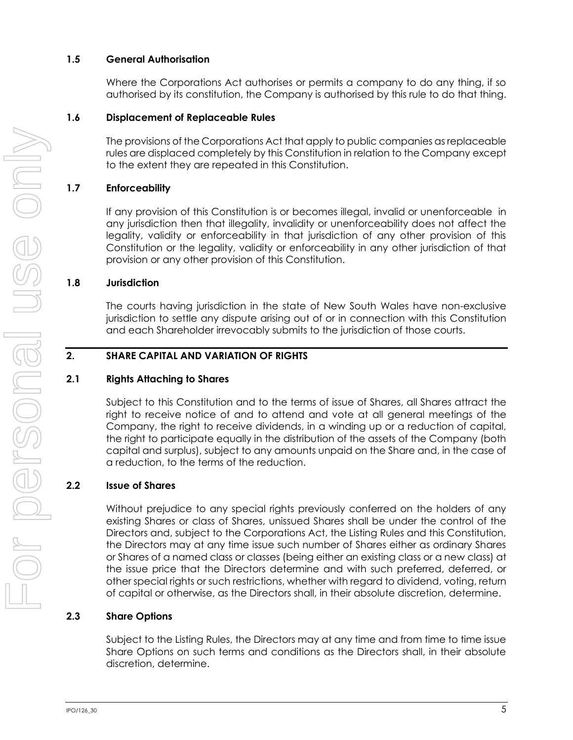#### **1.5 General Authorisation**

Where the Corporations Act authorises or permits a company to do any thing, if so authorised by its constitution, the Company is authorised by this rule to do that thing.

# **1.6 Displacement of Replaceable Rules**

The provisions of the Corporations Act that apply to public companies as replaceable rules are displaced completely by this Constitution in relation to the Company except to the extent they are repeated in this Constitution.

# **1.7 Enforceability**

If any provision of this Constitution is or becomes illegal, invalid or unenforceable in any jurisdiction then that illegality, invalidity or unenforceability does not affect the legality, validity or enforceability in that jurisdiction of any other provision of this Constitution or the legality, validity or enforceability in any other jurisdiction of that provision or any other provision of this Constitution.

# **1.8 Jurisdiction**

The courts having jurisdiction in the state of New South Wales have non-exclusive jurisdiction to settle any dispute arising out of or in connection with this Constitution and each Shareholder irrevocably submits to the jurisdiction of those courts.

# <span id="page-11-0"></span>**2. SHARE CAPITAL AND VARIATION OF RIGHTS**

#### **2.1 Rights Attaching to Shares**

Subject to this Constitution and to the terms of issue of Shares, all Shares attract the right to receive notice of and to attend and vote at all general meetings of the Company, the right to receive dividends, in a winding up or a reduction of capital, the right to participate equally in the distribution of the assets of the Company (both capital and surplus), subject to any amounts unpaid on the Share and, in the case of a reduction, to the terms of the reduction.

#### **2.2 Issue of Shares**

Without prejudice to any special rights previously conferred on the holders of any existing Shares or class of Shares, unissued Shares shall be under the control of the Directors and, subject to the Corporations Act, the Listing Rules and this Constitution, the Directors may at any time issue such number of Shares either as ordinary Shares or Shares of a named class or classes (being either an existing class or a new class) at the issue price that the Directors determine and with such preferred, deferred, or other special rights or such restrictions, whether with regard to dividend, voting, return of capital or otherwise, as the Directors shall, in their absolute discretion, determine.

#### **2.3 Share Options**

Subject to the Listing Rules, the Directors may at any time and from time to time issue Share Options on such terms and conditions as the Directors shall, in their absolute discretion, determine.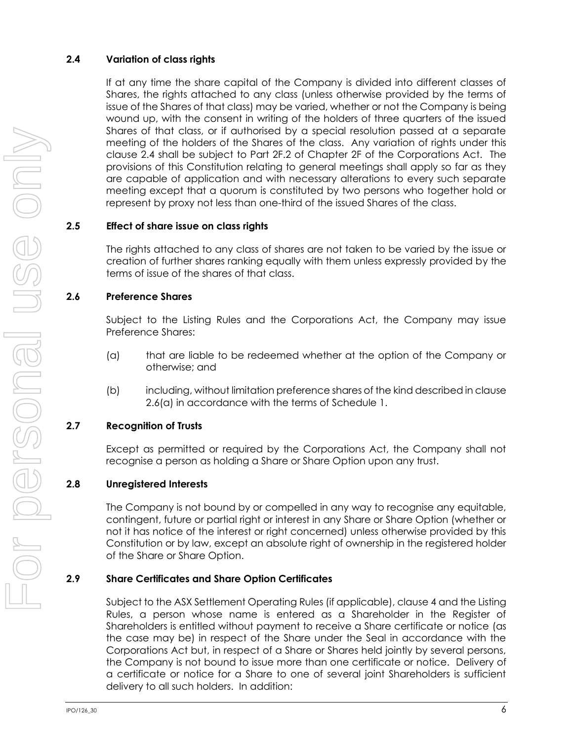# <span id="page-12-0"></span>**2.4 Variation of class rights**

If at any time the share capital of the Company is divided into different classes of Shares, the rights attached to any class (unless otherwise provided by the terms of issue of the Shares of that class) may be varied, whether or not the Company is being wound up, with the consent in writing of the holders of three quarters of the issued Shares of that class, or if authorised by a special resolution passed at a separate meeting of the holders of the Shares of the class. Any variation of rights under this clause [2.4](#page-12-0) shall be subject to Part 2F.2 of Chapter 2F of the Corporations Act. The provisions of this Constitution relating to general meetings shall apply so far as they are capable of application and with necessary alterations to every such separate meeting except that a quorum is constituted by two persons who together hold or represent by proxy not less than one-third of the issued Shares of the class.

# **2.5 Effect of share issue on class rights**

The rights attached to any class of shares are not taken to be varied by the issue or creation of further shares ranking equally with them unless expressly provided by the terms of issue of the shares of that class.

# **2.6 Preference Shares**

Subject to the Listing Rules and the Corporations Act, the Company may issue Preference Shares:

- <span id="page-12-1"></span>(a) that are liable to be redeemed whether at the option of the Company or otherwise; and
- (b) including, without limitation preference shares of the kind described in clause [2.6\(a\)](#page-12-1) in accordance with the terms of [Schedule](#page-69-0) 1.

# **2.7 Recognition of Trusts**

Except as permitted or required by the Corporations Act, the Company shall not recognise a person as holding a Share or Share Option upon any trust.

# **2.8 Unregistered Interests**

The Company is not bound by or compelled in any way to recognise any equitable, contingent, future or partial right or interest in any Share or Share Option (whether or not it has notice of the interest or right concerned) unless otherwise provided by this Constitution or by law, except an absolute right of ownership in the registered holder of the Share or Share Option.

# <span id="page-12-2"></span>**2.9 Share Certificates and Share Option Certificates**

Subject to the ASX Settlement Operating Rules (if applicable), claus[e 4](#page-18-0) and the Listing Rules, a person whose name is entered as a Shareholder in the Register of Shareholders is entitled without payment to receive a Share certificate or notice (as the case may be) in respect of the Share under the Seal in accordance with the Corporations Act but, in respect of a Share or Shares held jointly by several persons, the Company is not bound to issue more than one certificate or notice. Delivery of a certificate or notice for a Share to one of several joint Shareholders is sufficient delivery to all such holders. In addition: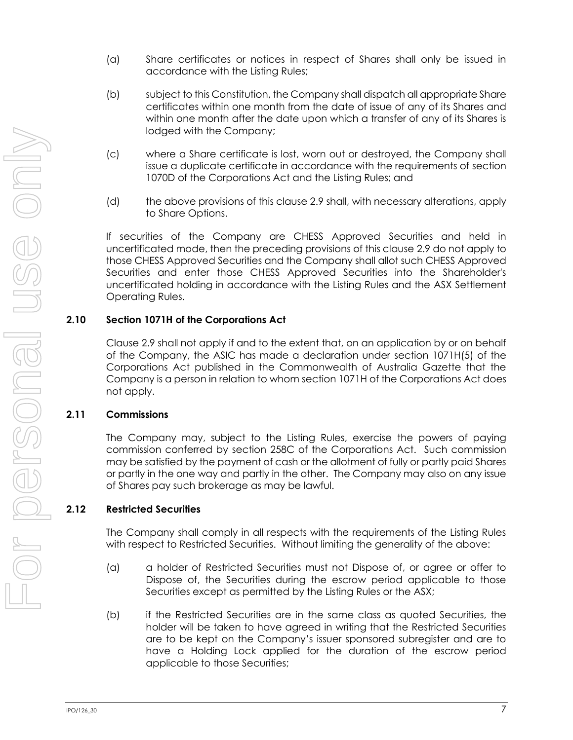- (a) Share certificates or notices in respect of Shares shall only be issued in accordance with the Listing Rules;
- (b) subject to this Constitution, the Company shall dispatch all appropriate Share certificates within one month from the date of issue of any of its Shares and within one month after the date upon which a transfer of any of its Shares is lodged with the Company;
- (c) where a Share certificate is lost, worn out or destroyed, the Company shall issue a duplicate certificate in accordance with the requirements of section 1070D of the Corporations Act and the Listing Rules; and
- (d) the above provisions of this clause [2.9](#page-12-2) shall, with necessary alterations, apply to Share Options.

If securities of the Company are CHESS Approved Securities and held in uncertificated mode, then the preceding provisions of this clause [2.9](#page-12-2) do not apply to those CHESS Approved Securities and the Company shall allot such CHESS Approved Securities and enter those CHESS Approved Securities into the Shareholder's uncertificated holding in accordance with the Listing Rules and the ASX Settlement Operating Rules.

# **2.10 Section 1071H of the Corporations Act**

Clause [2.9](#page-12-2) shall not apply if and to the extent that, on an application by or on behalf of the Company, the ASIC has made a declaration under section 1071H(5) of the Corporations Act published in the Commonwealth of Australia Gazette that the Company is a person in relation to whom section 1071H of the Corporations Act does not apply.

# **2.11 Commissions**

The Company may, subject to the Listing Rules, exercise the powers of paying commission conferred by section 258C of the Corporations Act. Such commission may be satisfied by the payment of cash or the allotment of fully or partly paid Shares or partly in the one way and partly in the other. The Company may also on any issue of Shares pay such brokerage as may be lawful.

# **2.12 Restricted Securities**

The Company shall comply in all respects with the requirements of the Listing Rules with respect to Restricted Securities. Without limiting the generality of the above:

- (a) a holder of Restricted Securities must not Dispose of, or agree or offer to Dispose of, the Securities during the escrow period applicable to those Securities except as permitted by the Listing Rules or the ASX;
- (b) if the Restricted Securities are in the same class as quoted Securities, the holder will be taken to have agreed in writing that the Restricted Securities are to be kept on the Company's issuer sponsored subregister and are to have a Holding Lock applied for the duration of the escrow period applicable to those Securities;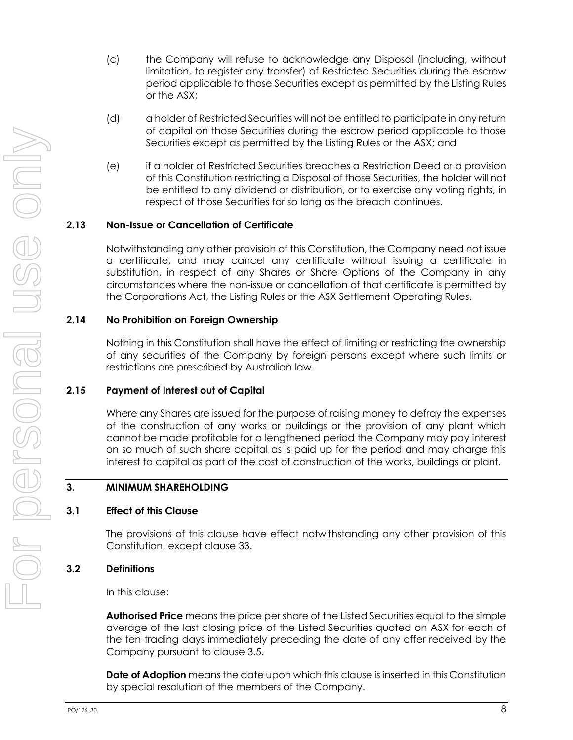- (c) the Company will refuse to acknowledge any Disposal (including, without limitation, to register any transfer) of Restricted Securities during the escrow period applicable to those Securities except as permitted by the Listing Rules or the ASX;
- (d) a holder of Restricted Securities will not be entitled to participate in any return of capital on those Securities during the escrow period applicable to those Securities except as permitted by the Listing Rules or the ASX; and
- (e) if a holder of Restricted Securities breaches a Restriction Deed or a provision of this Constitution restricting a Disposal of those Securities, the holder will not be entitled to any dividend or distribution, or to exercise any voting rights, in respect of those Securities for so long as the breach continues.

#### **2.13 Non-Issue or Cancellation of Certificate**

Notwithstanding any other provision of this Constitution, the Company need not issue a certificate, and may cancel any certificate without issuing a certificate in substitution, in respect of any Shares or Share Options of the Company in any circumstances where the non-issue or cancellation of that certificate is permitted by the Corporations Act, the Listing Rules or the ASX Settlement Operating Rules.

#### **2.14 No Prohibition on Foreign Ownership**

Nothing in this Constitution shall have the effect of limiting or restricting the ownership of any securities of the Company by foreign persons except where such limits or restrictions are prescribed by Australian law.

#### **2.15 Payment of Interest out of Capital**

Where any Shares are issued for the purpose of raising money to defray the expenses of the construction of any works or buildings or the provision of any plant which cannot be made profitable for a lengthened period the Company may pay interest on so much of such share capital as is paid up for the period and may charge this interest to capital as part of the cost of construction of the works, buildings or plant.

#### <span id="page-14-0"></span>**3. MINIMUM SHAREHOLDING**

#### **3.1 Effect of this Clause**

The provisions of this clause have effect notwithstanding any other provision of this Constitution, except clause [33.](#page-64-0)

#### **3.2 Definitions**

In this clause:

**Authorised Price** means the price per share of the Listed Securities equal to the simple average of the last closing price of the Listed Securities quoted on ASX for each of the ten trading days immediately preceding the date of any offer received by the Company pursuant to clause 3.5.

**Date of Adoption** means the date upon which this clause is inserted in this Constitution by special resolution of the members of the Company.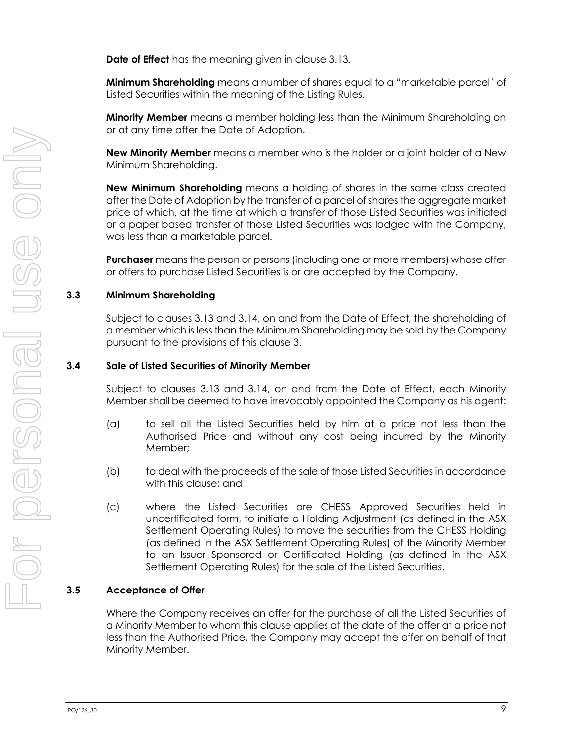**Date of Effect** has the meaning given in clause [3.13.](#page-17-0)

**Minimum Shareholding** means a number of shares equal to a "marketable parcel" of Listed Securities within the meaning of the Listing Rules.

**Minority Member** means a member holding less than the Minimum Shareholding on or at any time after the Date of Adoption.

**New Minority Member** means a member who is the holder or a joint holder of a New Minimum Shareholding.

**New Minimum Shareholding** means a holding of shares in the same class created after the Date of Adoption by the transfer of a parcel of shares the aggregate market price of which, at the time at which a transfer of those Listed Securities was initiated or a paper based transfer of those Listed Securities was lodged with the Company, was less than a marketable parcel.

**Purchaser** means the person or persons (including one or more members) whose offer or offers to purchase Listed Securities is or are accepted by the Company.

#### **3.3 Minimum Shareholding**

Subject to clauses [3.13](#page-17-0) and [3.14,](#page-17-1) on and from the Date of Effect, the shareholding of a member which is less than the Minimum Shareholding may be sold by the Company pursuant to the provisions of this clause [3.](#page-14-0)

#### **3.4 Sale of Listed Securities of Minority Member**

Subject to clauses [3.13](#page-17-0) and [3.14,](#page-17-1) on and from the Date of Effect, each Minority Member shall be deemed to have irrevocably appointed the Company as his agent:

- (a) to sell all the Listed Securities held by him at a price not less than the Authorised Price and without any cost being incurred by the Minority Member;
- (b) to deal with the proceeds of the sale of those Listed Securities in accordance with this clause; and
- (c) where the Listed Securities are CHESS Approved Securities held in uncertificated form, to initiate a Holding Adjustment (as defined in the ASX Settlement Operating Rules) to move the securities from the CHESS Holding (as defined in the ASX Settlement Operating Rules) of the Minority Member to an Issuer Sponsored or Certificated Holding (as defined in the ASX Settlement Operating Rules) for the sale of the Listed Securities.

#### **3.5 Acceptance of Offer**

Where the Company receives an offer for the purchase of all the Listed Securities of a Minority Member to whom this clause applies at the date of the offer at a price not less than the Authorised Price, the Company may accept the offer on behalf of that Minority Member.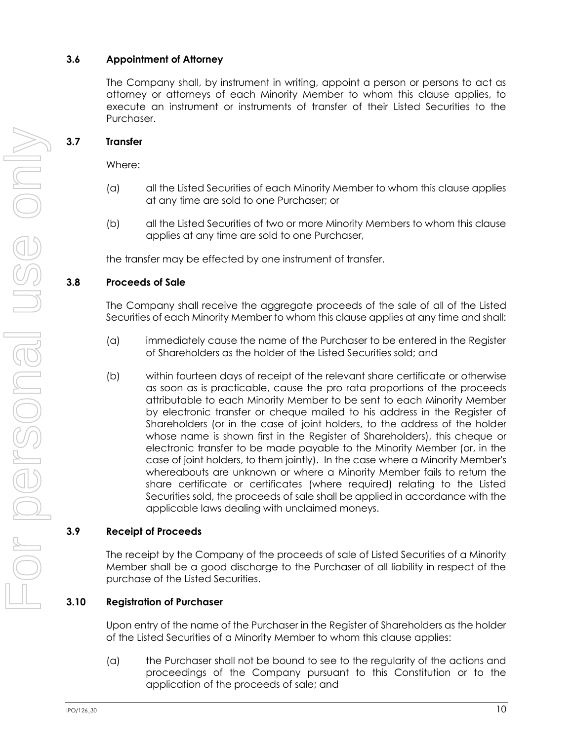# **3.6 Appointment of Attorney**

The Company shall, by instrument in writing, appoint a person or persons to act as attorney or attorneys of each Minority Member to whom this clause applies, to execute an instrument or instruments of transfer of their Listed Securities to the Purchaser.

# **3.7 Transfer**

Where:

- (a) all the Listed Securities of each Minority Member to whom this clause applies at any time are sold to one Purchaser; or
- (b) all the Listed Securities of two or more Minority Members to whom this clause applies at any time are sold to one Purchaser,

the transfer may be effected by one instrument of transfer.

#### <span id="page-16-0"></span>**3.8 Proceeds of Sale**

The Company shall receive the aggregate proceeds of the sale of all of the Listed Securities of each Minority Member to whom this clause applies at any time and shall:

- (a) immediately cause the name of the Purchaser to be entered in the Register of Shareholders as the holder of the Listed Securities sold; and
- (b) within fourteen days of receipt of the relevant share certificate or otherwise as soon as is practicable, cause the pro rata proportions of the proceeds attributable to each Minority Member to be sent to each Minority Member by electronic transfer or cheque mailed to his address in the Register of Shareholders (or in the case of joint holders, to the address of the holder whose name is shown first in the Register of Shareholders), this cheque or electronic transfer to be made payable to the Minority Member (or, in the case of joint holders, to them jointly). In the case where a Minority Member's whereabouts are unknown or where a Minority Member fails to return the share certificate or certificates (where required) relating to the Listed Securities sold, the proceeds of sale shall be applied in accordance with the applicable laws dealing with unclaimed moneys.

#### **3.9 Receipt of Proceeds**

The receipt by the Company of the proceeds of sale of Listed Securities of a Minority Member shall be a good discharge to the Purchaser of all liability in respect of the purchase of the Listed Securities.

#### **3.10 Registration of Purchaser**

Upon entry of the name of the Purchaser in the Register of Shareholders as the holder of the Listed Securities of a Minority Member to whom this clause applies:

(a) the Purchaser shall not be bound to see to the regularity of the actions and proceedings of the Company pursuant to this Constitution or to the application of the proceeds of sale; and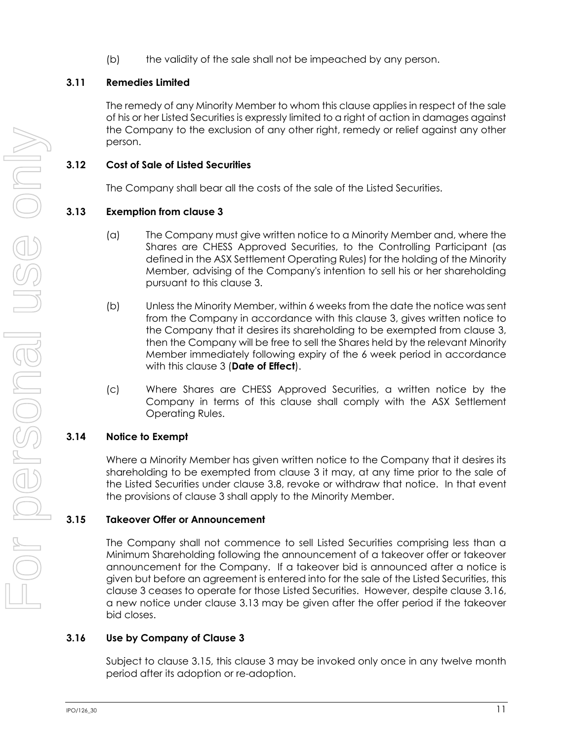(b) the validity of the sale shall not be impeached by any person.

# **3.11 Remedies Limited**

The remedy of any Minority Member to whom this clause applies in respect of the sale of his or her Listed Securities is expressly limited to a right of action in damages against the Company to the exclusion of any other right, remedy or relief against any other person.

# **3.12 Cost of Sale of Listed Securities**

The Company shall bear all the costs of the sale of the Listed Securities.

# <span id="page-17-0"></span>**3.13 Exemption from clause [3](#page-14-0)**

- (a) The Company must give written notice to a Minority Member and, where the Shares are CHESS Approved Securities, to the Controlling Participant (as defined in the ASX Settlement Operating Rules) for the holding of the Minority Member, advising of the Company's intention to sell his or her shareholding pursuant to this clause [3.](#page-14-0)
- (b) Unless the Minority Member, within 6 weeks from the date the notice was sent from the Company in accordance with this clause [3,](#page-14-0) gives written notice to the Company that it desires its shareholding to be exempted from clause [3,](#page-14-0) then the Company will be free to sell the Shares held by the relevant Minority Member immediately following expiry of the 6 week period in accordance with this clause [3](#page-14-0) (**Date of Effect**).
- (c) Where Shares are CHESS Approved Securities, a written notice by the Company in terms of this clause shall comply with the ASX Settlement Operating Rules.

# <span id="page-17-1"></span>**3.14 Notice to Exempt**

Where a Minority Member has given written notice to the Company that it desires its shareholding to be exempted from clause [3](#page-14-0) it may, at any time prior to the sale of the Listed Securities under clause [3.8,](#page-16-0) revoke or withdraw that notice. In that event the provisions of clause [3](#page-14-0) shall apply to the Minority Member.

# <span id="page-17-3"></span>**3.15 Takeover Offer or Announcement**

The Company shall not commence to sell Listed Securities comprising less than a Minimum Shareholding following the announcement of a takeover offer or takeover announcement for the Company. If a takeover bid is announced after a notice is given but before an agreement is entered into for the sale of the Listed Securities, this clause [3](#page-14-0) ceases to operate for those Listed Securities. However, despite clause [3.16,](#page-17-2) a new notice under clause [3.13](#page-17-0) may be given after the offer period if the takeover bid closes.

# <span id="page-17-2"></span>**3.16 Use by Company of Clause [3](#page-14-0)**

Subject to clause [3.15,](#page-17-3) this clause [3](#page-14-0) may be invoked only once in any twelve month period after its adoption or re-adoption.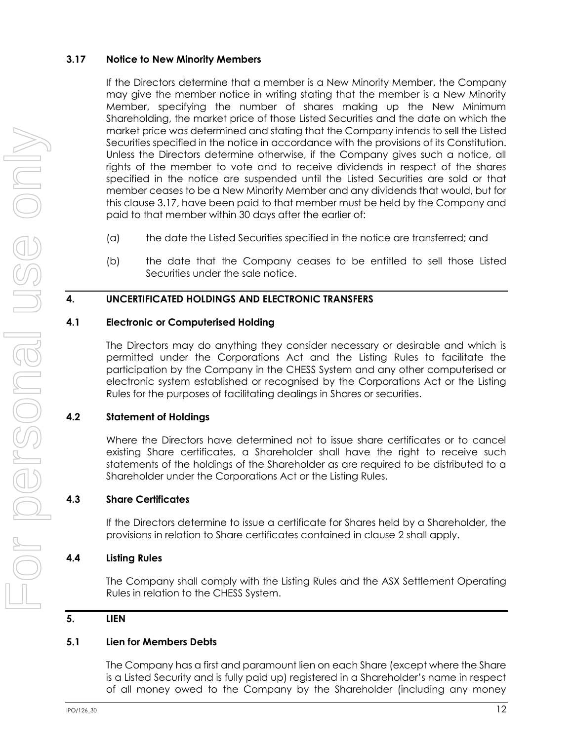#### <span id="page-18-1"></span>**3.17 Notice to New Minority Members**

If the Directors determine that a member is a New Minority Member, the Company may give the member notice in writing stating that the member is a New Minority Member, specifying the number of shares making up the New Minimum Shareholding, the market price of those Listed Securities and the date on which the market price was determined and stating that the Company intends to sell the Listed Securities specified in the notice in accordance with the provisions of its Constitution. Unless the Directors determine otherwise, if the Company gives such a notice, all rights of the member to vote and to receive dividends in respect of the shares specified in the notice are suspended until the Listed Securities are sold or that member ceases to be a New Minority Member and any dividends that would, but for this clause [3.17,](#page-18-1) have been paid to that member must be held by the Company and paid to that member within 30 days after the earlier of:

- (a) the date the Listed Securities specified in the notice are transferred; and
- (b) the date that the Company ceases to be entitled to sell those Listed Securities under the sale notice.

#### <span id="page-18-0"></span>**4. UNCERTIFICATED HOLDINGS AND ELECTRONIC TRANSFERS**

#### **4.1 Electronic or Computerised Holding**

The Directors may do anything they consider necessary or desirable and which is permitted under the Corporations Act and the Listing Rules to facilitate the participation by the Company in the CHESS System and any other computerised or electronic system established or recognised by the Corporations Act or the Listing Rules for the purposes of facilitating dealings in Shares or securities.

# **4.2 Statement of Holdings**

Where the Directors have determined not to issue share certificates or to cancel existing Share certificates, a Shareholder shall have the right to receive such statements of the holdings of the Shareholder as are required to be distributed to a Shareholder under the Corporations Act or the Listing Rules.

# **4.3 Share Certificates**

If the Directors determine to issue a certificate for Shares held by a Shareholder, the provisions in relation to Share certificates contained in clause [2](#page-11-0) shall apply.

# **4.4 Listing Rules**

The Company shall comply with the Listing Rules and the ASX Settlement Operating Rules in relation to the CHESS System.

# <span id="page-18-2"></span>**5. LIEN**

# **5.1 Lien for Members Debts**

The Company has a first and paramount lien on each Share (except where the Share is a Listed Security and is fully paid up) registered in a Shareholder's name in respect of all money owed to the Company by the Shareholder (including any money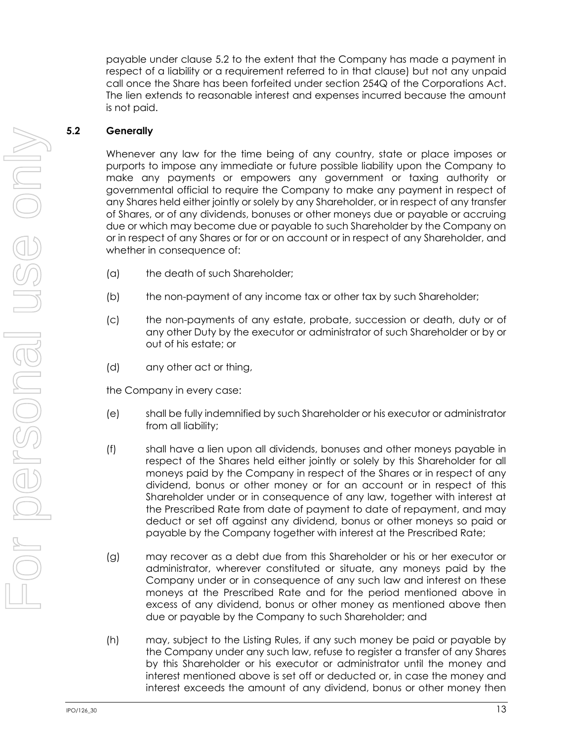payable under clause [5.2](#page-19-0) to the extent that the Company has made a payment in respect of a liability or a requirement referred to in that clause) but not any unpaid call once the Share has been forfeited under section 254Q of the Corporations Act. The lien extends to reasonable interest and expenses incurred because the amount is not paid.

#### <span id="page-19-0"></span>**5.2 Generally**

Whenever any law for the time being of any country, state or place imposes or purports to impose any immediate or future possible liability upon the Company to make any payments or empowers any government or taxing authority or governmental official to require the Company to make any payment in respect of any Shares held either jointly or solely by any Shareholder, or in respect of any transfer of Shares, or of any dividends, bonuses or other moneys due or payable or accruing due or which may become due or payable to such Shareholder by the Company on or in respect of any Shares or for or on account or in respect of any Shareholder, and whether in consequence of:

- (a) the death of such Shareholder;
- (b) the non-payment of any income tax or other tax by such Shareholder;
- (c) the non-payments of any estate, probate, succession or death, duty or of any other Duty by the executor or administrator of such Shareholder or by or out of his estate; or
- (d) any other act or thing,

the Company in every case:

- (e) shall be fully indemnified by such Shareholder or his executor or administrator from all liability;
- (f) shall have a lien upon all dividends, bonuses and other moneys payable in respect of the Shares held either jointly or solely by this Shareholder for all moneys paid by the Company in respect of the Shares or in respect of any dividend, bonus or other money or for an account or in respect of this Shareholder under or in consequence of any law, together with interest at the Prescribed Rate from date of payment to date of repayment, and may deduct or set off against any dividend, bonus or other moneys so paid or payable by the Company together with interest at the Prescribed Rate;
- (g) may recover as a debt due from this Shareholder or his or her executor or administrator, wherever constituted or situate, any moneys paid by the Company under or in consequence of any such law and interest on these moneys at the Prescribed Rate and for the period mentioned above in excess of any dividend, bonus or other money as mentioned above then due or payable by the Company to such Shareholder; and
- (h) may, subject to the Listing Rules, if any such money be paid or payable by the Company under any such law, refuse to register a transfer of any Shares by this Shareholder or his executor or administrator until the money and interest mentioned above is set off or deducted or, in case the money and interest exceeds the amount of any dividend, bonus or other money then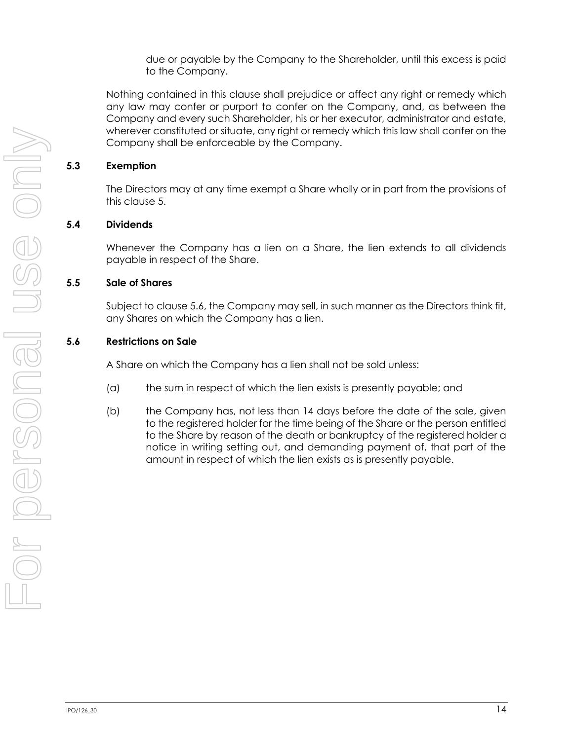due or payable by the Company to the Shareholder, until this excess is paid to the Company.

Nothing contained in this clause shall prejudice or affect any right or remedy which any law may confer or purport to confer on the Company, and, as between the Company and every such Shareholder, his or her executor, administrator and estate, wherever constituted or situate, any right or remedy which this law shall confer on the Company shall be enforceable by the Company.

#### **5.3 Exemption**

The Directors may at any time exempt a Share wholly or in part from the provisions of this clause [5.](#page-18-2)

# **5.4 Dividends**

Whenever the Company has a lien on a Share, the lien extends to all dividends payable in respect of the Share.

# <span id="page-20-1"></span>**5.5 Sale of Shares**

Subject to clause [5.6,](#page-20-0) the Company may sell, in such manner as the Directors think fit, any Shares on which the Company has a lien.

# <span id="page-20-0"></span>**5.6 Restrictions on Sale**

A Share on which the Company has a lien shall not be sold unless:

- (a) the sum in respect of which the lien exists is presently payable; and
- (b) the Company has, not less than 14 days before the date of the sale, given to the registered holder for the time being of the Share or the person entitled to the Share by reason of the death or bankruptcy of the registered holder a notice in writing setting out, and demanding payment of, that part of the amount in respect of which the lien exists as is presently payable.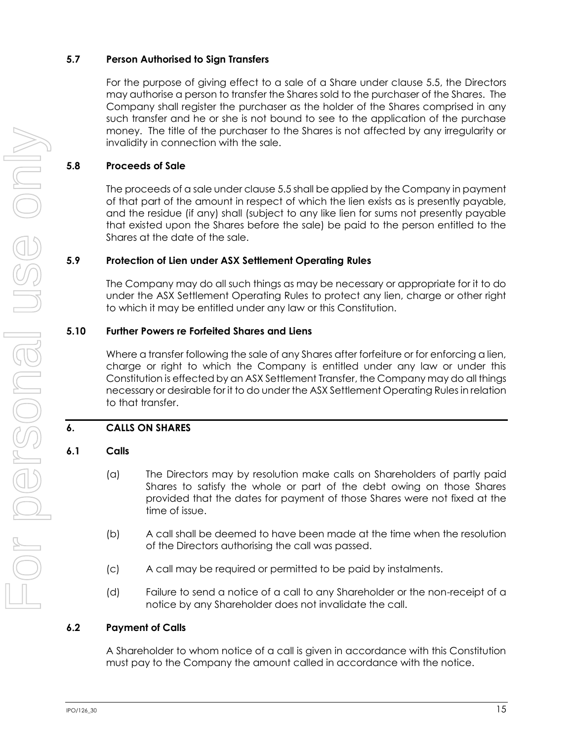# **5.7 Person Authorised to Sign Transfers**

For the purpose of giving effect to a sale of a Share under clause [5.5,](#page-20-1) the Directors may authorise a person to transfer the Shares sold to the purchaser of the Shares. The Company shall register the purchaser as the holder of the Shares comprised in any such transfer and he or she is not bound to see to the application of the purchase money. The title of the purchaser to the Shares is not affected by any irregularity or invalidity in connection with the sale.

# **5.8 Proceeds of Sale**

The proceeds of a sale under claus[e 5.5](#page-20-1) shall be applied by the Company in payment of that part of the amount in respect of which the lien exists as is presently payable, and the residue (if any) shall (subject to any like lien for sums not presently payable that existed upon the Shares before the sale) be paid to the person entitled to the Shares at the date of the sale.

# **5.9 Protection of Lien under ASX Settlement Operating Rules**

The Company may do all such things as may be necessary or appropriate for it to do under the ASX Settlement Operating Rules to protect any lien, charge or other right to which it may be entitled under any law or this Constitution.

# **5.10 Further Powers re Forfeited Shares and Liens**

Where a transfer following the sale of any Shares after forfeiture or for enforcing a lien, charge or right to which the Company is entitled under any law or under this Constitution is effected by an ASX Settlement Transfer, the Company may do all things necessary or desirable for it to do under the ASX Settlement Operating Rules in relation to that transfer.

# <span id="page-21-0"></span>**6. CALLS ON SHARES**

# **6.1 Calls**

- (a) The Directors may by resolution make calls on Shareholders of partly paid Shares to satisfy the whole or part of the debt owing on those Shares provided that the dates for payment of those Shares were not fixed at the time of issue.
- (b) A call shall be deemed to have been made at the time when the resolution of the Directors authorising the call was passed.
- (c) A call may be required or permitted to be paid by instalments.
- (d) Failure to send a notice of a call to any Shareholder or the non-receipt of a notice by any Shareholder does not invalidate the call.

# **6.2 Payment of Calls**

A Shareholder to whom notice of a call is given in accordance with this Constitution must pay to the Company the amount called in accordance with the notice.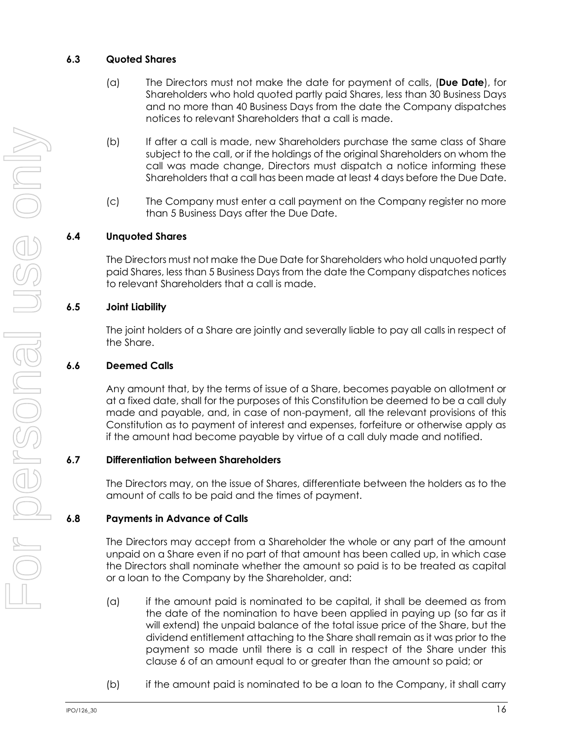# **6.3 Quoted Shares**

- (a) The Directors must not make the date for payment of calls, (**Due Date**), for Shareholders who hold quoted partly paid Shares, less than 30 Business Days and no more than 40 Business Days from the date the Company dispatches notices to relevant Shareholders that a call is made.
- (b) If after a call is made, new Shareholders purchase the same class of Share subject to the call, or if the holdings of the original Shareholders on whom the call was made change, Directors must dispatch a notice informing these Shareholders that a call has been made at least 4 days before the Due Date.
- (c) The Company must enter a call payment on the Company register no more than 5 Business Days after the Due Date.

# **6.4 Unquoted Shares**

The Directors must not make the Due Date for Shareholders who hold unquoted partly paid Shares, less than 5 Business Days from the date the Company dispatches notices to relevant Shareholders that a call is made.

#### **6.5 Joint Liability**

The joint holders of a Share are jointly and severally liable to pay all calls in respect of the Share.

#### **6.6 Deemed Calls**

Any amount that, by the terms of issue of a Share, becomes payable on allotment or at a fixed date, shall for the purposes of this Constitution be deemed to be a call duly made and payable, and, in case of non-payment, all the relevant provisions of this Constitution as to payment of interest and expenses, forfeiture or otherwise apply as if the amount had become payable by virtue of a call duly made and notified.

#### **6.7 Differentiation between Shareholders**

The Directors may, on the issue of Shares, differentiate between the holders as to the amount of calls to be paid and the times of payment.

#### **6.8 Payments in Advance of Calls**

The Directors may accept from a Shareholder the whole or any part of the amount unpaid on a Share even if no part of that amount has been called up, in which case the Directors shall nominate whether the amount so paid is to be treated as capital or a loan to the Company by the Shareholder, and:

- (a) if the amount paid is nominated to be capital, it shall be deemed as from the date of the nomination to have been applied in paying up (so far as it will extend) the unpaid balance of the total issue price of the Share, but the dividend entitlement attaching to the Share shall remain as it was prior to the payment so made until there is a call in respect of the Share under this clause [6](#page-21-0) of an amount equal to or greater than the amount so paid; or
- (b) if the amount paid is nominated to be a loan to the Company, it shall carry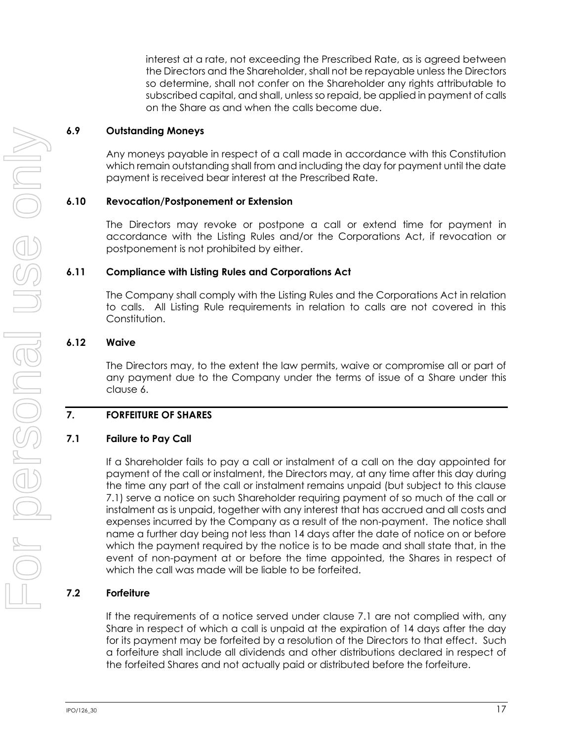interest at a rate, not exceeding the Prescribed Rate, as is agreed between the Directors and the Shareholder, shall not be repayable unless the Directors so determine, shall not confer on the Shareholder any rights attributable to subscribed capital, and shall, unless so repaid, be applied in payment of calls on the Share as and when the calls become due.

#### **6.9 Outstanding Moneys**

Any moneys payable in respect of a call made in accordance with this Constitution which remain outstanding shall from and including the day for payment until the date payment is received bear interest at the Prescribed Rate.

#### **6.10 Revocation/Postponement or Extension**

The Directors may revoke or postpone a call or extend time for payment in accordance with the Listing Rules and/or the Corporations Act, if revocation or postponement is not prohibited by either.

#### **6.11 Compliance with Listing Rules and Corporations Act**

The Company shall comply with the Listing Rules and the Corporations Act in relation to calls. All Listing Rule requirements in relation to calls are not covered in this Constitution.

#### **6.12 Waive**

The Directors may, to the extent the law permits, waive or compromise all or part of any payment due to the Company under the terms of issue of a Share under this claus[e 6.](#page-21-0)

#### <span id="page-23-1"></span>**7. FORFEITURE OF SHARES**

#### <span id="page-23-0"></span>**7.1 Failure to Pay Call**

If a Shareholder fails to pay a call or instalment of a call on the day appointed for payment of the call or instalment, the Directors may, at any time after this day during the time any part of the call or instalment remains unpaid (but subject to this clause [7.1\)](#page-23-0) serve a notice on such Shareholder requiring payment of so much of the call or instalment as is unpaid, together with any interest that has accrued and all costs and expenses incurred by the Company as a result of the non-payment. The notice shall name a further day being not less than 14 days after the date of notice on or before which the payment required by the notice is to be made and shall state that, in the event of non-payment at or before the time appointed, the Shares in respect of which the call was made will be liable to be forfeited.

#### **7.2 Forfeiture**

If the requirements of a notice served under clause [7.1](#page-23-0) are not complied with, any Share in respect of which a call is unpaid at the expiration of 14 days after the day for its payment may be forfeited by a resolution of the Directors to that effect. Such a forfeiture shall include all dividends and other distributions declared in respect of the forfeited Shares and not actually paid or distributed before the forfeiture.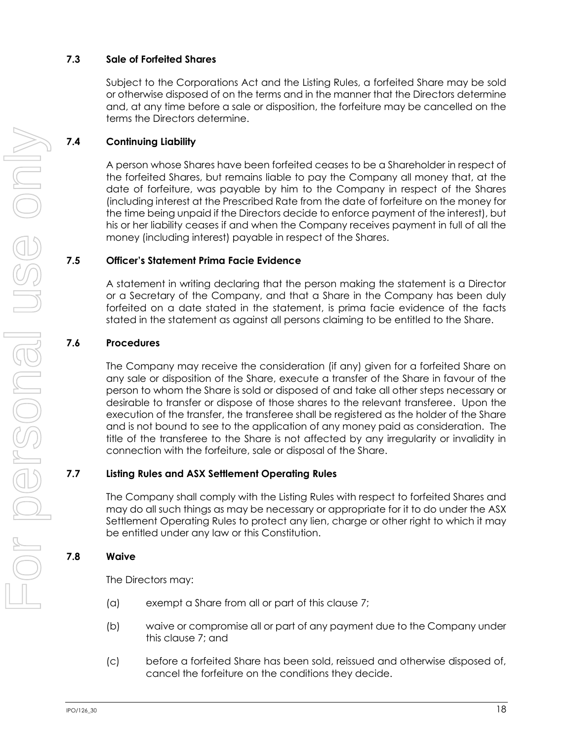# **7.3 Sale of Forfeited Shares**

Subject to the Corporations Act and the Listing Rules, a forfeited Share may be sold or otherwise disposed of on the terms and in the manner that the Directors determine and, at any time before a sale or disposition, the forfeiture may be cancelled on the terms the Directors determine.

# **7.4 Continuing Liability**

A person whose Shares have been forfeited ceases to be a Shareholder in respect of the forfeited Shares, but remains liable to pay the Company all money that, at the date of forfeiture, was payable by him to the Company in respect of the Shares (including interest at the Prescribed Rate from the date of forfeiture on the money for the time being unpaid if the Directors decide to enforce payment of the interest), but his or her liability ceases if and when the Company receives payment in full of all the money (including interest) payable in respect of the Shares.

#### **7.5 Officer's Statement Prima Facie Evidence**

A statement in writing declaring that the person making the statement is a Director or a Secretary of the Company, and that a Share in the Company has been duly forfeited on a date stated in the statement, is prima facie evidence of the facts stated in the statement as against all persons claiming to be entitled to the Share.

# **7.6 Procedures**

The Company may receive the consideration (if any) given for a forfeited Share on any sale or disposition of the Share, execute a transfer of the Share in favour of the person to whom the Share is sold or disposed of and take all other steps necessary or desirable to transfer or dispose of those shares to the relevant transferee. Upon the execution of the transfer, the transferee shall be registered as the holder of the Share and is not bound to see to the application of any money paid as consideration. The title of the transferee to the Share is not affected by any irregularity or invalidity in connection with the forfeiture, sale or disposal of the Share.

#### **7.7 Listing Rules and ASX Settlement Operating Rules**

The Company shall comply with the Listing Rules with respect to forfeited Shares and may do all such things as may be necessary or appropriate for it to do under the ASX Settlement Operating Rules to protect any lien, charge or other right to which it may be entitled under any law or this Constitution.

#### **7.8 Waive**

The Directors may:

- (a) exempt a Share from all or part of this clause [7;](#page-23-1)
- (b) waive or compromise all or part of any payment due to the Company under this clause [7;](#page-23-1) and
- (c) before a forfeited Share has been sold, reissued and otherwise disposed of, cancel the forfeiture on the conditions they decide.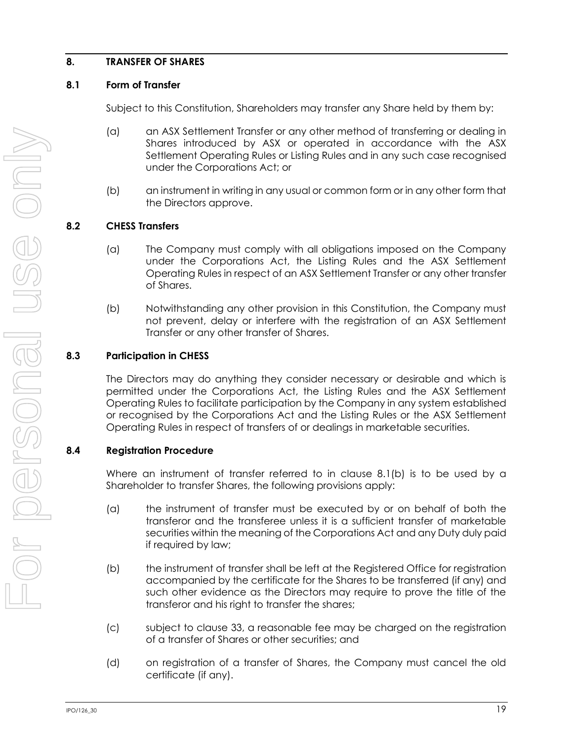# <span id="page-25-1"></span>**8. TRANSFER OF SHARES**

#### **8.1 Form of Transfer**

Subject to this Constitution, Shareholders may transfer any Share held by them by:

- (a) an ASX Settlement Transfer or any other method of transferring or dealing in Shares introduced by ASX or operated in accordance with the ASX Settlement Operating Rules or Listing Rules and in any such case recognised under the Corporations Act; or
- (b) an instrument in writing in any usual or common form or in any other form that the Directors approve.

# <span id="page-25-0"></span>**8.2 CHESS Transfers**

- (a) The Company must comply with all obligations imposed on the Company under the Corporations Act, the Listing Rules and the ASX Settlement Operating Rules in respect of an ASX Settlement Transfer or any other transfer of Shares.
- (b) Notwithstanding any other provision in this Constitution, the Company must not prevent, delay or interfere with the registration of an ASX Settlement Transfer or any other transfer of Shares.

# **8.3 Participation in CHESS**

The Directors may do anything they consider necessary or desirable and which is permitted under the Corporations Act, the Listing Rules and the ASX Settlement Operating Rules to facilitate participation by the Company in any system established or recognised by the Corporations Act and the Listing Rules or the ASX Settlement Operating Rules in respect of transfers of or dealings in marketable securities.

#### **8.4 Registration Procedure**

Where an instrument of transfer referred to in clause [8.1\(b\)](#page-25-0) is to be used by a Shareholder to transfer Shares, the following provisions apply:

- (a) the instrument of transfer must be executed by or on behalf of both the transferor and the transferee unless it is a sufficient transfer of marketable securities within the meaning of the Corporations Act and any Duty duly paid if required by law;
- (b) the instrument of transfer shall be left at the Registered Office for registration accompanied by the certificate for the Shares to be transferred (if any) and such other evidence as the Directors may require to prove the title of the transferor and his right to transfer the shares;
- (c) subject to clause [33,](#page-64-0) a reasonable fee may be charged on the registration of a transfer of Shares or other securities; and
- (d) on registration of a transfer of Shares, the Company must cancel the old certificate (if any).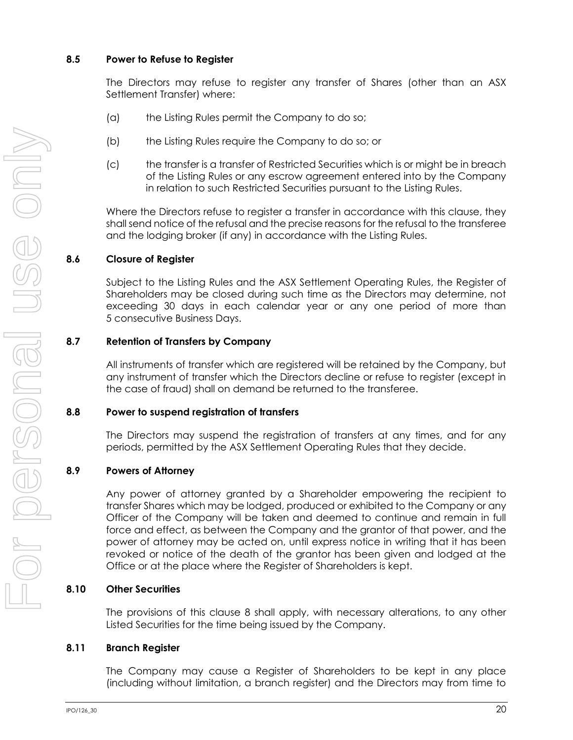#### **8.5 Power to Refuse to Register**

The Directors may refuse to register any transfer of Shares (other than an ASX Settlement Transfer) where:

- (a) the Listing Rules permit the Company to do so;
- (b) the Listing Rules require the Company to do so; or
- (c) the transfer is a transfer of Restricted Securities which is or might be in breach of the Listing Rules or any escrow agreement entered into by the Company in relation to such Restricted Securities pursuant to the Listing Rules.

Where the Directors refuse to register a transfer in accordance with this clause, they shall send notice of the refusal and the precise reasons for the refusal to the transferee and the lodging broker (if any) in accordance with the Listing Rules.

#### **8.6 Closure of Register**

Subject to the Listing Rules and the ASX Settlement Operating Rules, the Register of Shareholders may be closed during such time as the Directors may determine, not exceeding 30 days in each calendar year or any one period of more than 5 consecutive Business Days.

#### **8.7 Retention of Transfers by Company**

All instruments of transfer which are registered will be retained by the Company, but any instrument of transfer which the Directors decline or refuse to register (except in the case of fraud) shall on demand be returned to the transferee.

#### **8.8 Power to suspend registration of transfers**

The Directors may suspend the registration of transfers at any times, and for any periods, permitted by the ASX Settlement Operating Rules that they decide.

#### **8.9 Powers of Attorney**

Any power of attorney granted by a Shareholder empowering the recipient to transfer Shares which may be lodged, produced or exhibited to the Company or any Officer of the Company will be taken and deemed to continue and remain in full force and effect, as between the Company and the grantor of that power, and the power of attorney may be acted on, until express notice in writing that it has been revoked or notice of the death of the grantor has been given and lodged at the Office or at the place where the Register of Shareholders is kept.

#### **8.10 Other Securities**

The provisions of this clause [8](#page-25-1) shall apply, with necessary alterations, to any other Listed Securities for the time being issued by the Company.

#### **8.11 Branch Register**

The Company may cause a Register of Shareholders to be kept in any place (including without limitation, a branch register) and the Directors may from time to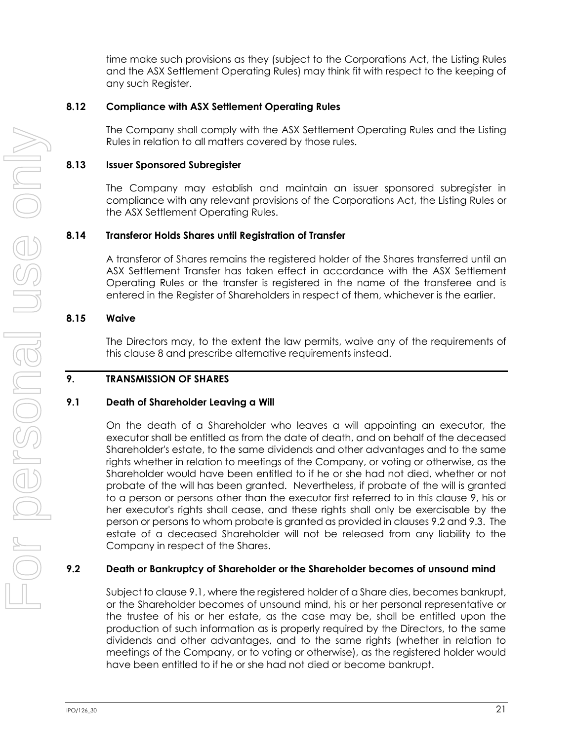time make such provisions as they (subject to the Corporations Act, the Listing Rules and the ASX Settlement Operating Rules) may think fit with respect to the keeping of any such Register.

#### **8.12 Compliance with ASX Settlement Operating Rules**

The Company shall comply with the ASX Settlement Operating Rules and the Listing Rules in relation to all matters covered by those rules.

#### **8.13 Issuer Sponsored Subregister**

The Company may establish and maintain an issuer sponsored subregister in compliance with any relevant provisions of the Corporations Act, the Listing Rules or the ASX Settlement Operating Rules.

#### **8.14 Transferor Holds Shares until Registration of Transfer**

A transferor of Shares remains the registered holder of the Shares transferred until an ASX Settlement Transfer has taken effect in accordance with the ASX Settlement Operating Rules or the transfer is registered in the name of the transferee and is entered in the Register of Shareholders in respect of them, whichever is the earlier.

#### **8.15 Waive**

The Directors may, to the extent the law permits, waive any of the requirements of this clause [8](#page-25-1) and prescribe alternative requirements instead.

#### <span id="page-27-0"></span>**9. TRANSMISSION OF SHARES**

#### <span id="page-27-2"></span>**9.1 Death of Shareholder Leaving a Will**

On the death of a Shareholder who leaves a will appointing an executor, the executor shall be entitled as from the date of death, and on behalf of the deceased Shareholder's estate, to the same dividends and other advantages and to the same rights whether in relation to meetings of the Company, or voting or otherwise, as the Shareholder would have been entitled to if he or she had not died, whether or not probate of the will has been granted. Nevertheless, if probate of the will is granted to a person or persons other than the executor first referred to in this clause [9,](#page-27-0) his or her executor's rights shall cease, and these rights shall only be exercisable by the person or persons to whom probate is granted as provided in clauses [9.2](#page-27-1) and [9.3.](#page-28-0) The estate of a deceased Shareholder will not be released from any liability to the Company in respect of the Shares.

#### <span id="page-27-1"></span>**9.2 Death or Bankruptcy of Shareholder or the Shareholder becomes of unsound mind**

Subject to clause [9.1,](#page-27-2) where the registered holder of a Share dies, becomes bankrupt, or the Shareholder becomes of unsound mind, his or her personal representative or the trustee of his or her estate, as the case may be, shall be entitled upon the production of such information as is properly required by the Directors, to the same dividends and other advantages, and to the same rights (whether in relation to meetings of the Company, or to voting or otherwise), as the registered holder would have been entitled to if he or she had not died or become bankrupt.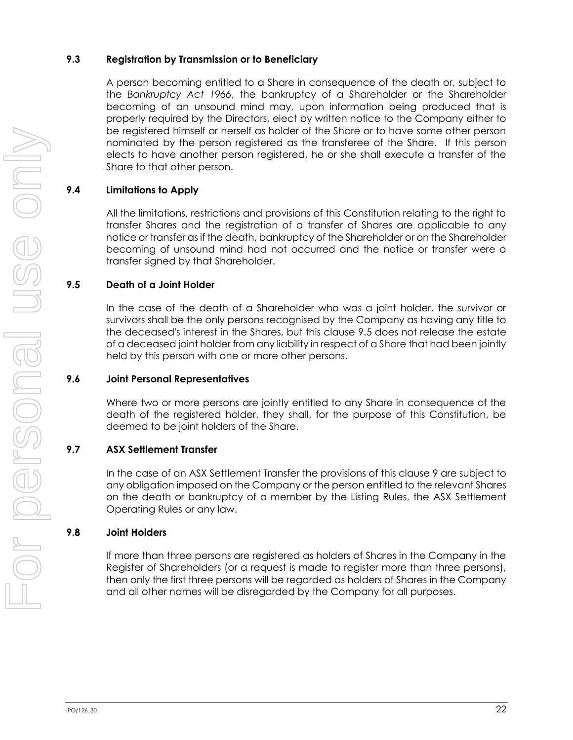# <span id="page-28-0"></span>**9.3 Registration by Transmission or to Beneficiary**

A person becoming entitled to a Share in consequence of the death or, subject to the *Bankruptcy Act 1966*, the bankruptcy of a Shareholder or the Shareholder becoming of an unsound mind may, upon information being produced that is properly required by the Directors, elect by written notice to the Company either to be registered himself or herself as holder of the Share or to have some other person nominated by the person registered as the transferee of the Share. If this person elects to have another person registered, he or she shall execute a transfer of the Share to that other person.

# **9.4 Limitations to Apply**

All the limitations, restrictions and provisions of this Constitution relating to the right to transfer Shares and the registration of a transfer of Shares are applicable to any notice or transfer as if the death, bankruptcy of the Shareholder or on the Shareholder becoming of unsound mind had not occurred and the notice or transfer were a transfer signed by that Shareholder.

#### <span id="page-28-1"></span>**9.5 Death of a Joint Holder**

In the case of the death of a Shareholder who was a joint holder, the survivor or survivors shall be the only persons recognised by the Company as having any title to the deceased's interest in the Shares, but this clause [9.5](#page-28-1) does not release the estate of a deceased joint holder from any liability in respect of a Share that had been jointly held by this person with one or more other persons.

#### **9.6 Joint Personal Representatives**

Where two or more persons are jointly entitled to any Share in consequence of the death of the registered holder, they shall, for the purpose of this Constitution, be deemed to be joint holders of the Share.

#### **9.7 ASX Settlement Transfer**

In the case of an ASX Settlement Transfer the provisions of this clause [9](#page-27-0) are subject to any obligation imposed on the Company or the person entitled to the relevant Shares on the death or bankruptcy of a member by the Listing Rules, the ASX Settlement Operating Rules or any law.

#### **9.8 Joint Holders**

If more than three persons are registered as holders of Shares in the Company in the Register of Shareholders (or a request is made to register more than three persons), then only the first three persons will be regarded as holders of Shares in the Company and all other names will be disregarded by the Company for all purposes.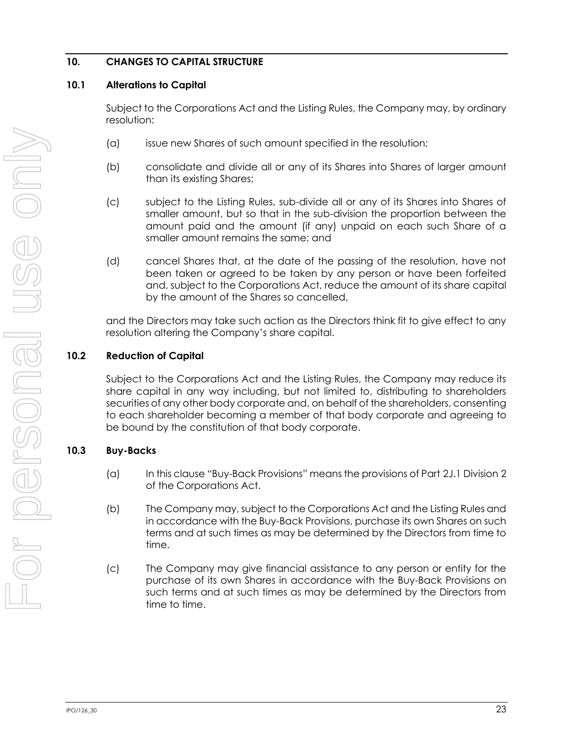# **10. CHANGES TO CAPITAL STRUCTURE**

#### **10.1 Alterations to Capital**

Subject to the Corporations Act and the Listing Rules, the Company may, by ordinary resolution:

- (a) issue new Shares of such amount specified in the resolution;
- (b) consolidate and divide all or any of its Shares into Shares of larger amount than its existing Shares;
- (c) subject to the Listing Rules, sub-divide all or any of its Shares into Shares of smaller amount, but so that in the sub-division the proportion between the amount paid and the amount (if any) unpaid on each such Share of a smaller amount remains the same; and
- (d) cancel Shares that, at the date of the passing of the resolution, have not been taken or agreed to be taken by any person or have been forfeited and, subject to the Corporations Act, reduce the amount of its share capital by the amount of the Shares so cancelled,

and the Directors may take such action as the Directors think fit to give effect to any resolution altering the Company's share capital.

#### **10.2 Reduction of Capital**

Subject to the Corporations Act and the Listing Rules, the Company may reduce its share capital in any way including, but not limited to, distributing to shareholders securities of any other body corporate and, on behalf of the shareholders, consenting to each shareholder becoming a member of that body corporate and agreeing to be bound by the constitution of that body corporate.

#### **10.3 Buy-Backs**

- (a) In this clause "Buy-Back Provisions" means the provisions of Part 2J.1 Division 2 of the Corporations Act.
- (b) The Company may, subject to the Corporations Act and the Listing Rules and in accordance with the Buy-Back Provisions, purchase its own Shares on such terms and at such times as may be determined by the Directors from time to time.
- (c) The Company may give financial assistance to any person or entity for the purchase of its own Shares in accordance with the Buy-Back Provisions on such terms and at such times as may be determined by the Directors from time to time.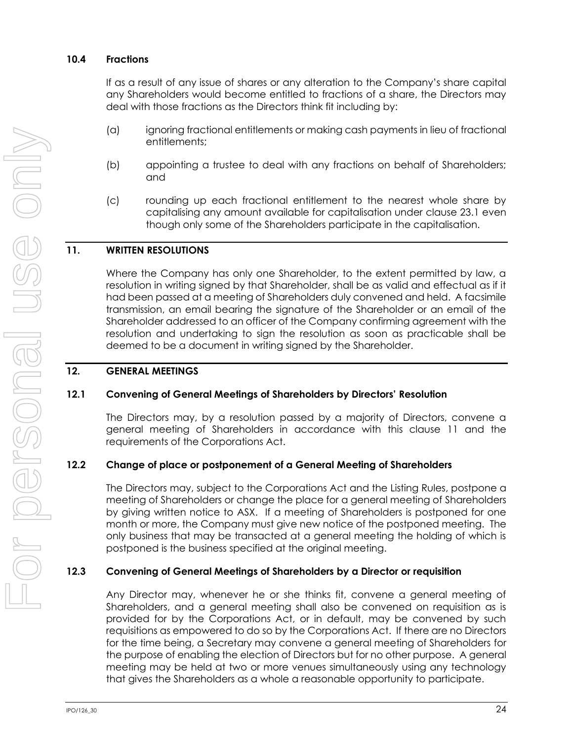#### **10.4 Fractions**

If as a result of any issue of shares or any alteration to the Company's share capital any Shareholders would become entitled to fractions of a share, the Directors may deal with those fractions as the Directors think fit including by:

- (a) ignoring fractional entitlements or making cash payments in lieu of fractional entitlements;
- (b) appointing a trustee to deal with any fractions on behalf of Shareholders; and
- (c) rounding up each fractional entitlement to the nearest whole share by capitalising any amount available for capitalisation under clause [23.1](#page-57-0) even though only some of the Shareholders participate in the capitalisation.

#### <span id="page-30-0"></span>**11. WRITTEN RESOLUTIONS**

Where the Company has only one Shareholder, to the extent permitted by law, a resolution in writing signed by that Shareholder, shall be as valid and effectual as if it had been passed at a meeting of Shareholders duly convened and held. A facsimile transmission, an email bearing the signature of the Shareholder or an email of the Shareholder addressed to an officer of the Company confirming agreement with the resolution and undertaking to sign the resolution as soon as practicable shall be deemed to be a document in writing signed by the Shareholder.

#### **12. GENERAL MEETINGS**

#### <span id="page-30-1"></span>**12.1 Convening of General Meetings of Shareholders by Directors' Resolution**

The Directors may, by a resolution passed by a majority of Directors, convene a general meeting of Shareholders in accordance with this clause [11](#page-30-0) and the requirements of the Corporations Act.

#### **12.2 Change of place or postponement of a General Meeting of Shareholders**

The Directors may, subject to the Corporations Act and the Listing Rules, postpone a meeting of Shareholders or change the place for a general meeting of Shareholders by giving written notice to ASX. If a meeting of Shareholders is postponed for one month or more, the Company must give new notice of the postponed meeting. The only business that may be transacted at a general meeting the holding of which is postponed is the business specified at the original meeting.

#### **12.3 Convening of General Meetings of Shareholders by a Director or requisition**

Any Director may, whenever he or she thinks fit, convene a general meeting of Shareholders, and a general meeting shall also be convened on requisition as is provided for by the Corporations Act, or in default, may be convened by such requisitions as empowered to do so by the Corporations Act. If there are no Directors for the time being, a Secretary may convene a general meeting of Shareholders for the purpose of enabling the election of Directors but for no other purpose. A general meeting may be held at two or more venues simultaneously using any technology that gives the Shareholders as a whole a reasonable opportunity to participate.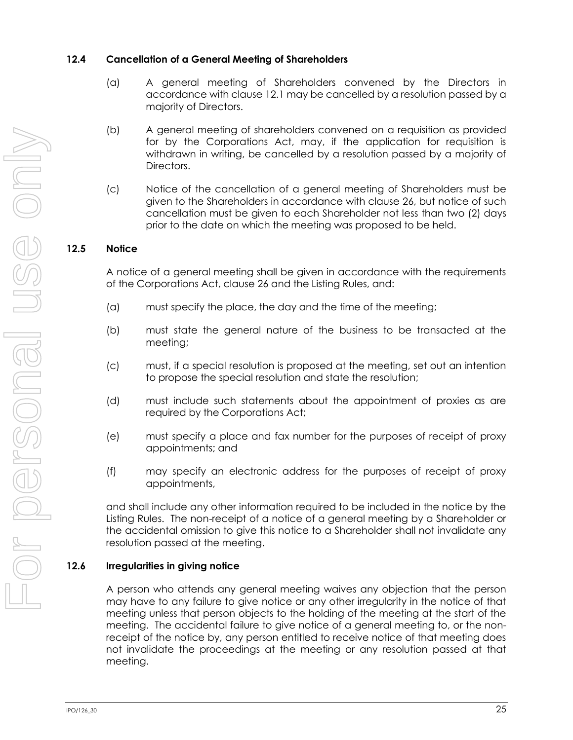#### **12.4 Cancellation of a General Meeting of Shareholders**

- (a) A general meeting of Shareholders convened by the Directors in accordance with clause [12.1](#page-30-1) may be cancelled by a resolution passed by a majority of Directors.
- (b) A general meeting of shareholders convened on a requisition as provided for by the Corporations Act, may, if the application for requisition is withdrawn in writing, be cancelled by a resolution passed by a majority of Directors.
- (c) Notice of the cancellation of a general meeting of Shareholders must be given to the Shareholders in accordance with clause [26,](#page-58-2) but notice of such cancellation must be given to each Shareholder not less than two (2) days prior to the date on which the meeting was proposed to be held.

# **12.5 Notice**

A notice of a general meeting shall be given in accordance with the requirements of the Corporations Act, clause [26](#page-58-2) and the Listing Rules, and:

- (a) must specify the place, the day and the time of the meeting;
- (b) must state the general nature of the business to be transacted at the meeting;
- (c) must, if a special resolution is proposed at the meeting, set out an intention to propose the special resolution and state the resolution;
- (d) must include such statements about the appointment of proxies as are required by the Corporations Act;
- (e) must specify a place and fax number for the purposes of receipt of proxy appointments; and
- (f) may specify an electronic address for the purposes of receipt of proxy appointments,

and shall include any other information required to be included in the notice by the Listing Rules. The non-receipt of a notice of a general meeting by a Shareholder or the accidental omission to give this notice to a Shareholder shall not invalidate any resolution passed at the meeting.

# **12.6 Irregularities in giving notice**

A person who attends any general meeting waives any objection that the person may have to any failure to give notice or any other irregularity in the notice of that meeting unless that person objects to the holding of the meeting at the start of the meeting. The accidental failure to give notice of a general meeting to, or the nonreceipt of the notice by, any person entitled to receive notice of that meeting does not invalidate the proceedings at the meeting or any resolution passed at that meeting.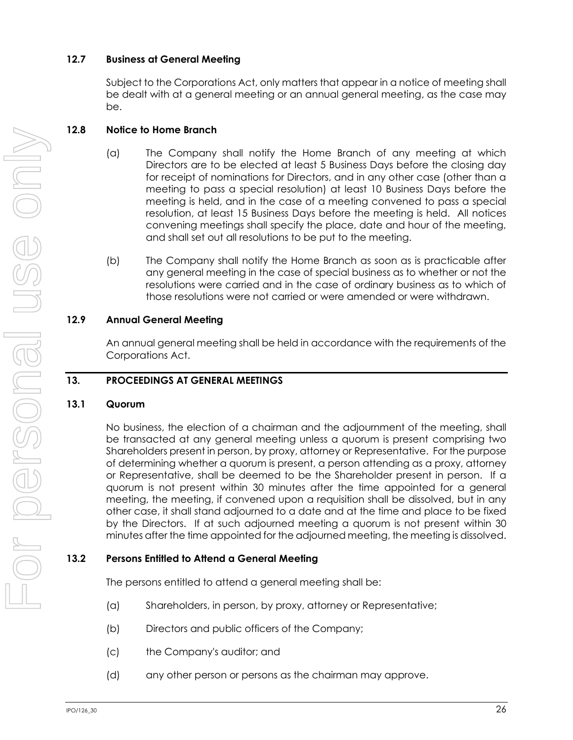# **12.7 Business at General Meeting**

Subject to the Corporations Act, only matters that appear in a notice of meeting shall be dealt with at a general meeting or an annual general meeting, as the case may be.

# **12.8 Notice to Home Branch**

- (a) The Company shall notify the Home Branch of any meeting at which Directors are to be elected at least 5 Business Days before the closing day for receipt of nominations for Directors, and in any other case (other than a meeting to pass a special resolution) at least 10 Business Days before the meeting is held, and in the case of a meeting convened to pass a special resolution, at least 15 Business Days before the meeting is held. All notices convening meetings shall specify the place, date and hour of the meeting, and shall set out all resolutions to be put to the meeting.
- (b) The Company shall notify the Home Branch as soon as is practicable after any general meeting in the case of special business as to whether or not the resolutions were carried and in the case of ordinary business as to which of those resolutions were not carried or were amended or were withdrawn.

# **12.9 Annual General Meeting**

An annual general meeting shall be held in accordance with the requirements of the Corporations Act.

# **13. PROCEEDINGS AT GENERAL MEETINGS**

# **13.1 Quorum**

No business, the election of a chairman and the adjournment of the meeting, shall be transacted at any general meeting unless a quorum is present comprising two Shareholders present in person, by proxy, attorney or Representative. For the purpose of determining whether a quorum is present, a person attending as a proxy, attorney or Representative, shall be deemed to be the Shareholder present in person. If a quorum is not present within 30 minutes after the time appointed for a general meeting, the meeting, if convened upon a requisition shall be dissolved, but in any other case, it shall stand adjourned to a date and at the time and place to be fixed by the Directors. If at such adjourned meeting a quorum is not present within 30 minutes after the time appointed for the adjourned meeting, the meeting is dissolved.

# **13.2 Persons Entitled to Attend a General Meeting**

The persons entitled to attend a general meeting shall be:

- (a) Shareholders, in person, by proxy, attorney or Representative;
- (b) Directors and public officers of the Company;
- (c) the Company's auditor; and
- (d) any other person or persons as the chairman may approve.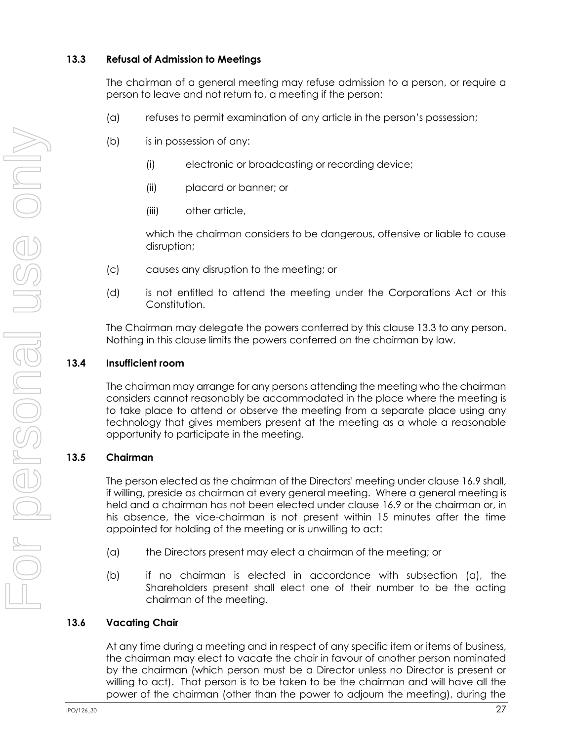# <span id="page-33-0"></span>**13.3 Refusal of Admission to Meetings**

The chairman of a general meeting may refuse admission to a person, or require a person to leave and not return to, a meeting if the person:

- (a) refuses to permit examination of any article in the person's possession;
- (b) is in possession of any:
	- (i) electronic or broadcasting or recording device;
	- (ii) placard or banner; or
	- (iii) other article,

which the chairman considers to be dangerous, offensive or liable to cause disruption;

- (c) causes any disruption to the meeting; or
- (d) is not entitled to attend the meeting under the Corporations Act or this Constitution.

The Chairman may delegate the powers conferred by this clause [13.3](#page-33-0) to any person. Nothing in this clause limits the powers conferred on the chairman by law.

# **13.4 Insufficient room**

The chairman may arrange for any persons attending the meeting who the chairman considers cannot reasonably be accommodated in the place where the meeting is to take place to attend or observe the meeting from a separate place using any technology that gives members present at the meeting as a whole a reasonable opportunity to participate in the meeting.

# **13.5 Chairman**

The person elected as the chairman of the Directors' meeting under clause [16.9](#page-48-0) shall, if willing, preside as chairman at every general meeting. Where a general meeting is held and a chairman has not been elected under clause [16.9](#page-48-0) or the chairman or, in his absence, the vice-chairman is not present within 15 minutes after the time appointed for holding of the meeting or is unwilling to act:

- (a) the Directors present may elect a chairman of the meeting; or
- (b) if no chairman is elected in accordance with subsection (a), the Shareholders present shall elect one of their number to be the acting chairman of the meeting.

# **13.6 Vacating Chair**

At any time during a meeting and in respect of any specific item or items of business, the chairman may elect to vacate the chair in favour of another person nominated by the chairman (which person must be a Director unless no Director is present or willing to act). That person is to be taken to be the chairman and will have all the power of the chairman (other than the power to adjourn the meeting), during the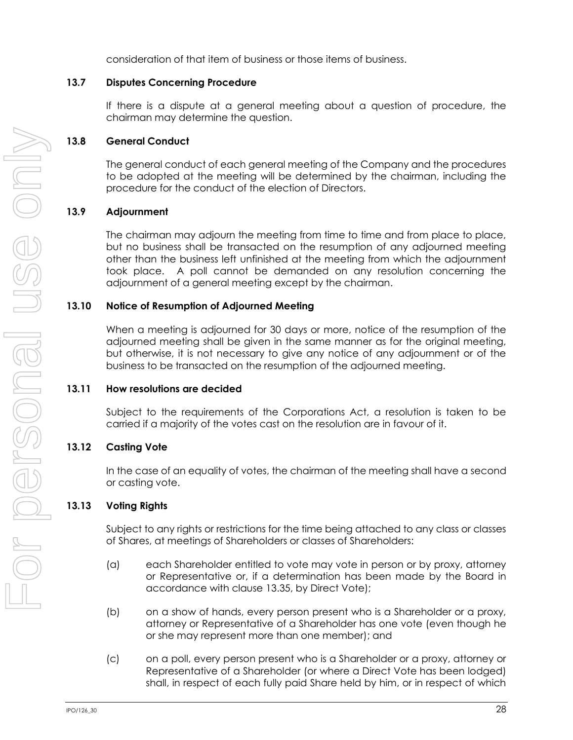consideration of that item of business or those items of business.

#### **13.7 Disputes Concerning Procedure**

If there is a dispute at a general meeting about a question of procedure, the chairman may determine the question.

# **13.8 General Conduct**

The general conduct of each general meeting of the Company and the procedures to be adopted at the meeting will be determined by the chairman, including the procedure for the conduct of the election of Directors.

#### **13.9 Adjournment**

The chairman may adjourn the meeting from time to time and from place to place, but no business shall be transacted on the resumption of any adjourned meeting other than the business left unfinished at the meeting from which the adjournment took place. A poll cannot be demanded on any resolution concerning the adjournment of a general meeting except by the chairman.

#### **13.10 Notice of Resumption of Adjourned Meeting**

When a meeting is adjourned for 30 days or more, notice of the resumption of the adjourned meeting shall be given in the same manner as for the original meeting, but otherwise, it is not necessary to give any notice of any adjournment or of the business to be transacted on the resumption of the adjourned meeting.

#### **13.11 How resolutions are decided**

Subject to the requirements of the Corporations Act, a resolution is taken to be carried if a majority of the votes cast on the resolution are in favour of it.

#### **13.12 Casting Vote**

In the case of an equality of votes, the chairman of the meeting shall have a second or casting vote.

#### **13.13 Voting Rights**

Subject to any rights or restrictions for the time being attached to any class or classes of Shares, at meetings of Shareholders or classes of Shareholders:

- (a) each Shareholder entitled to vote may vote in person or by proxy, attorney or Representative or, if a determination has been made by the Board in accordance with clause [13.35,](#page-39-0) by Direct Vote);
- (b) on a show of hands, every person present who is a Shareholder or a proxy, attorney or Representative of a Shareholder has one vote (even though he or she may represent more than one member); and
- (c) on a poll, every person present who is a Shareholder or a proxy, attorney or Representative of a Shareholder (or where a Direct Vote has been lodged) shall, in respect of each fully paid Share held by him, or in respect of which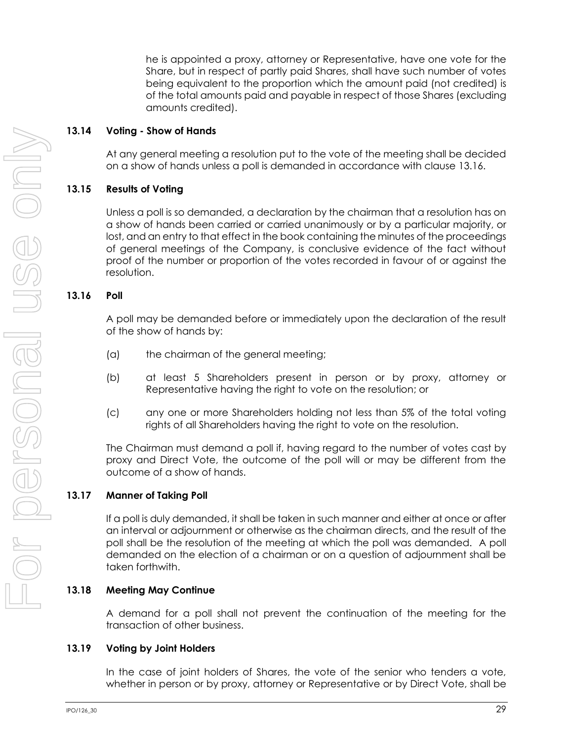he is appointed a proxy, attorney or Representative, have one vote for the Share, but in respect of partly paid Shares, shall have such number of votes being equivalent to the proportion which the amount paid (not credited) is of the total amounts paid and payable in respect of those Shares (excluding amounts credited).

#### **13.14 Voting - Show of Hands**

At any general meeting a resolution put to the vote of the meeting shall be decided on a show of hands unless a poll is demanded in accordance with clause [13.16.](#page-35-0)

# **13.15 Results of Voting**

Unless a poll is so demanded, a declaration by the chairman that a resolution has on a show of hands been carried or carried unanimously or by a particular majority, or lost, and an entry to that effect in the book containing the minutes of the proceedings of general meetings of the Company, is conclusive evidence of the fact without proof of the number or proportion of the votes recorded in favour of or against the resolution.

# <span id="page-35-0"></span>**13.16 Poll**

A poll may be demanded before or immediately upon the declaration of the result of the show of hands by:

- (a) the chairman of the general meeting;
- (b) at least 5 Shareholders present in person or by proxy, attorney or Representative having the right to vote on the resolution; or
- (c) any one or more Shareholders holding not less than 5% of the total voting rights of all Shareholders having the right to vote on the resolution.

The Chairman must demand a poll if, having regard to the number of votes cast by proxy and Direct Vote, the outcome of the poll will or may be different from the outcome of a show of hands.

#### **13.17 Manner of Taking Poll**

If a poll is duly demanded, it shall be taken in such manner and either at once or after an interval or adjournment or otherwise as the chairman directs, and the result of the poll shall be the resolution of the meeting at which the poll was demanded. A poll demanded on the election of a chairman or on a question of adjournment shall be taken forthwith.

#### **13.18 Meeting May Continue**

A demand for a poll shall not prevent the continuation of the meeting for the transaction of other business.

#### **13.19 Voting by Joint Holders**

In the case of joint holders of Shares, the vote of the senior who tenders a vote, whether in person or by proxy, attorney or Representative or by Direct Vote, shall be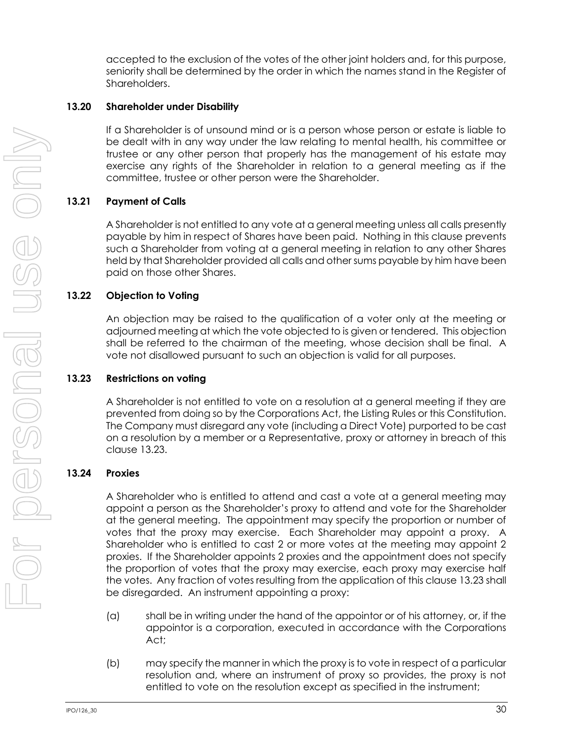accepted to the exclusion of the votes of the other joint holders and, for this purpose, seniority shall be determined by the order in which the names stand in the Register of Shareholders.

### **13.20 Shareholder under Disability**

If a Shareholder is of unsound mind or is a person whose person or estate is liable to be dealt with in any way under the law relating to mental health, his committee or trustee or any other person that properly has the management of his estate may exercise any rights of the Shareholder in relation to a general meeting as if the committee, trustee or other person were the Shareholder.

## **13.21 Payment of Calls**

A Shareholder is not entitled to any vote at a general meeting unless all calls presently payable by him in respect of Shares have been paid. Nothing in this clause prevents such a Shareholder from voting at a general meeting in relation to any other Shares held by that Shareholder provided all calls and other sums payable by him have been paid on those other Shares.

## **13.22 Objection to Voting**

An objection may be raised to the qualification of a voter only at the meeting or adjourned meeting at which the vote objected to is given or tendered. This objection shall be referred to the chairman of the meeting, whose decision shall be final. A vote not disallowed pursuant to such an objection is valid for all purposes.

### <span id="page-36-0"></span>**13.23 Restrictions on voting**

A Shareholder is not entitled to vote on a resolution at a general meeting if they are prevented from doing so by the Corporations Act, the Listing Rules or this Constitution. The Company must disregard any vote (including a Direct Vote) purported to be cast on a resolution by a member or a Representative, proxy or attorney in breach of this clause [13.23.](#page-36-0)

### <span id="page-36-1"></span>**13.24 Proxies**

A Shareholder who is entitled to attend and cast a vote at a general meeting may appoint a person as the Shareholder's proxy to attend and vote for the Shareholder at the general meeting. The appointment may specify the proportion or number of votes that the proxy may exercise. Each Shareholder may appoint a proxy. A Shareholder who is entitled to cast 2 or more votes at the meeting may appoint 2 proxies. If the Shareholder appoints 2 proxies and the appointment does not specify the proportion of votes that the proxy may exercise, each proxy may exercise half the votes. Any fraction of votes resulting from the application of this claus[e 13.23](#page-36-0) shall be disregarded. An instrument appointing a proxy:

- (a) shall be in writing under the hand of the appointor or of his attorney, or, if the appointor is a corporation, executed in accordance with the Corporations Act;
- (b) may specify the manner in which the proxy is to vote in respect of a particular resolution and, where an instrument of proxy so provides, the proxy is not entitled to vote on the resolution except as specified in the instrument;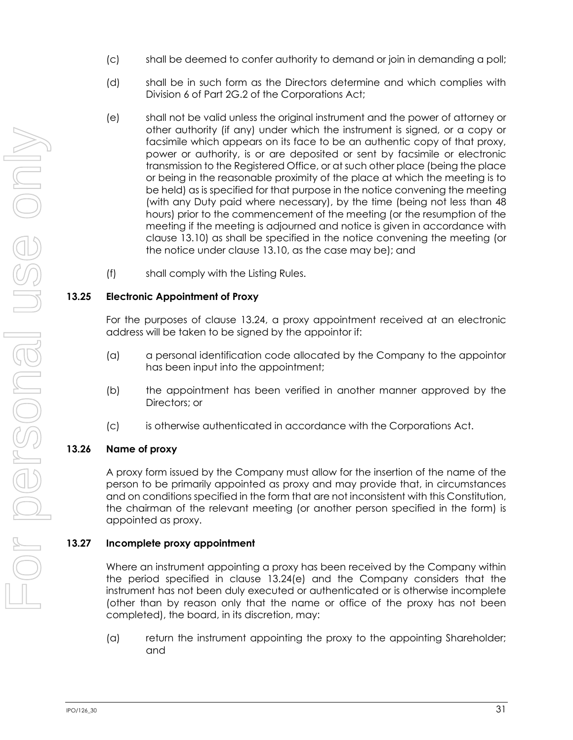- (c) shall be deemed to confer authority to demand or join in demanding a poll;
- (d) shall be in such form as the Directors determine and which complies with Division 6 of Part 2G.2 of the Corporations Act;
- <span id="page-37-0"></span>(e) shall not be valid unless the original instrument and the power of attorney or other authority (if any) under which the instrument is signed, or a copy or facsimile which appears on its face to be an authentic copy of that proxy, power or authority, is or are deposited or sent by facsimile or electronic transmission to the Registered Office, or at such other place (being the place or being in the reasonable proximity of the place at which the meeting is to be held) as is specified for that purpose in the notice convening the meeting (with any Duty paid where necessary), by the time (being not less than 48 hours) prior to the commencement of the meeting (or the resumption of the meeting if the meeting is adjourned and notice is given in accordance with clause [13.10\)](#page-34-0) as shall be specified in the notice convening the meeting (or the notice under clause [13.10,](#page-34-0) as the case may be); and
- (f) shall comply with the Listing Rules.

## **13.25 Electronic Appointment of Proxy**

For the purposes of clause [13.24,](#page-36-1) a proxy appointment received at an electronic address will be taken to be signed by the appointor if:

- (a) a personal identification code allocated by the Company to the appointor has been input into the appointment;
- (b) the appointment has been verified in another manner approved by the Directors; or
- (c) is otherwise authenticated in accordance with the Corporations Act.

## **13.26 Name of proxy**

A proxy form issued by the Company must allow for the insertion of the name of the person to be primarily appointed as proxy and may provide that, in circumstances and on conditions specified in the form that are not inconsistent with this Constitution, the chairman of the relevant meeting (or another person specified in the form) is appointed as proxy.

## **13.27 Incomplete proxy appointment**

Where an instrument appointing a proxy has been received by the Company within the period specified in clause [13.24\(e\)](#page-37-0) and the Company considers that the instrument has not been duly executed or authenticated or is otherwise incomplete (other than by reason only that the name or office of the proxy has not been completed), the board, in its discretion, may:

(a) return the instrument appointing the proxy to the appointing Shareholder; and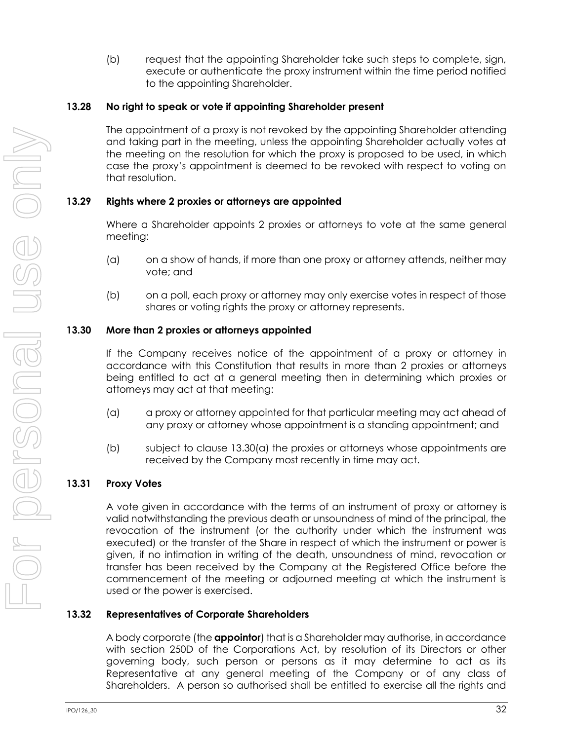(b) request that the appointing Shareholder take such steps to complete, sign, execute or authenticate the proxy instrument within the time period notified to the appointing Shareholder.

### **13.28 No right to speak or vote if appointing Shareholder present**

The appointment of a proxy is not revoked by the appointing Shareholder attending and taking part in the meeting, unless the appointing Shareholder actually votes at the meeting on the resolution for which the proxy is proposed to be used, in which case the proxy's appointment is deemed to be revoked with respect to voting on that resolution.

## **13.29 Rights where 2 proxies or attorneys are appointed**

Where a Shareholder appoints 2 proxies or attorneys to vote at the same general meeting:

- (a) on a show of hands, if more than one proxy or attorney attends, neither may vote; and
- (b) on a poll, each proxy or attorney may only exercise votes in respect of those shares or voting rights the proxy or attorney represents.

## **13.30 More than 2 proxies or attorneys appointed**

If the Company receives notice of the appointment of a proxy or attorney in accordance with this Constitution that results in more than 2 proxies or attorneys being entitled to act at a general meeting then in determining which proxies or attorneys may act at that meeting:

- <span id="page-38-0"></span>(a) a proxy or attorney appointed for that particular meeting may act ahead of any proxy or attorney whose appointment is a standing appointment; and
- (b) subject to clause [13.30\(a\)](#page-38-0) the proxies or attorneys whose appointments are received by the Company most recently in time may act.

## **13.31 Proxy Votes**

A vote given in accordance with the terms of an instrument of proxy or attorney is valid notwithstanding the previous death or unsoundness of mind of the principal, the revocation of the instrument (or the authority under which the instrument was executed) or the transfer of the Share in respect of which the instrument or power is given, if no intimation in writing of the death, unsoundness of mind, revocation or transfer has been received by the Company at the Registered Office before the commencement of the meeting or adjourned meeting at which the instrument is used or the power is exercised.

## <span id="page-38-1"></span>**13.32 Representatives of Corporate Shareholders**

A body corporate (the **appointor**) that is a Shareholder may authorise, in accordance with section 250D of the Corporations Act, by resolution of its Directors or other governing body, such person or persons as it may determine to act as its Representative at any general meeting of the Company or of any class of Shareholders. A person so authorised shall be entitled to exercise all the rights and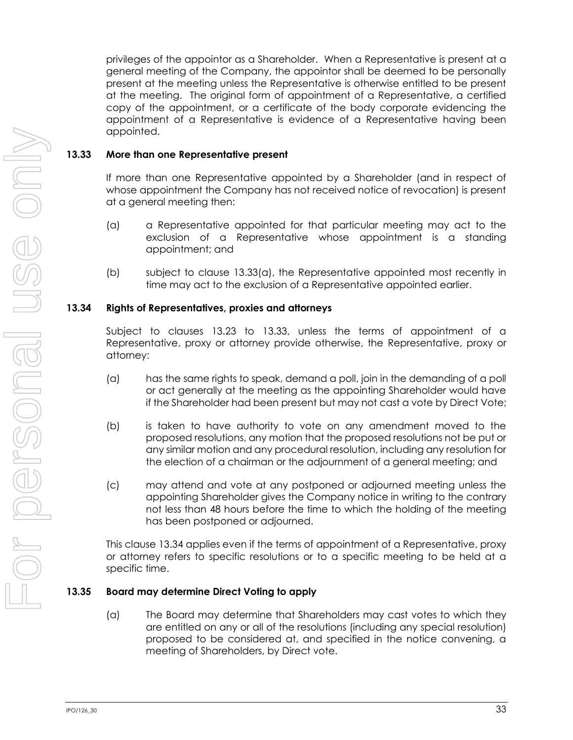privileges of the appointor as a Shareholder. When a Representative is present at a general meeting of the Company, the appointor shall be deemed to be personally present at the meeting unless the Representative is otherwise entitled to be present at the meeting. The original form of appointment of a Representative, a certified copy of the appointment, or a certificate of the body corporate evidencing the appointment of a Representative is evidence of a Representative having been appointed.

### <span id="page-39-1"></span>**13.33 More than one Representative present**

If more than one Representative appointed by a Shareholder (and in respect of whose appointment the Company has not received notice of revocation) is present at a general meeting then:

- <span id="page-39-0"></span>(a) a Representative appointed for that particular meeting may act to the exclusion of a Representative whose appointment is a standing appointment; and
- (b) subject to clause [13.33\(a\),](#page-39-0) the Representative appointed most recently in time may act to the exclusion of a Representative appointed earlier.

### <span id="page-39-2"></span>**13.34 Rights of Representatives, proxies and attorneys**

Subject to clauses [13.23](#page-36-0) to [13.33,](#page-39-1) unless the terms of appointment of a Representative, proxy or attorney provide otherwise, the Representative, proxy or attorney:

- (a) has the same rights to speak, demand a poll, join in the demanding of a poll or act generally at the meeting as the appointing Shareholder would have if the Shareholder had been present but may not cast a vote by Direct Vote;
- (b) is taken to have authority to vote on any amendment moved to the proposed resolutions, any motion that the proposed resolutions not be put or any similar motion and any procedural resolution, including any resolution for the election of a chairman or the adjournment of a general meeting; and
- (c) may attend and vote at any postponed or adjourned meeting unless the appointing Shareholder gives the Company notice in writing to the contrary not less than 48 hours before the time to which the holding of the meeting has been postponed or adjourned.

This clause [13.34](#page-39-2) applies even if the terms of appointment of a Representative, proxy or attorney refers to specific resolutions or to a specific meeting to be held at a specific time.

### <span id="page-39-3"></span>**13.35 Board may determine Direct Voting to apply**

(a) The Board may determine that Shareholders may cast votes to which they are entitled on any or all of the resolutions (including any special resolution) proposed to be considered at, and specified in the notice convening, a meeting of Shareholders, by Direct vote.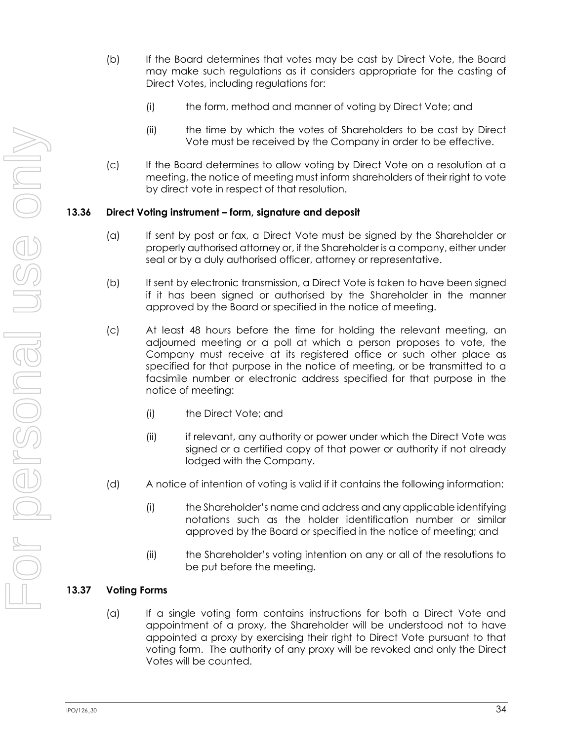- (b) If the Board determines that votes may be cast by Direct Vote, the Board may make such regulations as it considers appropriate for the casting of Direct Votes, including regulations for:
	- (i) the form, method and manner of voting by Direct Vote; and
	- (ii) the time by which the votes of Shareholders to be cast by Direct Vote must be received by the Company in order to be effective.
- (c) If the Board determines to allow voting by Direct Vote on a resolution at a meeting, the notice of meeting must inform shareholders of their right to vote by direct vote in respect of that resolution.

### **13.36 Direct Voting instrument – form, signature and deposit**

- (a) If sent by post or fax, a Direct Vote must be signed by the Shareholder or properly authorised attorney or, if the Shareholder is a company, either under seal or by a duly authorised officer, attorney or representative.
- (b) If sent by electronic transmission, a Direct Vote is taken to have been signed if it has been signed or authorised by the Shareholder in the manner approved by the Board or specified in the notice of meeting.
- (c) At least 48 hours before the time for holding the relevant meeting, an adjourned meeting or a poll at which a person proposes to vote, the Company must receive at its registered office or such other place as specified for that purpose in the notice of meeting, or be transmitted to a facsimile number or electronic address specified for that purpose in the notice of meeting:
	- (i) the Direct Vote; and
	- (ii) if relevant, any authority or power under which the Direct Vote was signed or a certified copy of that power or authority if not already lodged with the Company.
- (d) A notice of intention of voting is valid if it contains the following information:
	- (i) the Shareholder's name and address and any applicable identifying notations such as the holder identification number or similar approved by the Board or specified in the notice of meeting; and
	- (ii) the Shareholder's voting intention on any or all of the resolutions to be put before the meeting.

### **13.37 Voting Forms**

(a) If a single voting form contains instructions for both a Direct Vote and appointment of a proxy, the Shareholder will be understood not to have appointed a proxy by exercising their right to Direct Vote pursuant to that voting form. The authority of any proxy will be revoked and only the Direct Votes will be counted.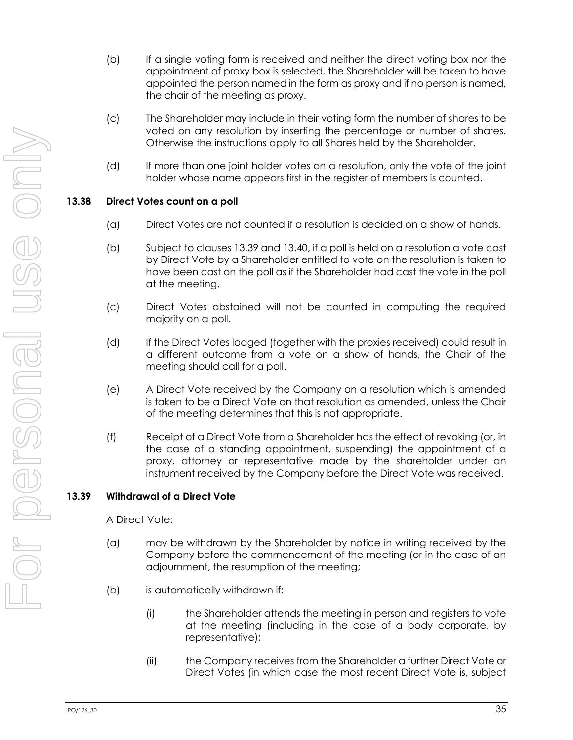- (b) If a single voting form is received and neither the direct voting box nor the appointment of proxy box is selected, the Shareholder will be taken to have appointed the person named in the form as proxy and if no person is named, the chair of the meeting as proxy.
- (c) The Shareholder may include in their voting form the number of shares to be voted on any resolution by inserting the percentage or number of shares. Otherwise the instructions apply to all Shares held by the Shareholder.
- (d) If more than one joint holder votes on a resolution, only the vote of the joint holder whose name appears first in the register of members is counted.

## **13.38 Direct Votes count on a poll**

- (a) Direct Votes are not counted if a resolution is decided on a show of hands.
- (b) Subject to clauses [13.39](#page-41-0) and [13.40,](#page-42-0) if a poll is held on a resolution a vote cast by Direct Vote by a Shareholder entitled to vote on the resolution is taken to have been cast on the poll as if the Shareholder had cast the vote in the poll at the meeting.
- (c) Direct Votes abstained will not be counted in computing the required majority on a poll.
- (d) If the Direct Votes lodged (together with the proxies received) could result in a different outcome from a vote on a show of hands, the Chair of the meeting should call for a poll.
- (e) A Direct Vote received by the Company on a resolution which is amended is taken to be a Direct Vote on that resolution as amended, unless the Chair of the meeting determines that this is not appropriate.
- (f) Receipt of a Direct Vote from a Shareholder has the effect of revoking (or, in the case of a standing appointment, suspending) the appointment of a proxy, attorney or representative made by the shareholder under an instrument received by the Company before the Direct Vote was received.

### <span id="page-41-0"></span>**13.39 Withdrawal of a Direct Vote**

A Direct Vote:

- (a) may be withdrawn by the Shareholder by notice in writing received by the Company before the commencement of the meeting (or in the case of an adjournment, the resumption of the meeting;
- (b) is automatically withdrawn if:
	- (i) the Shareholder attends the meeting in person and registers to vote at the meeting (including in the case of a body corporate, by representative);
	- (ii) the Company receives from the Shareholder a further Direct Vote or Direct Votes (in which case the most recent Direct Vote is, subject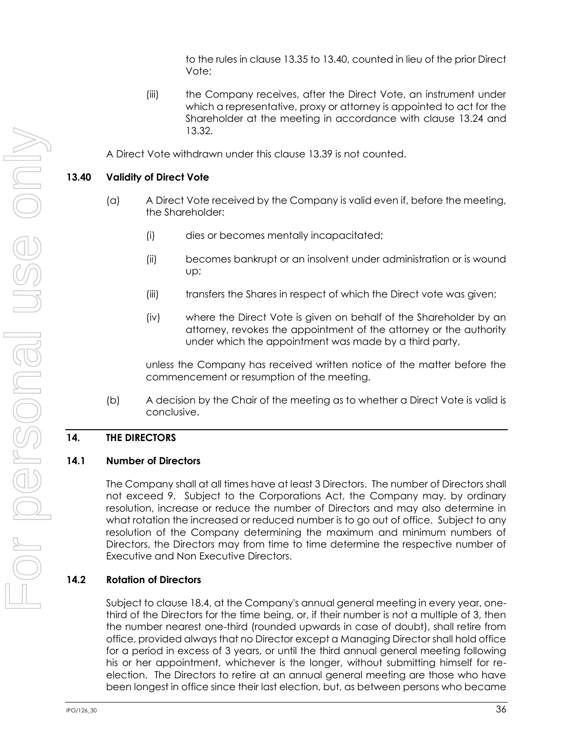to the rules in clause [13.35](#page-39-3) t[o 13.40,](#page-42-0) counted in lieu of the prior Direct Vote;

(iii) the Company receives, after the Direct Vote, an instrument under which a representative, proxy or attorney is appointed to act for the Shareholder at the meeting in accordance with clause [13.24](#page-36-1) and [13.32.](#page-38-1)

A Direct Vote withdrawn under this clause [13.39](#page-41-0) is not counted.

## <span id="page-42-0"></span>**13.40 Validity of Direct Vote**

- (a) A Direct Vote received by the Company is valid even if, before the meeting, the Shareholder:
	- (i) dies or becomes mentally incapacitated;
	- (ii) becomes bankrupt or an insolvent under administration or is wound up;
	- (iii) transfers the Shares in respect of which the Direct vote was given;
	- (iv) where the Direct Vote is given on behalf of the Shareholder by an attorney, revokes the appointment of the attorney or the authority under which the appointment was made by a third party,

unless the Company has received written notice of the matter before the commencement or resumption of the meeting.

(b) A decision by the Chair of the meeting as to whether a Direct Vote is valid is conclusive.

### **14. THE DIRECTORS**

### <span id="page-42-1"></span>**14.1 Number of Directors**

The Company shall at all times have at least 3 Directors. The number of Directors shall not exceed 9. Subject to the Corporations Act, the Company may, by ordinary resolution, increase or reduce the number of Directors and may also determine in what rotation the increased or reduced number is to go out of office. Subject to any resolution of the Company determining the maximum and minimum numbers of Directors, the Directors may from time to time determine the respective number of Executive and Non Executive Directors.

## <span id="page-42-2"></span>**14.2 Rotation of Directors**

Subject to clause [18.4,](#page-52-0) at the Company's annual general meeting in every year, onethird of the Directors for the time being, or, if their number is not a multiple of 3, then the number nearest one-third (rounded upwards in case of doubt), shall retire from office, provided always that no Director except a Managing Director shall hold office for a period in excess of 3 years, or until the third annual general meeting following his or her appointment, whichever is the longer, without submitting himself for reelection. The Directors to retire at an annual general meeting are those who have been longest in office since their last election, but, as between persons who became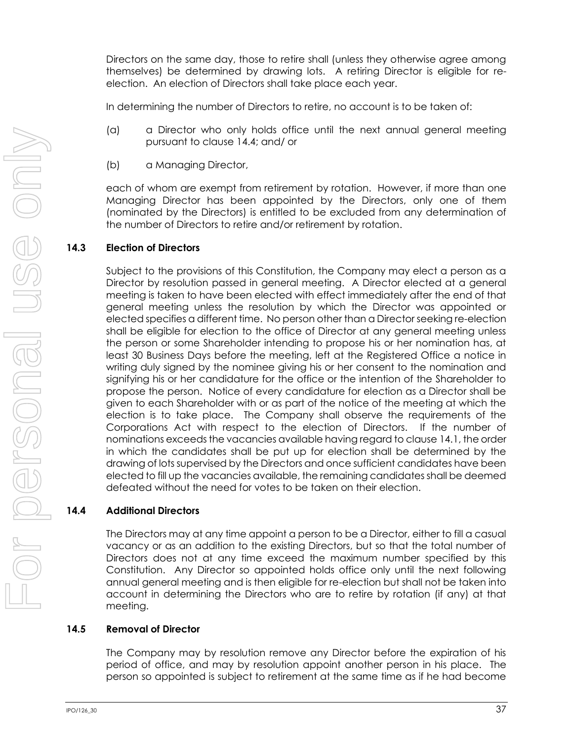Directors on the same day, those to retire shall (unless they otherwise agree among themselves) be determined by drawing lots. A retiring Director is eligible for reelection. An election of Directors shall take place each year.

In determining the number of Directors to retire, no account is to be taken of:

- (a) a Director who only holds office until the next annual general meeting pursuant to claus[e 14.4;](#page-43-0) and/ or
- (b) a Managing Director,

each of whom are exempt from retirement by rotation. However, if more than one Managing Director has been appointed by the Directors, only one of them (nominated by the Directors) is entitled to be excluded from any determination of the number of Directors to retire and/or retirement by rotation.

## **14.3 Election of Directors**

Subject to the provisions of this Constitution, the Company may elect a person as a Director by resolution passed in general meeting. A Director elected at a general meeting is taken to have been elected with effect immediately after the end of that general meeting unless the resolution by which the Director was appointed or elected specifies a different time. No person other than a Director seeking re-election shall be eligible for election to the office of Director at any general meeting unless the person or some Shareholder intending to propose his or her nomination has, at least 30 Business Days before the meeting, left at the Registered Office a notice in writing duly signed by the nominee giving his or her consent to the nomination and signifying his or her candidature for the office or the intention of the Shareholder to propose the person. Notice of every candidature for election as a Director shall be given to each Shareholder with or as part of the notice of the meeting at which the election is to take place. The Company shall observe the requirements of the Corporations Act with respect to the election of Directors. If the number of nominations exceeds the vacancies available having regard to claus[e 14.1,](#page-42-1) the order in which the candidates shall be put up for election shall be determined by the drawing of lots supervised by the Directors and once sufficient candidates have been elected to fill up the vacancies available, the remaining candidates shall be deemed defeated without the need for votes to be taken on their election.

## <span id="page-43-0"></span>**14.4 Additional Directors**

The Directors may at any time appoint a person to be a Director, either to fill a casual vacancy or as an addition to the existing Directors, but so that the total number of Directors does not at any time exceed the maximum number specified by this Constitution. Any Director so appointed holds office only until the next following annual general meeting and is then eligible for re-election but shall not be taken into account in determining the Directors who are to retire by rotation (if any) at that meeting.

## <span id="page-43-1"></span>**14.5 Removal of Director**

The Company may by resolution remove any Director before the expiration of his period of office, and may by resolution appoint another person in his place. The person so appointed is subject to retirement at the same time as if he had become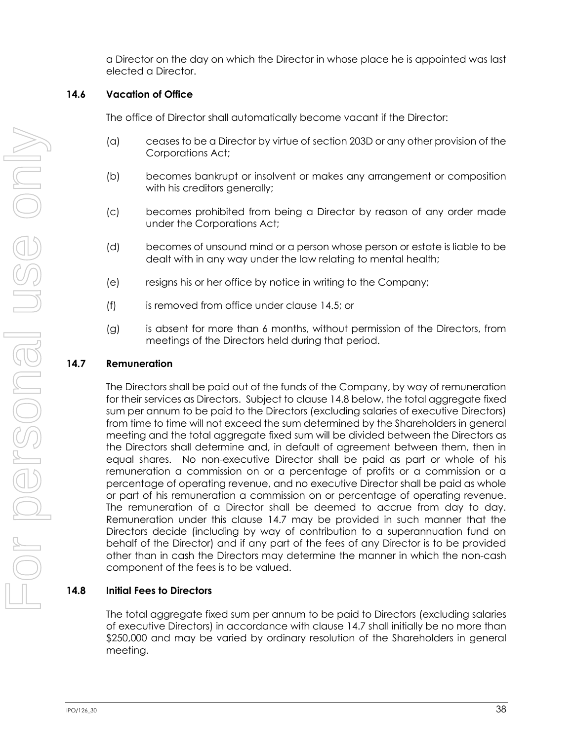a Director on the day on which the Director in whose place he is appointed was last elected a Director.

### **14.6 Vacation of Office**

The office of Director shall automatically become vacant if the Director:

- (a) ceases to be a Director by virtue of section 203D or any other provision of the Corporations Act;
- (b) becomes bankrupt or insolvent or makes any arrangement or composition with his creditors generally;
- (c) becomes prohibited from being a Director by reason of any order made under the Corporations Act;
- (d) becomes of unsound mind or a person whose person or estate is liable to be dealt with in any way under the law relating to mental health;
- (e) resigns his or her office by notice in writing to the Company;
- (f) is removed from office under clause [14.5;](#page-43-1) or
- (g) is absent for more than 6 months, without permission of the Directors, from meetings of the Directors held during that period.

## <span id="page-44-1"></span>**14.7 Remuneration**

The Directors shall be paid out of the funds of the Company, by way of remuneration for their services as Directors. Subject to claus[e 14.8](#page-44-0) below, the total aggregate fixed sum per annum to be paid to the Directors (excluding salaries of executive Directors) from time to time will not exceed the sum determined by the Shareholders in general meeting and the total aggregate fixed sum will be divided between the Directors as the Directors shall determine and, in default of agreement between them, then in equal shares. No non-executive Director shall be paid as part or whole of his remuneration a commission on or a percentage of profits or a commission or a percentage of operating revenue, and no executive Director shall be paid as whole or part of his remuneration a commission on or percentage of operating revenue. The remuneration of a Director shall be deemed to accrue from day to day. Remuneration under this clause [14.7](#page-44-1) may be provided in such manner that the Directors decide (including by way of contribution to a superannuation fund on behalf of the Director) and if any part of the fees of any Director is to be provided other than in cash the Directors may determine the manner in which the non-cash component of the fees is to be valued.

## <span id="page-44-0"></span>**14.8 Initial Fees to Directors**

The total aggregate fixed sum per annum to be paid to Directors (excluding salaries of executive Directors) in accordance with clause [14.7](#page-44-1) shall initially be no more than \$250,000 and may be varied by ordinary resolution of the Shareholders in general meeting.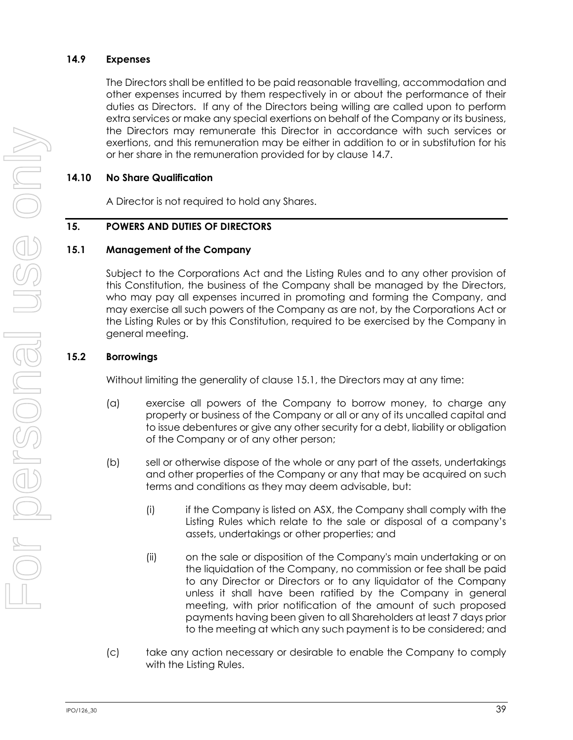### **14.9 Expenses**

The Directors shall be entitled to be paid reasonable travelling, accommodation and other expenses incurred by them respectively in or about the performance of their duties as Directors. If any of the Directors being willing are called upon to perform extra services or make any special exertions on behalf of the Company or its business, the Directors may remunerate this Director in accordance with such services or exertions, and this remuneration may be either in addition to or in substitution for his or her share in the remuneration provided for by clause [14.7.](#page-44-1)

### **14.10 No Share Qualification**

A Director is not required to hold any Shares.

#### **15. POWERS AND DUTIES OF DIRECTORS**

#### <span id="page-45-0"></span>**15.1 Management of the Company**

Subject to the Corporations Act and the Listing Rules and to any other provision of this Constitution, the business of the Company shall be managed by the Directors, who may pay all expenses incurred in promoting and forming the Company, and may exercise all such powers of the Company as are not, by the Corporations Act or the Listing Rules or by this Constitution, required to be exercised by the Company in general meeting.

### **15.2 Borrowings**

Without limiting the generality of clause [15.1,](#page-45-0) the Directors may at any time:

- (a) exercise all powers of the Company to borrow money, to charge any property or business of the Company or all or any of its uncalled capital and to issue debentures or give any other security for a debt, liability or obligation of the Company or of any other person;
- (b) sell or otherwise dispose of the whole or any part of the assets, undertakings and other properties of the Company or any that may be acquired on such terms and conditions as they may deem advisable, but:
	- (i) if the Company is listed on ASX, the Company shall comply with the Listing Rules which relate to the sale or disposal of a company's assets, undertakings or other properties; and
	- (ii) on the sale or disposition of the Company's main undertaking or on the liquidation of the Company, no commission or fee shall be paid to any Director or Directors or to any liquidator of the Company unless it shall have been ratified by the Company in general meeting, with prior notification of the amount of such proposed payments having been given to all Shareholders at least 7 days prior to the meeting at which any such payment is to be considered; and
- (c) take any action necessary or desirable to enable the Company to comply with the Listing Rules.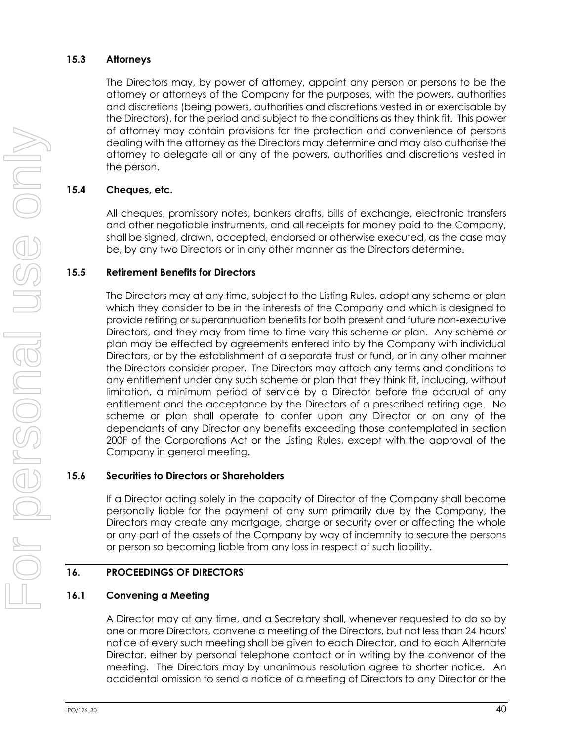### **15.3 Attorneys**

The Directors may, by power of attorney, appoint any person or persons to be the attorney or attorneys of the Company for the purposes, with the powers, authorities and discretions (being powers, authorities and discretions vested in or exercisable by the Directors), for the period and subject to the conditions as they think fit. This power of attorney may contain provisions for the protection and convenience of persons dealing with the attorney as the Directors may determine and may also authorise the attorney to delegate all or any of the powers, authorities and discretions vested in the person.

## **15.4 Cheques, etc.**

All cheques, promissory notes, bankers drafts, bills of exchange, electronic transfers and other negotiable instruments, and all receipts for money paid to the Company, shall be signed, drawn, accepted, endorsed or otherwise executed, as the case may be, by any two Directors or in any other manner as the Directors determine.

### **15.5 Retirement Benefits for Directors**

The Directors may at any time, subject to the Listing Rules, adopt any scheme or plan which they consider to be in the interests of the Company and which is designed to provide retiring or superannuation benefits for both present and future non-executive Directors, and they may from time to time vary this scheme or plan. Any scheme or plan may be effected by agreements entered into by the Company with individual Directors, or by the establishment of a separate trust or fund, or in any other manner the Directors consider proper. The Directors may attach any terms and conditions to any entitlement under any such scheme or plan that they think fit, including, without limitation, a minimum period of service by a Director before the accrual of any entitlement and the acceptance by the Directors of a prescribed retiring age. No scheme or plan shall operate to confer upon any Director or on any of the dependants of any Director any benefits exceeding those contemplated in section 200F of the Corporations Act or the Listing Rules, except with the approval of the Company in general meeting.

## **15.6 Securities to Directors or Shareholders**

If a Director acting solely in the capacity of Director of the Company shall become personally liable for the payment of any sum primarily due by the Company, the Directors may create any mortgage, charge or security over or affecting the whole or any part of the assets of the Company by way of indemnity to secure the persons or person so becoming liable from any loss in respect of such liability.

## <span id="page-46-0"></span>**16. PROCEEDINGS OF DIRECTORS**

### **16.1 Convening a Meeting**

A Director may at any time, and a Secretary shall, whenever requested to do so by one or more Directors, convene a meeting of the Directors, but not less than 24 hours' notice of every such meeting shall be given to each Director, and to each Alternate Director, either by personal telephone contact or in writing by the convenor of the meeting. The Directors may by unanimous resolution agree to shorter notice. An accidental omission to send a notice of a meeting of Directors to any Director or the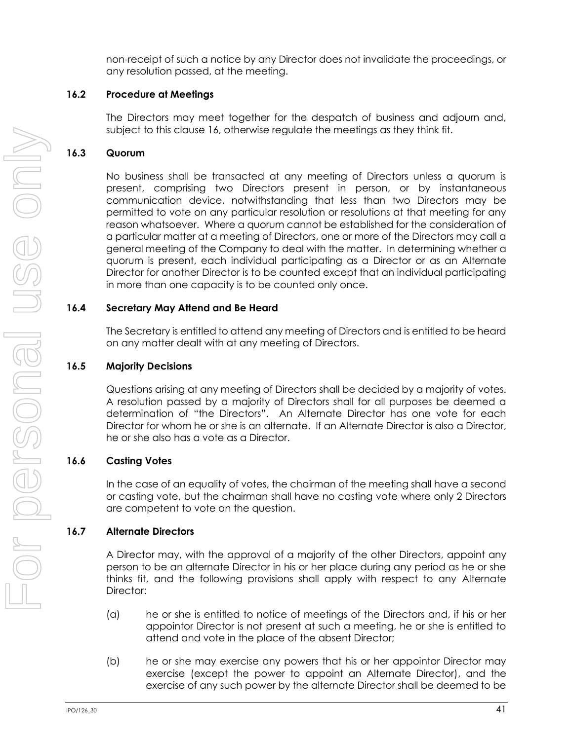non-receipt of such a notice by any Director does not invalidate the proceedings, or any resolution passed, at the meeting.

### **16.2 Procedure at Meetings**

The Directors may meet together for the despatch of business and adjourn and, subject to this clause [16,](#page-46-0) otherwise regulate the meetings as they think fit.

### **16.3 Quorum**

No business shall be transacted at any meeting of Directors unless a quorum is present, comprising two Directors present in person, or by instantaneous communication device, notwithstanding that less than two Directors may be permitted to vote on any particular resolution or resolutions at that meeting for any reason whatsoever. Where a quorum cannot be established for the consideration of a particular matter at a meeting of Directors, one or more of the Directors may call a general meeting of the Company to deal with the matter. In determining whether a quorum is present, each individual participating as a Director or as an Alternate Director for another Director is to be counted except that an individual participating in more than one capacity is to be counted only once.

### **16.4 Secretary May Attend and Be Heard**

The Secretary is entitled to attend any meeting of Directors and is entitled to be heard on any matter dealt with at any meeting of Directors.

### **16.5 Majority Decisions**

Questions arising at any meeting of Directors shall be decided by a majority of votes. A resolution passed by a majority of Directors shall for all purposes be deemed a determination of "the Directors". An Alternate Director has one vote for each Director for whom he or she is an alternate. If an Alternate Director is also a Director, he or she also has a vote as a Director.

### **16.6 Casting Votes**

In the case of an equality of votes, the chairman of the meeting shall have a second or casting vote, but the chairman shall have no casting vote where only 2 Directors are competent to vote on the question.

### **16.7 Alternate Directors**

A Director may, with the approval of a majority of the other Directors, appoint any person to be an alternate Director in his or her place during any period as he or she thinks fit, and the following provisions shall apply with respect to any Alternate Director:

- (a) he or she is entitled to notice of meetings of the Directors and, if his or her appointor Director is not present at such a meeting, he or she is entitled to attend and vote in the place of the absent Director;
- (b) he or she may exercise any powers that his or her appointor Director may exercise (except the power to appoint an Alternate Director), and the exercise of any such power by the alternate Director shall be deemed to be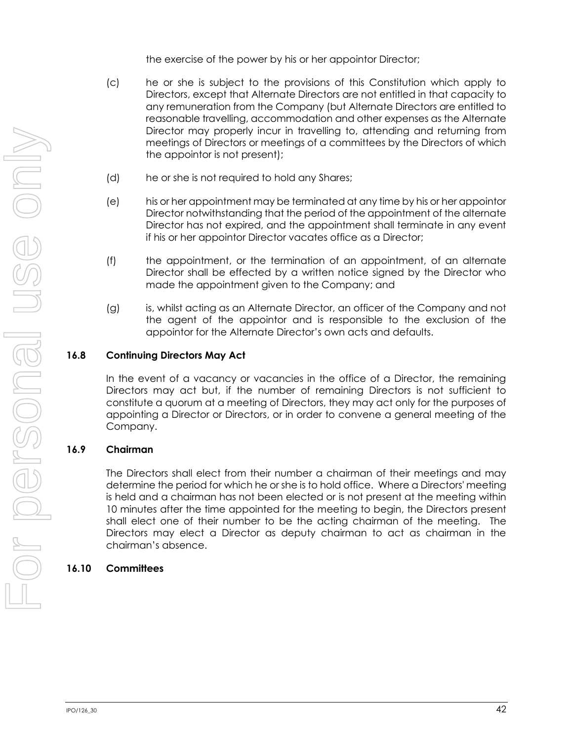the exercise of the power by his or her appointor Director;

- (c) he or she is subject to the provisions of this Constitution which apply to Directors, except that Alternate Directors are not entitled in that capacity to any remuneration from the Company (but Alternate Directors are entitled to reasonable travelling, accommodation and other expenses as the Alternate Director may properly incur in travelling to, attending and returning from meetings of Directors or meetings of a committees by the Directors of which the appointor is not present);
- (d) he or she is not required to hold any Shares;
- (e) his or her appointment may be terminated at any time by his or her appointor Director notwithstanding that the period of the appointment of the alternate Director has not expired, and the appointment shall terminate in any event if his or her appointor Director vacates office as a Director;
- (f) the appointment, or the termination of an appointment, of an alternate Director shall be effected by a written notice signed by the Director who made the appointment given to the Company; and
- (g) is, whilst acting as an Alternate Director, an officer of the Company and not the agent of the appointor and is responsible to the exclusion of the appointor for the Alternate Director's own acts and defaults.

## **16.8 Continuing Directors May Act**

In the event of a vacancy or vacancies in the office of a Director, the remaining Directors may act but, if the number of remaining Directors is not sufficient to constitute a quorum at a meeting of Directors, they may act only for the purposes of appointing a Director or Directors, or in order to convene a general meeting of the Company.

## **16.9 Chairman**

The Directors shall elect from their number a chairman of their meetings and may determine the period for which he or she is to hold office. Where a Directors' meeting is held and a chairman has not been elected or is not present at the meeting within 10 minutes after the time appointed for the meeting to begin, the Directors present shall elect one of their number to be the acting chairman of the meeting. The Directors may elect a Director as deputy chairman to act as chairman in the chairman's absence.

## <span id="page-48-0"></span>**16.10 Committees**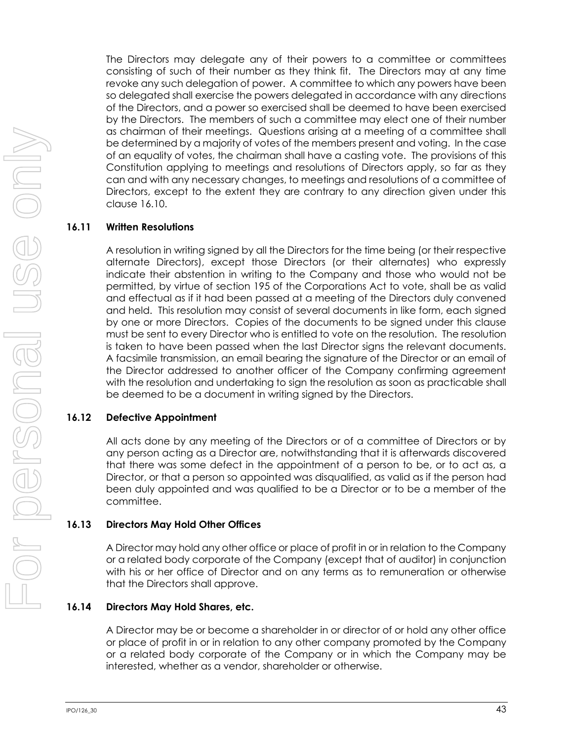The Directors may delegate any of their powers to a committee or committees consisting of such of their number as they think fit. The Directors may at any time revoke any such delegation of power. A committee to which any powers have been so delegated shall exercise the powers delegated in accordance with any directions of the Directors, and a power so exercised shall be deemed to have been exercised by the Directors. The members of such a committee may elect one of their number as chairman of their meetings. Questions arising at a meeting of a committee shall be determined by a majority of votes of the members present and voting. In the case of an equality of votes, the chairman shall have a casting vote. The provisions of this Constitution applying to meetings and resolutions of Directors apply, so far as they can and with any necessary changes, to meetings and resolutions of a committee of Directors, except to the extent they are contrary to any direction given under this clause [16.10.](#page-48-0)

#### **16.11 Written Resolutions**

A resolution in writing signed by all the Directors for the time being (or their respective alternate Directors), except those Directors (or their alternates) who expressly indicate their abstention in writing to the Company and those who would not be permitted, by virtue of section 195 of the Corporations Act to vote, shall be as valid and effectual as if it had been passed at a meeting of the Directors duly convened and held. This resolution may consist of several documents in like form, each signed by one or more Directors. Copies of the documents to be signed under this clause must be sent to every Director who is entitled to vote on the resolution. The resolution is taken to have been passed when the last Director signs the relevant documents. A facsimile transmission, an email bearing the signature of the Director or an email of the Director addressed to another officer of the Company confirming agreement with the resolution and undertaking to sign the resolution as soon as practicable shall be deemed to be a document in writing signed by the Directors.

### **16.12 Defective Appointment**

All acts done by any meeting of the Directors or of a committee of Directors or by any person acting as a Director are, notwithstanding that it is afterwards discovered that there was some defect in the appointment of a person to be, or to act as, a Director, or that a person so appointed was disqualified, as valid as if the person had been duly appointed and was qualified to be a Director or to be a member of the committee.

### **16.13 Directors May Hold Other Offices**

A Director may hold any other office or place of profit in or in relation to the Company or a related body corporate of the Company (except that of auditor) in conjunction with his or her office of Director and on any terms as to remuneration or otherwise that the Directors shall approve.

### <span id="page-49-0"></span>**16.14 Directors May Hold Shares, etc.**

A Director may be or become a shareholder in or director of or hold any other office or place of profit in or in relation to any other company promoted by the Company or a related body corporate of the Company or in which the Company may be interested, whether as a vendor, shareholder or otherwise.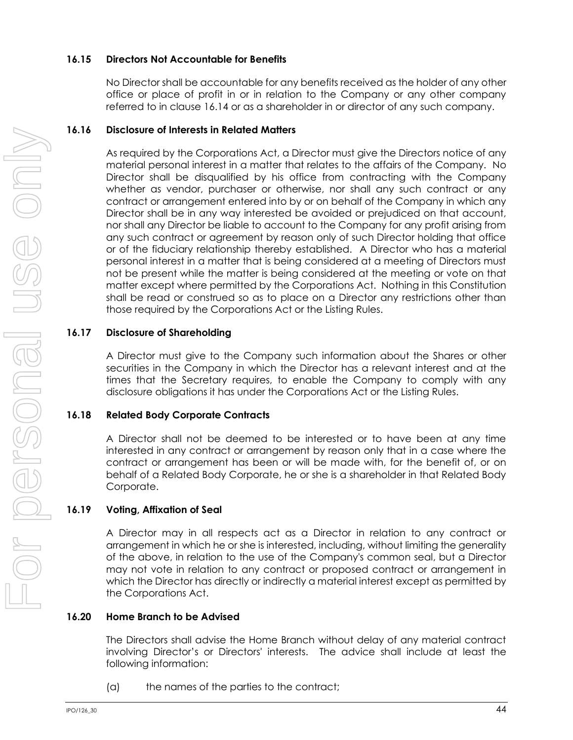### **16.15 Directors Not Accountable for Benefits**

No Director shall be accountable for any benefits received as the holder of any other office or place of profit in or in relation to the Company or any other company referred to in clause [16.14](#page-49-0) or as a shareholder in or director of any such company.

## **16.16 Disclosure of Interests in Related Matters**

As required by the Corporations Act, a Director must give the Directors notice of any material personal interest in a matter that relates to the affairs of the Company. No Director shall be disqualified by his office from contracting with the Company whether as vendor, purchaser or otherwise, nor shall any such contract or any contract or arrangement entered into by or on behalf of the Company in which any Director shall be in any way interested be avoided or prejudiced on that account, nor shall any Director be liable to account to the Company for any profit arising from any such contract or agreement by reason only of such Director holding that office or of the fiduciary relationship thereby established. A Director who has a material personal interest in a matter that is being considered at a meeting of Directors must not be present while the matter is being considered at the meeting or vote on that matter except where permitted by the Corporations Act. Nothing in this Constitution shall be read or construed so as to place on a Director any restrictions other than those required by the Corporations Act or the Listing Rules.

## **16.17 Disclosure of Shareholding**

A Director must give to the Company such information about the Shares or other securities in the Company in which the Director has a relevant interest and at the times that the Secretary requires, to enable the Company to comply with any disclosure obligations it has under the Corporations Act or the Listing Rules.

## **16.18 Related Body Corporate Contracts**

A Director shall not be deemed to be interested or to have been at any time interested in any contract or arrangement by reason only that in a case where the contract or arrangement has been or will be made with, for the benefit of, or on behalf of a Related Body Corporate, he or she is a shareholder in that Related Body Corporate.

## **16.19 Voting, Affixation of Seal**

A Director may in all respects act as a Director in relation to any contract or arrangement in which he or she is interested, including, without limiting the generality of the above, in relation to the use of the Company's common seal, but a Director may not vote in relation to any contract or proposed contract or arrangement in which the Director has directly or indirectly a material interest except as permitted by the Corporations Act.

## **16.20 Home Branch to be Advised**

The Directors shall advise the Home Branch without delay of any material contract involving Director's or Directors' interests. The advice shall include at least the following information:

(a) the names of the parties to the contract;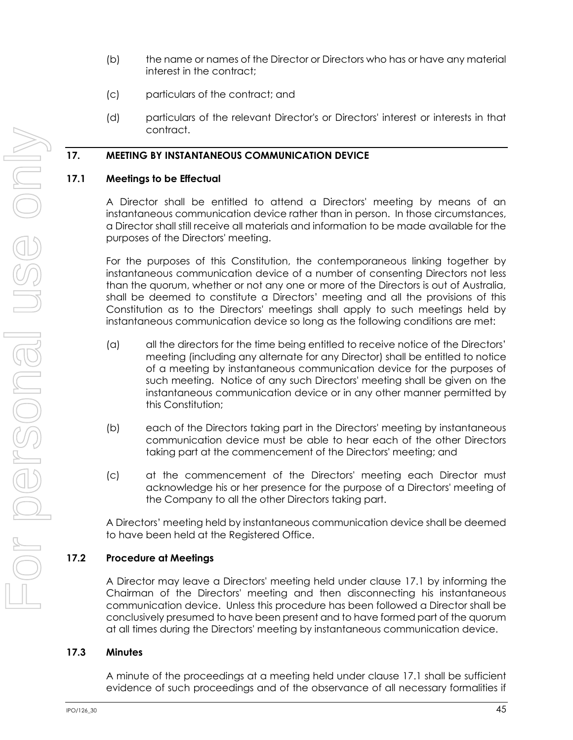- (b) the name or names of the Director or Directors who has or have any material interest in the contract;
- (c) particulars of the contract; and
- (d) particulars of the relevant Director's or Directors' interest or interests in that contract.

### **17. MEETING BY INSTANTANEOUS COMMUNICATION DEVICE**

### <span id="page-51-0"></span>**17.1 Meetings to be Effectual**

A Director shall be entitled to attend a Directors' meeting by means of an instantaneous communication device rather than in person. In those circumstances, a Director shall still receive all materials and information to be made available for the purposes of the Directors' meeting.

For the purposes of this Constitution, the contemporaneous linking together by instantaneous communication device of a number of consenting Directors not less than the quorum, whether or not any one or more of the Directors is out of Australia, shall be deemed to constitute a Directors' meeting and all the provisions of this Constitution as to the Directors' meetings shall apply to such meetings held by instantaneous communication device so long as the following conditions are met:

- (a) all the directors for the time being entitled to receive notice of the Directors' meeting (including any alternate for any Director) shall be entitled to notice of a meeting by instantaneous communication device for the purposes of such meeting. Notice of any such Directors' meeting shall be given on the instantaneous communication device or in any other manner permitted by this Constitution;
- (b) each of the Directors taking part in the Directors' meeting by instantaneous communication device must be able to hear each of the other Directors taking part at the commencement of the Directors' meeting; and
- (c) at the commencement of the Directors' meeting each Director must acknowledge his or her presence for the purpose of a Directors' meeting of the Company to all the other Directors taking part.

A Directors' meeting held by instantaneous communication device shall be deemed to have been held at the Registered Office.

## **17.2 Procedure at Meetings**

A Director may leave a Directors' meeting held under clause [17.1](#page-51-0) by informing the Chairman of the Directors' meeting and then disconnecting his instantaneous communication device. Unless this procedure has been followed a Director shall be conclusively presumed to have been present and to have formed part of the quorum at all times during the Directors' meeting by instantaneous communication device.

### **17.3 Minutes**

A minute of the proceedings at a meeting held under clause [17.1](#page-51-0) shall be sufficient evidence of such proceedings and of the observance of all necessary formalities if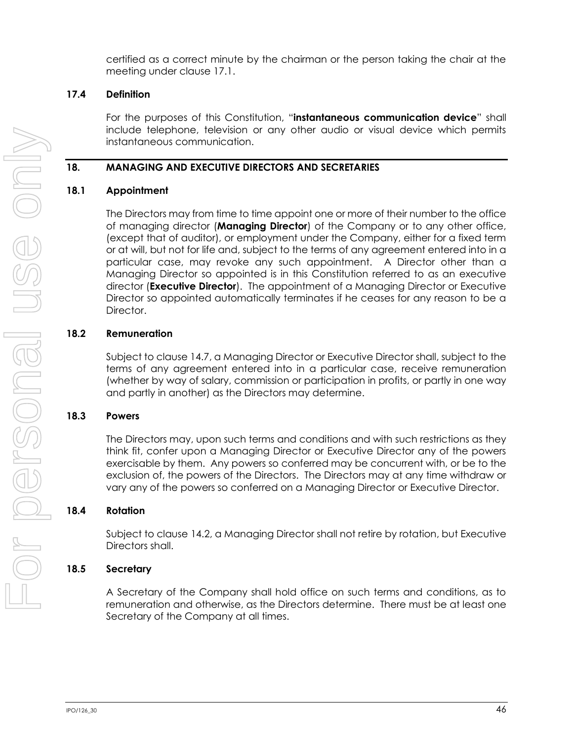certified as a correct minute by the chairman or the person taking the chair at the meeting under clause [17.1.](#page-51-0)

## **17.4 Definition**

For the purposes of this Constitution, "**instantaneous communication device**" shall include telephone, television or any other audio or visual device which permits instantaneous communication.

## **18. MANAGING AND EXECUTIVE DIRECTORS AND SECRETARIES**

## **18.1 Appointment**

The Directors may from time to time appoint one or more of their number to the office of managing director (**Managing Director**) of the Company or to any other office, (except that of auditor), or employment under the Company, either for a fixed term or at will, but not for life and, subject to the terms of any agreement entered into in a particular case, may revoke any such appointment. A Director other than a Managing Director so appointed is in this Constitution referred to as an executive director (**Executive Director**). The appointment of a Managing Director or Executive Director so appointed automatically terminates if he ceases for any reason to be a Director.

## **18.2 Remuneration**

Subject to clause [14.7,](#page-44-1) a Managing Director or Executive Director shall, subject to the terms of any agreement entered into in a particular case, receive remuneration (whether by way of salary, commission or participation in profits, or partly in one way and partly in another) as the Directors may determine.

## **18.3 Powers**

The Directors may, upon such terms and conditions and with such restrictions as they think fit, confer upon a Managing Director or Executive Director any of the powers exercisable by them. Any powers so conferred may be concurrent with, or be to the exclusion of, the powers of the Directors. The Directors may at any time withdraw or vary any of the powers so conferred on a Managing Director or Executive Director.

## <span id="page-52-0"></span>**18.4 Rotation**

Subject to claus[e 14.2,](#page-42-2) a Managing Director shall not retire by rotation, but Executive Directors shall.

## **18.5 Secretary**

A Secretary of the Company shall hold office on such terms and conditions, as to remuneration and otherwise, as the Directors determine. There must be at least one Secretary of the Company at all times.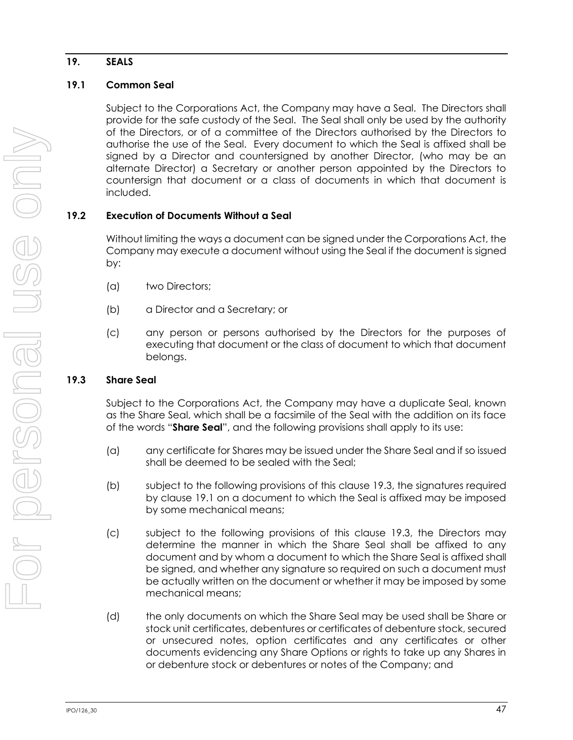## **19. SEALS**

## <span id="page-53-1"></span>**19.1 Common Seal**

Subject to the Corporations Act, the Company may have a Seal. The Directors shall provide for the safe custody of the Seal. The Seal shall only be used by the authority of the Directors, or of a committee of the Directors authorised by the Directors to authorise the use of the Seal. Every document to which the Seal is affixed shall be signed by a Director and countersigned by another Director, (who may be an alternate Director) a Secretary or another person appointed by the Directors to countersign that document or a class of documents in which that document is included.

## **19.2 Execution of Documents Without a Seal**

Without limiting the ways a document can be signed under the Corporations Act, the Company may execute a document without using the Seal if the document is signed by:

- (a) two Directors;
- (b) a Director and a Secretary; or
- (c) any person or persons authorised by the Directors for the purposes of executing that document or the class of document to which that document belongs.

## <span id="page-53-0"></span>**19.3 Share Seal**

Subject to the Corporations Act, the Company may have a duplicate Seal, known as the Share Seal, which shall be a facsimile of the Seal with the addition on its face of the words "**Share Seal**", and the following provisions shall apply to its use:

- (a) any certificate for Shares may be issued under the Share Seal and if so issued shall be deemed to be sealed with the Seal;
- (b) subject to the following provisions of this clause [19.3,](#page-53-0) the signatures required by clause [19.1](#page-53-1) on a document to which the Seal is affixed may be imposed by some mechanical means;
- (c) subject to the following provisions of this clause [19.3,](#page-53-0) the Directors may determine the manner in which the Share Seal shall be affixed to any document and by whom a document to which the Share Seal is affixed shall be signed, and whether any signature so required on such a document must be actually written on the document or whether it may be imposed by some mechanical means;
- <span id="page-53-2"></span>(d) the only documents on which the Share Seal may be used shall be Share or stock unit certificates, debentures or certificates of debenture stock, secured or unsecured notes, option certificates and any certificates or other documents evidencing any Share Options or rights to take up any Shares in or debenture stock or debentures or notes of the Company; and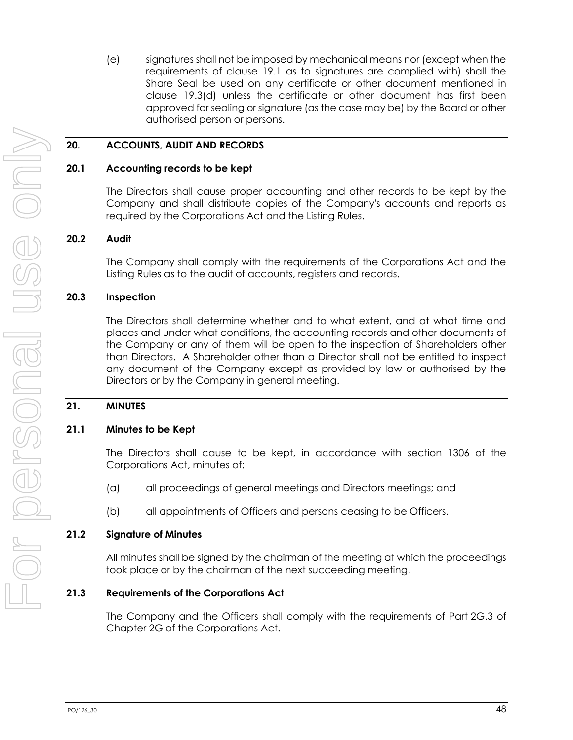(e) signatures shall not be imposed by mechanical means nor (except when the requirements of clause [19.1](#page-53-1) as to signatures are complied with) shall the Share Seal be used on any certificate or other document mentioned in clause [19.3\(d\)](#page-53-2) unless the certificate or other document has first been approved for sealing or signature (as the case may be) by the Board or other authorised person or persons.

### **20. ACCOUNTS, AUDIT AND RECORDS**

#### **20.1 Accounting records to be kept**

The Directors shall cause proper accounting and other records to be kept by the Company and shall distribute copies of the Company's accounts and reports as required by the Corporations Act and the Listing Rules.

### **20.2 Audit**

The Company shall comply with the requirements of the Corporations Act and the Listing Rules as to the audit of accounts, registers and records.

#### **20.3 Inspection**

The Directors shall determine whether and to what extent, and at what time and places and under what conditions, the accounting records and other documents of the Company or any of them will be open to the inspection of Shareholders other than Directors. A Shareholder other than a Director shall not be entitled to inspect any document of the Company except as provided by law or authorised by the Directors or by the Company in general meeting.

### **21. MINUTES**

#### **21.1 Minutes to be Kept**

The Directors shall cause to be kept, in accordance with section 1306 of the Corporations Act, minutes of:

- (a) all proceedings of general meetings and Directors meetings; and
- (b) all appointments of Officers and persons ceasing to be Officers.

#### **21.2 Signature of Minutes**

All minutes shall be signed by the chairman of the meeting at which the proceedings took place or by the chairman of the next succeeding meeting.

### **21.3 Requirements of the Corporations Act**

The Company and the Officers shall comply with the requirements of Part 2G.3 of Chapter 2G of the Corporations Act.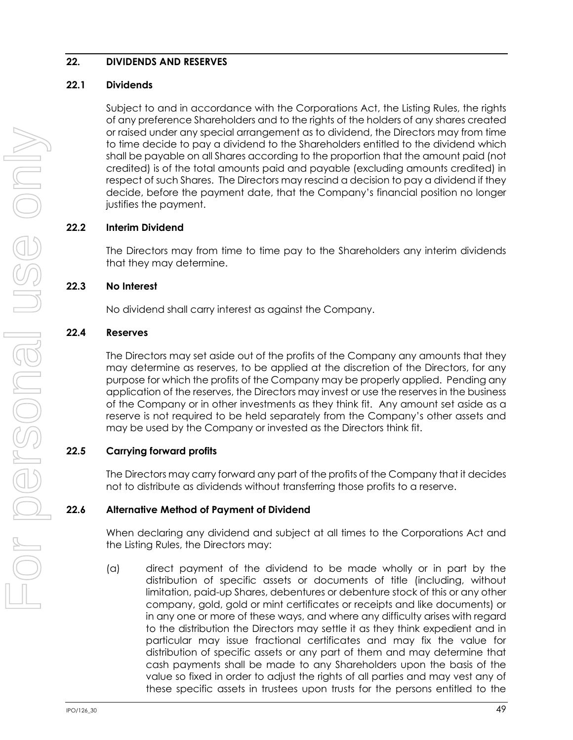### <span id="page-55-0"></span>**22. DIVIDENDS AND RESERVES**

### **22.1 Dividends**

Subject to and in accordance with the Corporations Act, the Listing Rules, the rights of any preference Shareholders and to the rights of the holders of any shares created or raised under any special arrangement as to dividend, the Directors may from time to time decide to pay a dividend to the Shareholders entitled to the dividend which shall be payable on all Shares according to the proportion that the amount paid (not credited) is of the total amounts paid and payable (excluding amounts credited) in respect of such Shares. The Directors may rescind a decision to pay a dividend if they decide, before the payment date, that the Company's financial position no longer justifies the payment.

## **22.2 Interim Dividend**

The Directors may from time to time pay to the Shareholders any interim dividends that they may determine.

## **22.3 No Interest**

No dividend shall carry interest as against the Company.

## **22.4 Reserves**

The Directors may set aside out of the profits of the Company any amounts that they may determine as reserves, to be applied at the discretion of the Directors, for any purpose for which the profits of the Company may be properly applied. Pending any application of the reserves, the Directors may invest or use the reserves in the business of the Company or in other investments as they think fit. Any amount set aside as a reserve is not required to be held separately from the Company's other assets and may be used by the Company or invested as the Directors think fit.

## **22.5 Carrying forward profits**

The Directors may carry forward any part of the profits of the Company that it decides not to distribute as dividends without transferring those profits to a reserve.

## **22.6 Alternative Method of Payment of Dividend**

When declaring any dividend and subject at all times to the Corporations Act and the Listing Rules, the Directors may:

(a) direct payment of the dividend to be made wholly or in part by the distribution of specific assets or documents of title (including, without limitation, paid-up Shares, debentures or debenture stock of this or any other company, gold, gold or mint certificates or receipts and like documents) or in any one or more of these ways, and where any difficulty arises with regard to the distribution the Directors may settle it as they think expedient and in particular may issue fractional certificates and may fix the value for distribution of specific assets or any part of them and may determine that cash payments shall be made to any Shareholders upon the basis of the value so fixed in order to adjust the rights of all parties and may vest any of these specific assets in trustees upon trusts for the persons entitled to the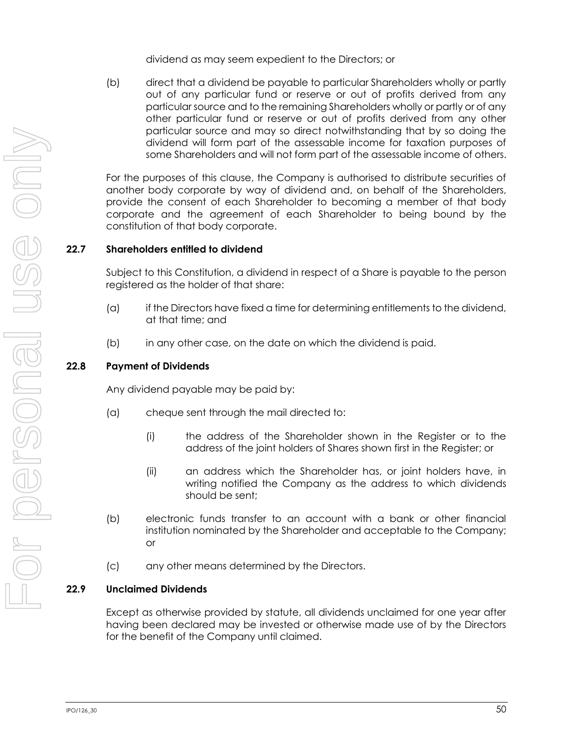dividend as may seem expedient to the Directors; or

(b) direct that a dividend be payable to particular Shareholders wholly or partly out of any particular fund or reserve or out of profits derived from any particular source and to the remaining Shareholders wholly or partly or of any other particular fund or reserve or out of profits derived from any other particular source and may so direct notwithstanding that by so doing the dividend will form part of the assessable income for taxation purposes of some Shareholders and will not form part of the assessable income of others.

For the purposes of this clause, the Company is authorised to distribute securities of another body corporate by way of dividend and, on behalf of the Shareholders, provide the consent of each Shareholder to becoming a member of that body corporate and the agreement of each Shareholder to being bound by the constitution of that body corporate.

## **22.7 Shareholders entitled to dividend**

Subject to this Constitution, a dividend in respect of a Share is payable to the person registered as the holder of that share:

- (a) if the Directors have fixed a time for determining entitlements to the dividend, at that time; and
- (b) in any other case, on the date on which the dividend is paid.

### **22.8 Payment of Dividends**

Any dividend payable may be paid by:

- (a) cheque sent through the mail directed to:
	- (i) the address of the Shareholder shown in the Register or to the address of the joint holders of Shares shown first in the Register; or
	- (ii) an address which the Shareholder has, or joint holders have, in writing notified the Company as the address to which dividends should be sent;
- (b) electronic funds transfer to an account with a bank or other financial institution nominated by the Shareholder and acceptable to the Company; or
- (c) any other means determined by the Directors.

### **22.9 Unclaimed Dividends**

Except as otherwise provided by statute, all dividends unclaimed for one year after having been declared may be invested or otherwise made use of by the Directors for the benefit of the Company until claimed.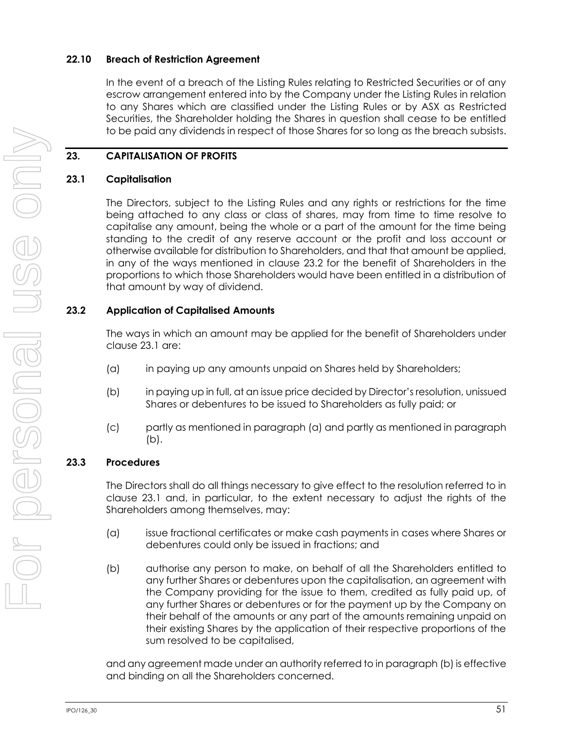### **22.10 Breach of Restriction Agreement**

In the event of a breach of the Listing Rules relating to Restricted Securities or of any escrow arrangement entered into by the Company under the Listing Rules in relation to any Shares which are classified under the Listing Rules or by ASX as Restricted Securities, the Shareholder holding the Shares in question shall cease to be entitled to be paid any dividends in respect of those Shares for so long as the breach subsists.

## **23. CAPITALISATION OF PROFITS**

## <span id="page-57-1"></span>**23.1 Capitalisation**

The Directors, subject to the Listing Rules and any rights or restrictions for the time being attached to any class or class of shares, may from time to time resolve to capitalise any amount, being the whole or a part of the amount for the time being standing to the credit of any reserve account or the profit and loss account or otherwise available for distribution to Shareholders, and that that amount be applied, in any of the ways mentioned in clause [23.2](#page-57-0) for the benefit of Shareholders in the proportions to which those Shareholders would have been entitled in a distribution of that amount by way of dividend.

## <span id="page-57-0"></span>**23.2 Application of Capitalised Amounts**

The ways in which an amount may be applied for the benefit of Shareholders under claus[e 23.1](#page-57-1) are:

- <span id="page-57-2"></span>(a) in paying up any amounts unpaid on Shares held by Shareholders;
- <span id="page-57-3"></span>(b) in paying up in full, at an issue price decided by Director's resolution, unissued Shares or debentures to be issued to Shareholders as fully paid; or
- (c) partly as mentioned in paragraph [\(a\)](#page-57-2) and partly as mentioned in paragraph [\(b\).](#page-57-3)

## **23.3 Procedures**

The Directors shall do all things necessary to give effect to the resolution referred to in clause [23.1](#page-57-1) and, in particular, to the extent necessary to adjust the rights of the Shareholders among themselves, may:

- (a) issue fractional certificates or make cash payments in cases where Shares or debentures could only be issued in fractions; and
- <span id="page-57-4"></span>(b) authorise any person to make, on behalf of all the Shareholders entitled to any further Shares or debentures upon the capitalisation, an agreement with the Company providing for the issue to them, credited as fully paid up, of any further Shares or debentures or for the payment up by the Company on their behalf of the amounts or any part of the amounts remaining unpaid on their existing Shares by the application of their respective proportions of the sum resolved to be capitalised,

and any agreement made under an authority referred to in paragraph [\(b\)](#page-57-4) is effective and binding on all the Shareholders concerned.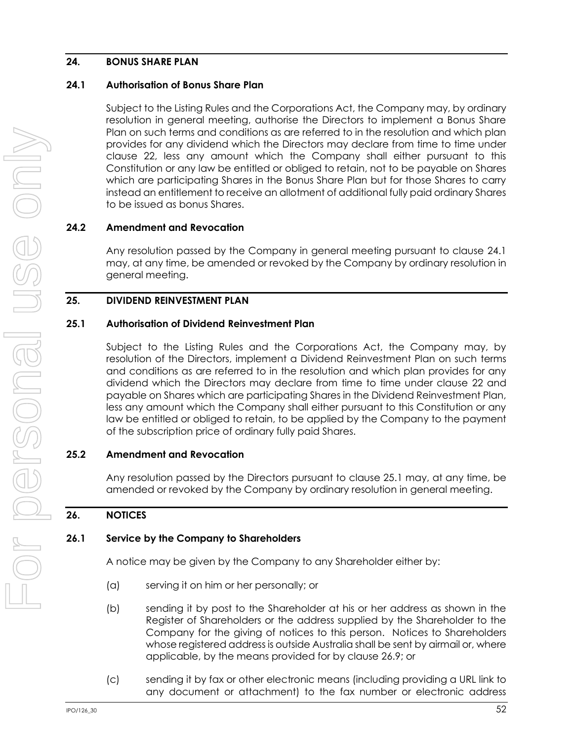## **24. BONUS SHARE PLAN**

### <span id="page-58-0"></span>**24.1 Authorisation of Bonus Share Plan**

Subject to the Listing Rules and the Corporations Act, the Company may, by ordinary resolution in general meeting, authorise the Directors to implement a Bonus Share Plan on such terms and conditions as are referred to in the resolution and which plan provides for any dividend which the Directors may declare from time to time under clause [22,](#page-55-0) less any amount which the Company shall either pursuant to this Constitution or any law be entitled or obliged to retain, not to be payable on Shares which are participating Shares in the Bonus Share Plan but for those Shares to carry instead an entitlement to receive an allotment of additional fully paid ordinary Shares to be issued as bonus Shares.

## **24.2 Amendment and Revocation**

Any resolution passed by the Company in general meeting pursuant to clause [24.1](#page-58-0) may, at any time, be amended or revoked by the Company by ordinary resolution in general meeting.

## **25. DIVIDEND REINVESTMENT PLAN**

## <span id="page-58-1"></span>**25.1 Authorisation of Dividend Reinvestment Plan**

Subject to the Listing Rules and the Corporations Act, the Company may, by resolution of the Directors, implement a Dividend Reinvestment Plan on such terms and conditions as are referred to in the resolution and which plan provides for any dividend which the Directors may declare from time to time under clause [22](#page-55-0) and payable on Shares which are participating Shares in the Dividend Reinvestment Plan, less any amount which the Company shall either pursuant to this Constitution or any law be entitled or obliged to retain, to be applied by the Company to the payment of the subscription price of ordinary fully paid Shares.

## **25.2 Amendment and Revocation**

Any resolution passed by the Directors pursuant to clause [25.1](#page-58-1) may, at any time, be amended or revoked by the Company by ordinary resolution in general meeting.

## **26. NOTICES**

### **26.1 Service by the Company to Shareholders**

A notice may be given by the Company to any Shareholder either by:

- (a) serving it on him or her personally; or
- (b) sending it by post to the Shareholder at his or her address as shown in the Register of Shareholders or the address supplied by the Shareholder to the Company for the giving of notices to this person. Notices to Shareholders whose registered address is outside Australia shall be sent by airmail or, where applicable, by the means provided for by clause [26.9;](#page-60-0) or
- (c) sending it by fax or other electronic means (including providing a URL link to any document or attachment) to the fax number or electronic address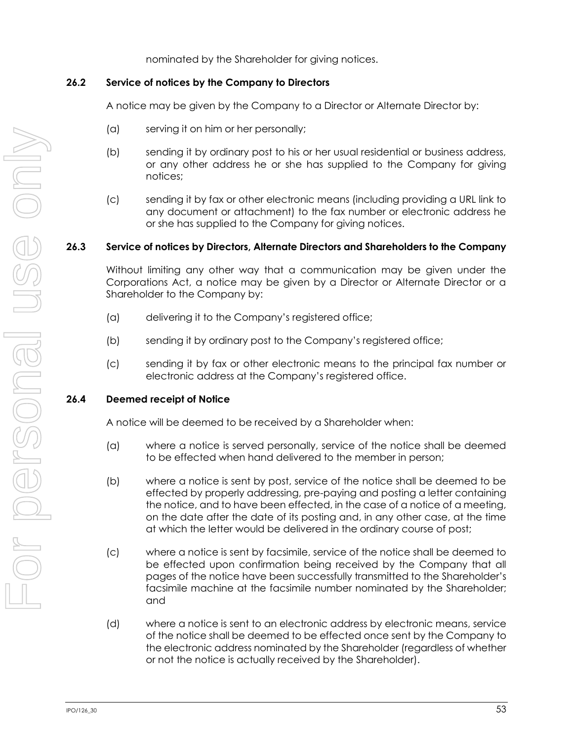nominated by the Shareholder for giving notices.

### **26.2 Service of notices by the Company to Directors**

A notice may be given by the Company to a Director or Alternate Director by:

- (a) serving it on him or her personally;
- (b) sending it by ordinary post to his or her usual residential or business address, or any other address he or she has supplied to the Company for giving notices;
- (c) sending it by fax or other electronic means (including providing a URL link to any document or attachment) to the fax number or electronic address he or she has supplied to the Company for giving notices.

### **26.3 Service of notices by Directors, Alternate Directors and Shareholders to the Company**

Without limiting any other way that a communication may be given under the Corporations Act, a notice may be given by a Director or Alternate Director or a Shareholder to the Company by:

- (a) delivering it to the Company's registered office;
- (b) sending it by ordinary post to the Company's registered office;
- (c) sending it by fax or other electronic means to the principal fax number or electronic address at the Company's registered office.

### **26.4 Deemed receipt of Notice**

A notice will be deemed to be received by a Shareholder when:

- (a) where a notice is served personally, service of the notice shall be deemed to be effected when hand delivered to the member in person;
- (b) where a notice is sent by post, service of the notice shall be deemed to be effected by properly addressing, pre-paying and posting a letter containing the notice, and to have been effected, in the case of a notice of a meeting, on the date after the date of its posting and, in any other case, at the time at which the letter would be delivered in the ordinary course of post;
- (c) where a notice is sent by facsimile, service of the notice shall be deemed to be effected upon confirmation being received by the Company that all pages of the notice have been successfully transmitted to the Shareholder's facsimile machine at the facsimile number nominated by the Shareholder; and
- (d) where a notice is sent to an electronic address by electronic means, service of the notice shall be deemed to be effected once sent by the Company to the electronic address nominated by the Shareholder (regardless of whether or not the notice is actually received by the Shareholder).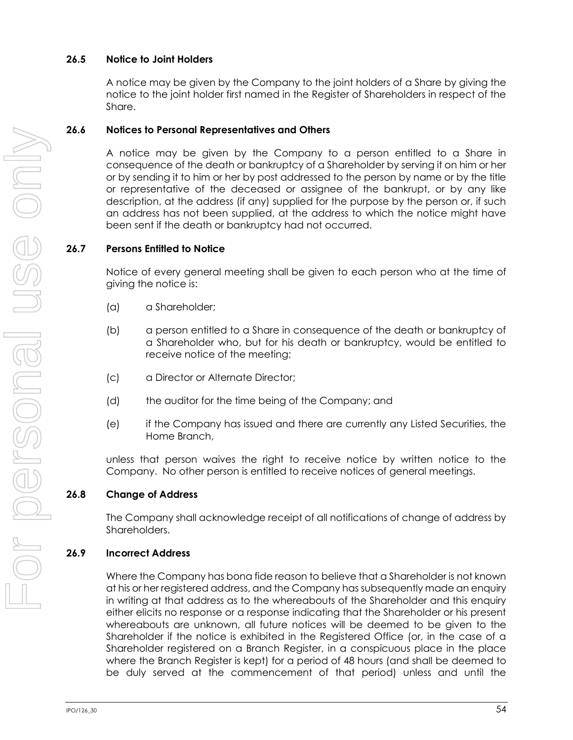## **26.5 Notice to Joint Holders**

A notice may be given by the Company to the joint holders of a Share by giving the notice to the joint holder first named in the Register of Shareholders in respect of the Share.

## **26.6 Notices to Personal Representatives and Others**

A notice may be given by the Company to a person entitled to a Share in consequence of the death or bankruptcy of a Shareholder by serving it on him or her or by sending it to him or her by post addressed to the person by name or by the title or representative of the deceased or assignee of the bankrupt, or by any like description, at the address (if any) supplied for the purpose by the person or, if such an address has not been supplied, at the address to which the notice might have been sent if the death or bankruptcy had not occurred.

## **26.7 Persons Entitled to Notice**

Notice of every general meeting shall be given to each person who at the time of giving the notice is:

- (a) a Shareholder;
- (b) a person entitled to a Share in consequence of the death or bankruptcy of a Shareholder who, but for his death or bankruptcy, would be entitled to receive notice of the meeting;
- (c) a Director or Alternate Director;
- (d) the auditor for the time being of the Company; and
- (e) if the Company has issued and there are currently any Listed Securities, the Home Branch,

unless that person waives the right to receive notice by written notice to the Company. No other person is entitled to receive notices of general meetings.

### **26.8 Change of Address**

The Company shall acknowledge receipt of all notifications of change of address by Shareholders.

### <span id="page-60-0"></span>**26.9 Incorrect Address**

Where the Company has bona fide reason to believe that a Shareholder is not known at his or her registered address, and the Company has subsequently made an enquiry in writing at that address as to the whereabouts of the Shareholder and this enquiry either elicits no response or a response indicating that the Shareholder or his present whereabouts are unknown, all future notices will be deemed to be given to the Shareholder if the notice is exhibited in the Registered Office (or, in the case of a Shareholder registered on a Branch Register, in a conspicuous place in the place where the Branch Register is kept) for a period of 48 hours (and shall be deemed to be duly served at the commencement of that period) unless and until the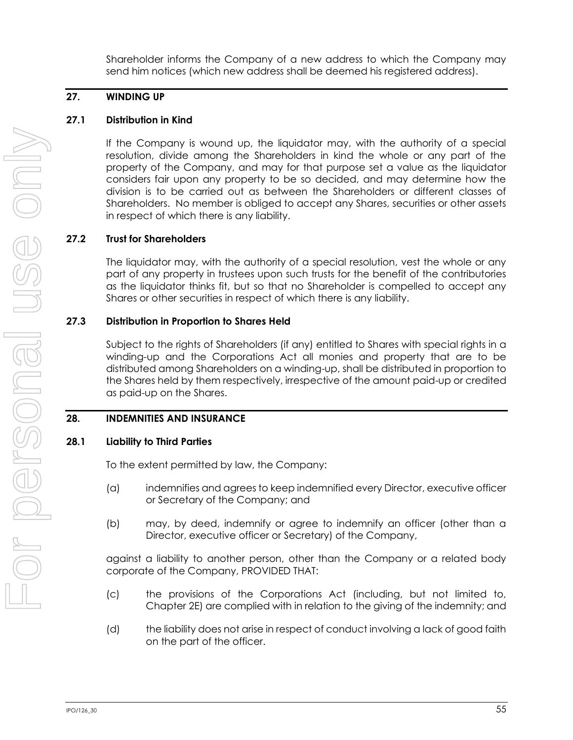Shareholder informs the Company of a new address to which the Company may send him notices (which new address shall be deemed his registered address).

## **27. WINDING UP**

## **27.1 Distribution in Kind**

If the Company is wound up, the liquidator may, with the authority of a special resolution, divide among the Shareholders in kind the whole or any part of the property of the Company, and may for that purpose set a value as the liquidator considers fair upon any property to be so decided, and may determine how the division is to be carried out as between the Shareholders or different classes of Shareholders. No member is obliged to accept any Shares, securities or other assets in respect of which there is any liability.

### **27.2 Trust for Shareholders**

The liquidator may, with the authority of a special resolution, vest the whole or any part of any property in trustees upon such trusts for the benefit of the contributories as the liquidator thinks fit, but so that no Shareholder is compelled to accept any Shares or other securities in respect of which there is any liability.

## **27.3 Distribution in Proportion to Shares Held**

Subject to the rights of Shareholders (if any) entitled to Shares with special rights in a winding-up and the Corporations Act all monies and property that are to be distributed among Shareholders on a winding-up, shall be distributed in proportion to the Shares held by them respectively, irrespective of the amount paid-up or credited as paid-up on the Shares.

## <span id="page-61-0"></span>**28. INDEMNITIES AND INSURANCE**

### **28.1 Liability to Third Parties**

To the extent permitted by law, the Company:

- (a) indemnifies and agrees to keep indemnified every Director, executive officer or Secretary of the Company; and
- (b) may, by deed, indemnify or agree to indemnify an officer (other than a Director, executive officer or Secretary) of the Company,

against a liability to another person, other than the Company or a related body corporate of the Company, PROVIDED THAT:

- (c) the provisions of the Corporations Act (including, but not limited to, Chapter 2E) are complied with in relation to the giving of the indemnity; and
- (d) the liability does not arise in respect of conduct involving a lack of good faith on the part of the officer.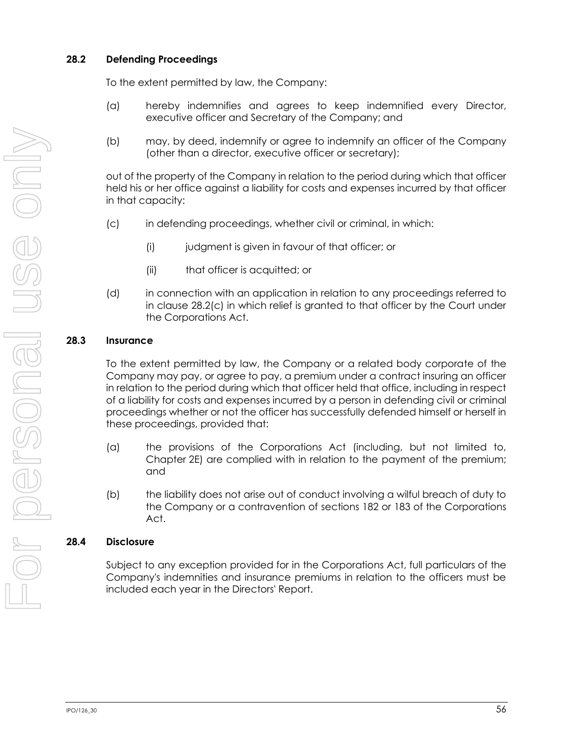## **28.2 Defending Proceedings**

To the extent permitted by law, the Company:

- (a) hereby indemnifies and agrees to keep indemnified every Director, executive officer and Secretary of the Company; and
- (b) may, by deed, indemnify or agree to indemnify an officer of the Company (other than a director, executive officer or secretary);

out of the property of the Company in relation to the period during which that officer held his or her office against a liability for costs and expenses incurred by that officer in that capacity:

- <span id="page-62-0"></span>(c) in defending proceedings, whether civil or criminal, in which:
	- (i) judgment is given in favour of that officer; or
	- (ii) that officer is acquitted; or
- (d) in connection with an application in relation to any proceedings referred to in clause [28.2\(c\)](#page-62-0) in which relief is granted to that officer by the Court under the Corporations Act.

## **28.3 Insurance**

To the extent permitted by law, the Company or a related body corporate of the Company may pay, or agree to pay, a premium under a contract insuring an officer in relation to the period during which that officer held that office, including in respect of a liability for costs and expenses incurred by a person in defending civil or criminal proceedings whether or not the officer has successfully defended himself or herself in these proceedings, provided that:

- (a) the provisions of the Corporations Act (including, but not limited to, Chapter 2E) are complied with in relation to the payment of the premium; and
- (b) the liability does not arise out of conduct involving a wilful breach of duty to the Company or a contravention of sections 182 or 183 of the Corporations Act.

### **28.4 Disclosure**

Subject to any exception provided for in the Corporations Act, full particulars of the Company's indemnities and insurance premiums in relation to the officers must be included each year in the Directors' Report.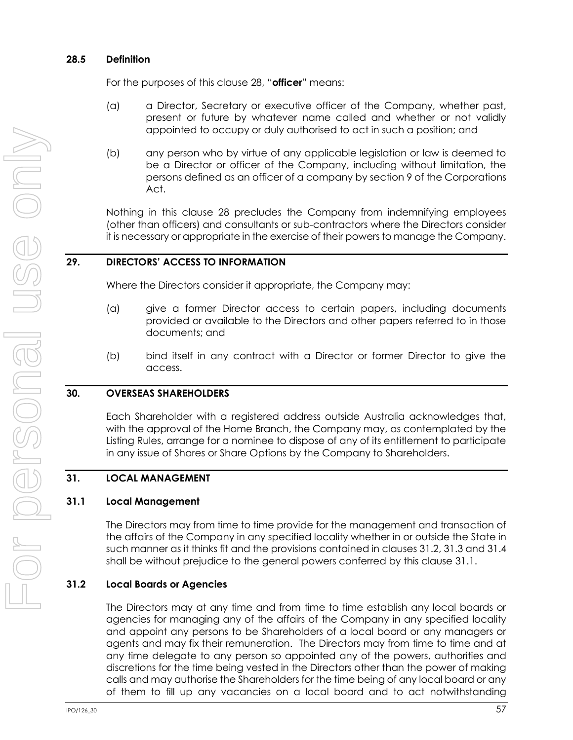### **28.5 Definition**

For the purposes of this clause [28](#page-61-0), "**officer**" means:

- (a) a Director, Secretary or executive officer of the Company, whether past, present or future by whatever name called and whether or not validly appointed to occupy or duly authorised to act in such a position; and
- (b) any person who by virtue of any applicable legislation or law is deemed to be a Director or officer of the Company, including without limitation, the persons defined as an officer of a company by section 9 of the Corporations Act.

Nothing in this clause [28](#page-61-0) precludes the Company from indemnifying employees (other than officers) and consultants or sub-contractors where the Directors consider it is necessary or appropriate in the exercise of their powers to manage the Company.

## **29. DIRECTORS' ACCESS TO INFORMATION**

Where the Directors consider it appropriate, the Company may:

- (a) give a former Director access to certain papers, including documents provided or available to the Directors and other papers referred to in those documents; and
- (b) bind itself in any contract with a Director or former Director to give the access.

### **30. OVERSEAS SHAREHOLDERS**

Each Shareholder with a registered address outside Australia acknowledges that, with the approval of the Home Branch, the Company may, as contemplated by the Listing Rules, arrange for a nominee to dispose of any of its entitlement to participate in any issue of Shares or Share Options by the Company to Shareholders.

### **31. LOCAL MANAGEMENT**

### <span id="page-63-1"></span>**31.1 Local Management**

The Directors may from time to time provide for the management and transaction of the affairs of the Company in any specified locality whether in or outside the State in such manner as it thinks fit and the provisions contained in clauses [31.2,](#page-63-0) [31.3](#page-64-0) an[d 31.4](#page-64-1) shall be without prejudice to the general powers conferred by this clause [31.1.](#page-63-1)

### <span id="page-63-0"></span>**31.2 Local Boards or Agencies**

The Directors may at any time and from time to time establish any local boards or agencies for managing any of the affairs of the Company in any specified locality and appoint any persons to be Shareholders of a local board or any managers or agents and may fix their remuneration. The Directors may from time to time and at any time delegate to any person so appointed any of the powers, authorities and discretions for the time being vested in the Directors other than the power of making calls and may authorise the Shareholders for the time being of any local board or any of them to fill up any vacancies on a local board and to act notwithstanding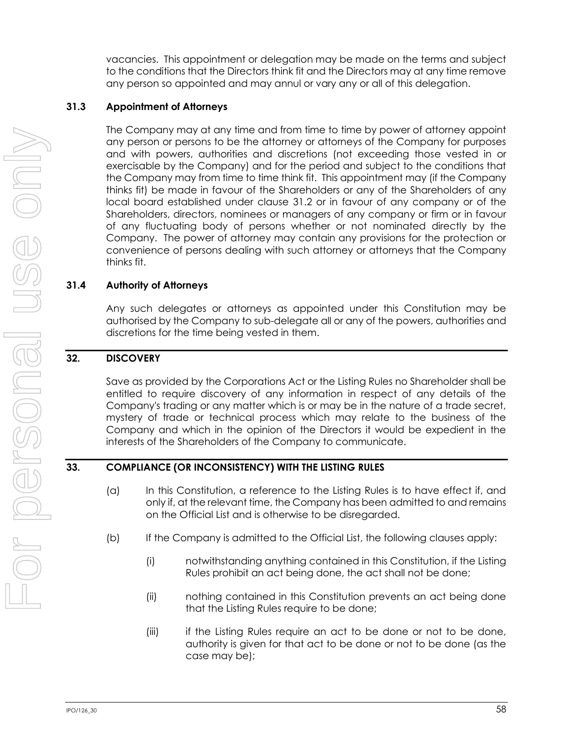vacancies. This appointment or delegation may be made on the terms and subject to the conditions that the Directors think fit and the Directors may at any time remove any person so appointed and may annul or vary any or all of this delegation.

### <span id="page-64-0"></span>**31.3 Appointment of Attorneys**

The Company may at any time and from time to time by power of attorney appoint any person or persons to be the attorney or attorneys of the Company for purposes and with powers, authorities and discretions (not exceeding those vested in or exercisable by the Company) and for the period and subject to the conditions that the Company may from time to time think fit. This appointment may (if the Company thinks fit) be made in favour of the Shareholders or any of the Shareholders of any local board established under clause [31.2](#page-63-0) or in favour of any company or of the Shareholders, directors, nominees or managers of any company or firm or in favour of any fluctuating body of persons whether or not nominated directly by the Company. The power of attorney may contain any provisions for the protection or convenience of persons dealing with such attorney or attorneys that the Company thinks fit.

## <span id="page-64-1"></span>**31.4 Authority of Attorneys**

Any such delegates or attorneys as appointed under this Constitution may be authorised by the Company to sub-delegate all or any of the powers, authorities and discretions for the time being vested in them.

## **32. DISCOVERY**

Save as provided by the Corporations Act or the Listing Rules no Shareholder shall be entitled to require discovery of any information in respect of any details of the Company's trading or any matter which is or may be in the nature of a trade secret, mystery of trade or technical process which may relate to the business of the Company and which in the opinion of the Directors it would be expedient in the interests of the Shareholders of the Company to communicate.

### **33. COMPLIANCE (OR INCONSISTENCY) WITH THE LISTING RULES**

- (a) In this Constitution, a reference to the Listing Rules is to have effect if, and only if, at the relevant time, the Company has been admitted to and remains on the Official List and is otherwise to be disregarded.
- (b) If the Company is admitted to the Official List, the following clauses apply:
	- (i) notwithstanding anything contained in this Constitution, if the Listing Rules prohibit an act being done, the act shall not be done;
	- (ii) nothing contained in this Constitution prevents an act being done that the Listing Rules require to be done;
	- (iii) if the Listing Rules require an act to be done or not to be done, authority is given for that act to be done or not to be done (as the case may be);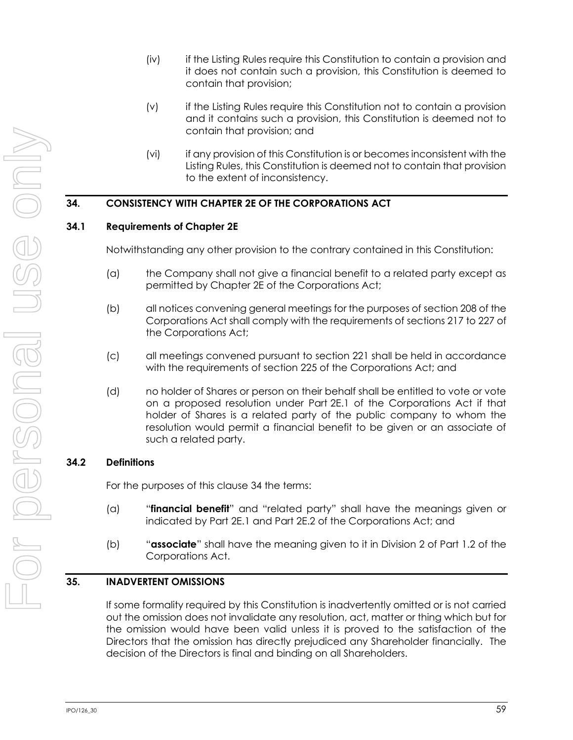- (iv) if the Listing Rules require this Constitution to contain a provision and it does not contain such a provision, this Constitution is deemed to contain that provision;
- (v) if the Listing Rules require this Constitution not to contain a provision and it contains such a provision, this Constitution is deemed not to contain that provision; and
- (vi) if any provision of this Constitution is or becomes inconsistent with the Listing Rules, this Constitution is deemed not to contain that provision to the extent of inconsistency.

## <span id="page-65-0"></span>**34. CONSISTENCY WITH CHAPTER 2E OF THE CORPORATIONS ACT**

### **34.1 Requirements of Chapter 2E**

Notwithstanding any other provision to the contrary contained in this Constitution:

- (a) the Company shall not give a financial benefit to a related party except as permitted by Chapter 2E of the Corporations Act;
- (b) all notices convening general meetings for the purposes of section 208 of the Corporations Act shall comply with the requirements of sections 217 to 227 of the Corporations Act;
- (c) all meetings convened pursuant to section 221 shall be held in accordance with the requirements of section 225 of the Corporations Act; and
- (d) no holder of Shares or person on their behalf shall be entitled to vote or vote on a proposed resolution under Part 2E.1 of the Corporations Act if that holder of Shares is a related party of the public company to whom the resolution would permit a financial benefit to be given or an associate of such a related party.

### **34.2 Definitions**

For the purposes of this clause [34](#page-65-0) the terms:

- (a) "**financial benefit**" and "related party" shall have the meanings given or indicated by Part 2E.1 and Part 2E.2 of the Corporations Act; and
- (b) "**associate**" shall have the meaning given to it in Division 2 of Part 1.2 of the Corporations Act.

### **35. INADVERTENT OMISSIONS**

If some formality required by this Constitution is inadvertently omitted or is not carried out the omission does not invalidate any resolution, act, matter or thing which but for the omission would have been valid unless it is proved to the satisfaction of the Directors that the omission has directly prejudiced any Shareholder financially. The decision of the Directors is final and binding on all Shareholders.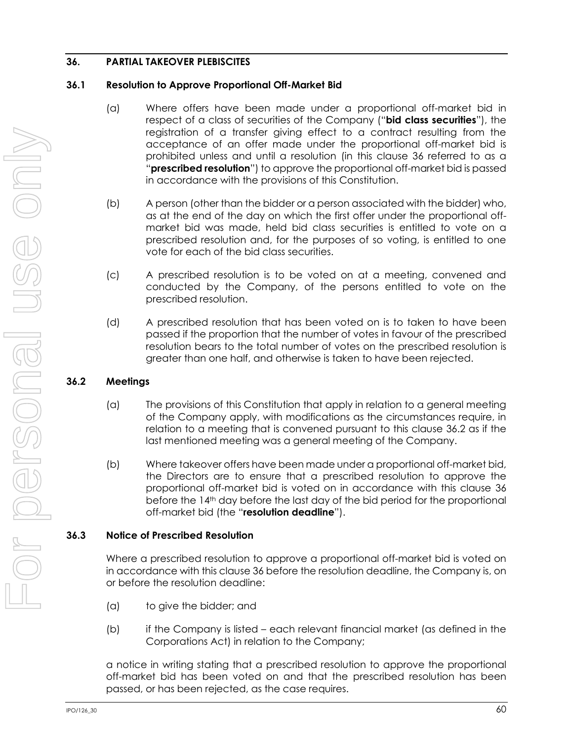## <span id="page-66-0"></span>**36. PARTIAL TAKEOVER PLEBISCITES**

### **36.1 Resolution to Approve Proportional Off-Market Bid**

- (a) Where offers have been made under a proportional off-market bid in respect of a class of securities of the Company ("**bid class securities**"), the registration of a transfer giving effect to a contract resulting from the acceptance of an offer made under the proportional off-market bid is prohibited unless and until a resolution (in this clause [36](#page-66-0) referred to as a "**prescribed resolution**") to approve the proportional off-market bid is passed in accordance with the provisions of this Constitution.
- (b) A person (other than the bidder or a person associated with the bidder) who, as at the end of the day on which the first offer under the proportional offmarket bid was made, held bid class securities is entitled to vote on a prescribed resolution and, for the purposes of so voting, is entitled to one vote for each of the bid class securities.
- (c) A prescribed resolution is to be voted on at a meeting, convened and conducted by the Company, of the persons entitled to vote on the prescribed resolution.
- (d) A prescribed resolution that has been voted on is to taken to have been passed if the proportion that the number of votes in favour of the prescribed resolution bears to the total number of votes on the prescribed resolution is greater than one half, and otherwise is taken to have been rejected.

## <span id="page-66-1"></span>**36.2 Meetings**

- (a) The provisions of this Constitution that apply in relation to a general meeting of the Company apply, with modifications as the circumstances require, in relation to a meeting that is convened pursuant to this clause [36.2](#page-66-1) as if the last mentioned meeting was a general meeting of the Company.
- (b) Where takeover offers have been made under a proportional off-market bid, the Directors are to ensure that a prescribed resolution to approve the proportional off-market bid is voted on in accordance with this clause [36](#page-66-0) before the 14<sup>th</sup> day before the last day of the bid period for the proportional off-market bid (the "**resolution deadline**").

## **36.3 Notice of Prescribed Resolution**

Where a prescribed resolution to approve a proportional off-market bid is voted on in accordance with this clause [36](#page-66-0) before the resolution deadline, the Company is, on or before the resolution deadline:

- (a) to give the bidder; and
- (b) if the Company is listed each relevant financial market (as defined in the Corporations Act) in relation to the Company;

a notice in writing stating that a prescribed resolution to approve the proportional off-market bid has been voted on and that the prescribed resolution has been passed, or has been rejected, as the case requires.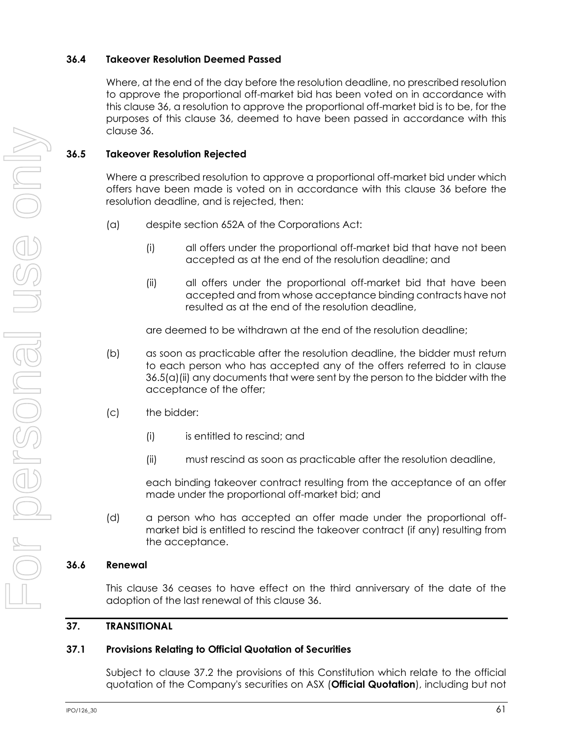### **36.4 Takeover Resolution Deemed Passed**

Where, at the end of the day before the resolution deadline, no prescribed resolution to approve the proportional off-market bid has been voted on in accordance with this clause [36,](#page-66-0) a resolution to approve the proportional off-market bid is to be, for the purposes of this clause [36,](#page-66-0) deemed to have been passed in accordance with this clause [36.](#page-66-0)

## **36.5 Takeover Resolution Rejected**

Where a prescribed resolution to approve a proportional off-market bid under which offers have been made is voted on in accordance with this clause [36](#page-66-0) before the resolution deadline, and is rejected, then:

- <span id="page-67-0"></span>(a) despite section 652A of the Corporations Act:
	- (i) all offers under the proportional off-market bid that have not been accepted as at the end of the resolution deadline; and
	- (ii) all offers under the proportional off-market bid that have been accepted and from whose acceptance binding contracts have not resulted as at the end of the resolution deadline,

are deemed to be withdrawn at the end of the resolution deadline;

- (b) as soon as practicable after the resolution deadline, the bidder must return to each person who has accepted any of the offers referred to in clause [36.5\(a\)\(ii\)](#page-67-0) any documents that were sent by the person to the bidder with the acceptance of the offer;
- (c) the bidder:
	- (i) is entitled to rescind; and
	- (ii) must rescind as soon as practicable after the resolution deadline,

each binding takeover contract resulting from the acceptance of an offer made under the proportional off-market bid; and

(d) a person who has accepted an offer made under the proportional offmarket bid is entitled to rescind the takeover contract (if any) resulting from the acceptance.

## **36.6 Renewal**

This clause [36](#page-66-0) ceases to have effect on the third anniversary of the date of the adoption of the last renewal of this clause [36.](#page-66-0)

## **37. TRANSITIONAL**

## <span id="page-67-1"></span>**37.1 Provisions Relating to Official Quotation of Securities**

Subject to clause [37.2](#page-68-0) the provisions of this Constitution which relate to the official quotation of the Company's securities on ASX (**Official Quotation**), including but not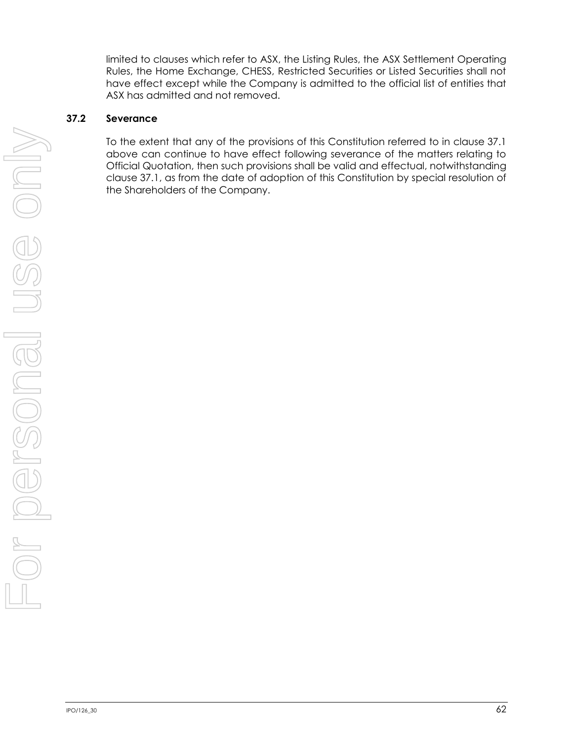limited to clauses which refer to ASX, the Listing Rules, the ASX Settlement Operating Rules, the Home Exchange, CHESS, Restricted Securities or Listed Securities shall not have effect except while the Company is admitted to the official list of entities that ASX has admitted and not removed.

## <span id="page-68-0"></span>**37.2 Severance**

To the extent that any of the provisions of this Constitution referred to in clause [37.1](#page-67-1) above can continue to have effect following severance of the matters relating to Official Quotation, then such provisions shall be valid and effectual, notwithstanding clause [37.1,](#page-67-1) as from the date of adoption of this Constitution by special resolution of the Shareholders of the Company.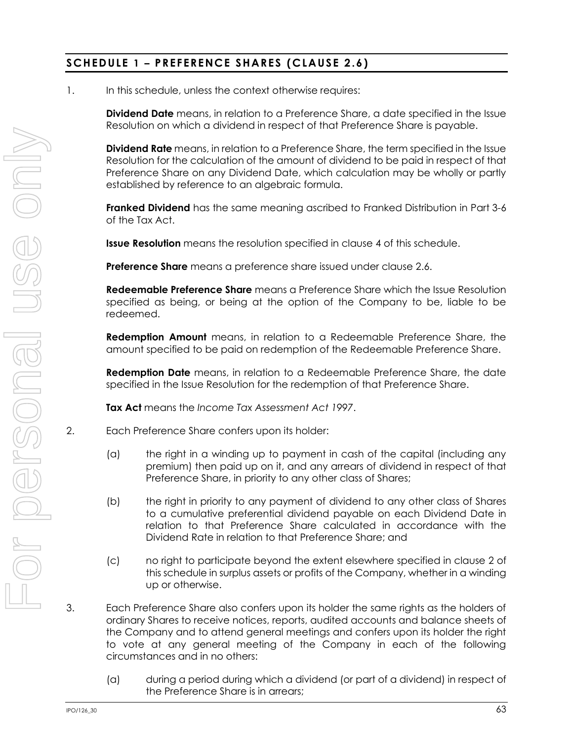# **SCHEDULE 1 – PREFERENCE SHARES (CLAUSE [2.6\)](#page-12-0)**

1. In this schedule, unless the context otherwise requires:

**Dividend Date** means, in relation to a Preference Share, a date specified in the Issue Resolution on which a dividend in respect of that Preference Share is payable.

**Dividend Rate** means, in relation to a Preference Share, the term specified in the Issue Resolution for the calculation of the amount of dividend to be paid in respect of that Preference Share on any Dividend Date, which calculation may be wholly or partly established by reference to an algebraic formula.

**Franked Dividend** has the same meaning ascribed to Franked Distribution in Part 3-6 of the Tax Act.

**Issue Resolution** means the resolution specified in clause [4](#page-70-0) of this schedule.

**Preference Share** means a preference share issued under clause [2.6.](#page-12-0)

**Redeemable Preference Share** means a Preference Share which the Issue Resolution specified as being, or being at the option of the Company to be, liable to be redeemed.

**Redemption Amount** means, in relation to a Redeemable Preference Share, the amount specified to be paid on redemption of the Redeemable Preference Share.

**Redemption Date** means, in relation to a Redeemable Preference Share, the date specified in the Issue Resolution for the redemption of that Preference Share.

**Tax Act** means the *Income Tax Assessment Act 1997*.

- <span id="page-69-0"></span>2. Each Preference Share confers upon its holder:
	- (a) the right in a winding up to payment in cash of the capital (including any premium) then paid up on it, and any arrears of dividend in respect of that Preference Share, in priority to any other class of Shares;
	- (b) the right in priority to any payment of dividend to any other class of Shares to a cumulative preferential dividend payable on each Dividend Date in relation to that Preference Share calculated in accordance with the Dividend Rate in relation to that Preference Share; and
	- (c) no right to participate beyond the extent elsewhere specified in clause [2](#page-69-0) of this schedule in surplus assets or profits of the Company, whether in a winding up or otherwise.
- <span id="page-69-1"></span>3. Each Preference Share also confers upon its holder the same rights as the holders of ordinary Shares to receive notices, reports, audited accounts and balance sheets of the Company and to attend general meetings and confers upon its holder the right to vote at any general meeting of the Company in each of the following circumstances and in no others:
	- (a) during a period during which a dividend (or part of a dividend) in respect of the Preference Share is in arrears;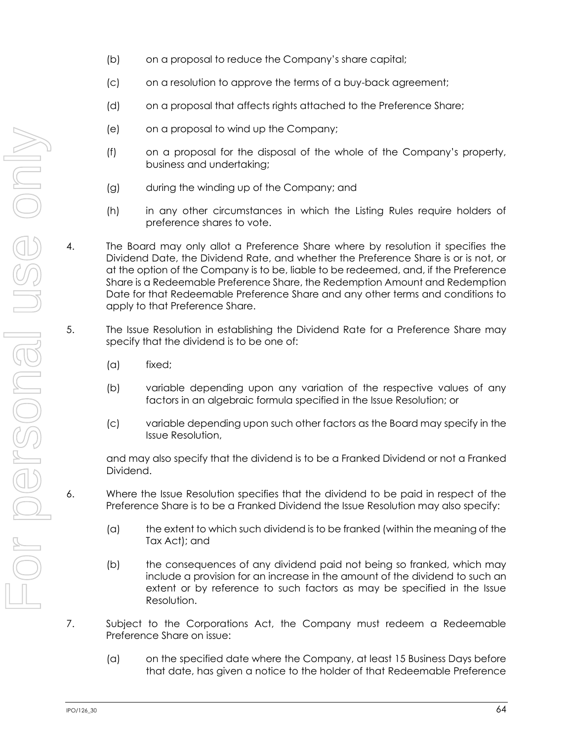- (b) on a proposal to reduce the Company's share capital;
- (c) on a resolution to approve the terms of a buy-back agreement;
- (d) on a proposal that affects rights attached to the Preference Share;
- (e) on a proposal to wind up the Company;
- (f) on a proposal for the disposal of the whole of the Company's property, business and undertaking;
- (g) during the winding up of the Company; and
- (h) in any other circumstances in which the Listing Rules require holders of preference shares to vote.
- <span id="page-70-0"></span>4. The Board may only allot a Preference Share where by resolution it specifies the Dividend Date, the Dividend Rate, and whether the Preference Share is or is not, or at the option of the Company is to be, liable to be redeemed, and, if the Preference Share is a Redeemable Preference Share, the Redemption Amount and Redemption Date for that Redeemable Preference Share and any other terms and conditions to apply to that Preference Share.
- 5. The Issue Resolution in establishing the Dividend Rate for a Preference Share may specify that the dividend is to be one of:
	- (a) fixed;
	- (b) variable depending upon any variation of the respective values of any factors in an algebraic formula specified in the Issue Resolution; or
	- (c) variable depending upon such other factors as the Board may specify in the Issue Resolution,

and may also specify that the dividend is to be a Franked Dividend or not a Franked Dividend.

- 6. Where the Issue Resolution specifies that the dividend to be paid in respect of the Preference Share is to be a Franked Dividend the Issue Resolution may also specify:
	- (a) the extent to which such dividend is to be franked (within the meaning of the Tax Act); and
	- (b) the consequences of any dividend paid not being so franked, which may include a provision for an increase in the amount of the dividend to such an extent or by reference to such factors as may be specified in the Issue Resolution.
- 7. Subject to the Corporations Act, the Company must redeem a Redeemable Preference Share on issue:
	- (a) on the specified date where the Company, at least 15 Business Days before that date, has given a notice to the holder of that Redeemable Preference